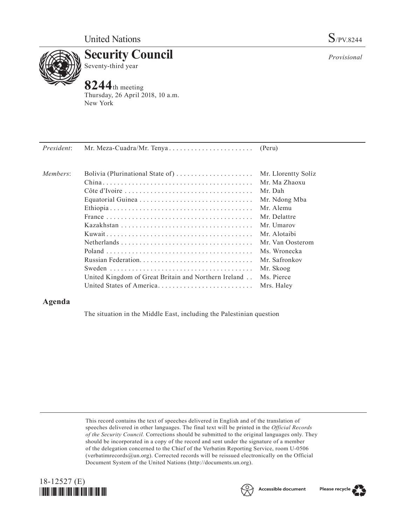

**Security Council** Seventy-third year

# **8244**th meeting

Thursday, 26 April 2018, 10 a.m. New York

| President: | Mr. Meza-Cuadra/Mr. Tenya                            | (Peru)              |
|------------|------------------------------------------------------|---------------------|
|            |                                                      |                     |
| Members:   | Bolivia (Plurinational State of)                     | Mr. Llorentty Solíz |
|            |                                                      | Mr. Ma Zhaoxu       |
|            |                                                      | Mr. Dah             |
|            |                                                      | Mr. Ndong Mba       |
|            |                                                      | Mr. Alemu           |
|            |                                                      | Mr. Delattre        |
|            |                                                      | Mr. Umarov          |
|            |                                                      | Mr. Alotaibi        |
|            |                                                      | Mr. Van Oosterom    |
|            |                                                      | Ms. Wronecka        |
|            |                                                      | Mr. Safronkov       |
|            |                                                      | Mr. Skoog           |
|            | United Kingdom of Great Britain and Northern Ireland | Ms. Pierce          |
|            | United States of America                             | Mrs. Haley          |

# **Agenda**

The situation in the Middle East, including the Palestinian question

This record contains the text of speeches delivered in English and of the translation of speeches delivered in other languages. The final text will be printed in the *Official Records of the Security Council.* Corrections should be submitted to the original languages only. They should be incorporated in a copy of the record and sent under the signature of a member of the delegation concerned to the Chief of the Verbatim Reporting Service, room U-0506 (verbatimrecords $@un.org$ ). Corrected records will be reissued electronically on the Official Document System of the United Nations (http://documents.un.org).







*Provisional*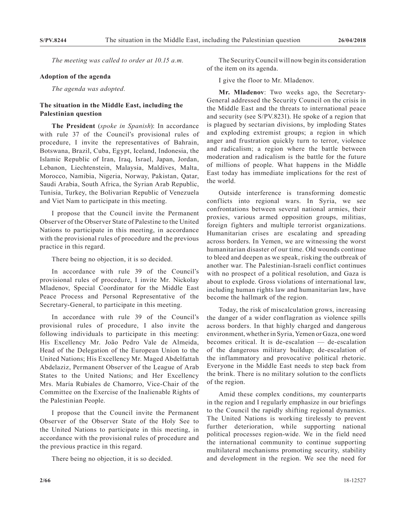*The meeting was called to order at 10.15 a.m.*

#### **Adoption of the agenda**

*The agenda was adopted.*

# **The situation in the Middle East, including the Palestinian question**

**The President** (*spoke in Spanish*): In accordance with rule 37 of the Council's provisional rules of procedure, I invite the representatives of Bahrain, Botswana, Brazil, Cuba, Egypt, Iceland, Indonesia, the Islamic Republic of Iran, Iraq, Israel, Japan, Jordan, Lebanon, Liechtenstein, Malaysia, Maldives, Malta, Morocco, Namibia, Nigeria, Norway, Pakistan, Qatar, Saudi Arabia, South Africa, the Syrian Arab Republic, Tunisia, Turkey, the Bolivarian Republic of Venezuela and Viet Nam to participate in this meeting.

I propose that the Council invite the Permanent Observer of the Observer State of Palestine to the United Nations to participate in this meeting, in accordance with the provisional rules of procedure and the previous practice in this regard.

There being no objection, it is so decided.

In accordance with rule 39 of the Council's provisional rules of procedure, I invite Mr. Nickolay Mladenov, Special Coordinator for the Middle East Peace Process and Personal Representative of the Secretary-General, to participate in this meeting.

In accordance with rule 39 of the Council's provisional rules of procedure, I also invite the following individuals to participate in this meeting: His Excellency Mr. João Pedro Vale de Almeida, Head of the Delegation of the European Union to the United Nations; His Excellency Mr. Maged Abdelfattah Abdelaziz, Permanent Observer of the League of Arab States to the United Nations; and Her Excellency Mrs. María Rubiales de Chamorro, Vice-Chair of the Committee on the Exercise of the Inalienable Rights of the Palestinian People.

I propose that the Council invite the Permanent Observer of the Observer State of the Holy See to the United Nations to participate in this meeting, in accordance with the provisional rules of procedure and the previous practice in this regard.

There being no objection, it is so decided.

The Security Council will now begin its consideration of the item on its agenda.

I give the floor to Mr. Mladenov.

**Mr. Mladenov**: Two weeks ago, the Secretary-General addressed the Security Council on the crisis in the Middle East and the threats to international peace and security (see S/PV.8231). He spoke of a region that is plagued by sectarian divisions, by imploding States and exploding extremist groups; a region in which anger and frustration quickly turn to terror, violence and radicalism; a region where the battle between moderation and radicalism is the battle for the future of millions of people. What happens in the Middle East today has immediate implications for the rest of the world.

Outside interference is transforming domestic conflicts into regional wars. In Syria, we see confrontations between several national armies, their proxies, various armed opposition groups, militias, foreign fighters and multiple terrorist organizations. Humanitarian crises are escalating and spreading across borders. In Yemen, we are witnessing the worst humanitarian disaster of our time. Old wounds continue to bleed and deepen as we speak, risking the outbreak of another war. The Palestinian-Israeli conflict continues with no prospect of a political resolution, and Gaza is about to explode. Gross violations of international law, including human rights law and humanitarian law, have become the hallmark of the region.

Today, the risk of miscalculation grows, increasing the danger of a wider conflagration as violence spills across borders. In that highly charged and dangerous environment, whether in Syria, Yemen or Gaza, one word becomes critical. It is de-escalation — de-escalation of the dangerous military buildup; de-escalation of the inflammatory and provocative political rhetoric. Everyone in the Middle East needs to step back from the brink. There is no military solution to the conflicts of the region.

Amid these complex conditions, my counterparts in the region and I regularly emphasize in our briefings to the Council the rapidly shifting regional dynamics. The United Nations is working tirelessly to prevent further deterioration, while supporting national political processes region-wide. We in the field need the international community to continue supporting multilateral mechanisms promoting security, stability and development in the region. We see the need for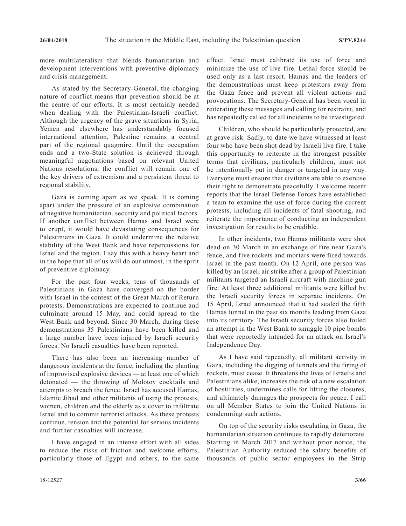more multilateralism that blends humanitarian and development interventions with preventive diplomacy and crisis management.

As stated by the Secretary-General, the changing nature of conflict means that prevention should be at the centre of our efforts. It is most certainly needed when dealing with the Palestinian-Israeli conflict. Although the urgency of the grave situations in Syria, Yemen and elsewhere has understandably focused international attention, Palestine remains a central part of the regional quagmire. Until the occupation ends and a two-State solution is achieved through meaningful negotiations based on relevant United Nations resolutions, the conflict will remain one of the key drivers of extremism and a persistent threat to regional stability.

Gaza is coming apart as we speak. It is coming apart under the pressure of an explosive combination of negative humanitarian, security and political factors. If another conflict between Hamas and Israel were to erupt, it would have devastating consequences for Palestinians in Gaza. It could undermine the relative stability of the West Bank and have repercussions for Israel and the region. I say this with a heavy heart and in the hope that all of us will do our utmost, in the spirit of preventive diplomacy.

For the past four weeks, tens of thousands of Palestinians in Gaza have converged on the border with Israel in the context of the Great March of Return protests. Demonstrations are expected to continue and culminate around 15 May, and could spread to the West Bank and beyond. Since 30 March, during these demonstrations 35 Palestinians have been killed and a large number have been injured by Israeli security forces. No Israeli casualties have been reported.

There has also been an increasing number of dangerous incidents at the fence, including the planting of improvised explosive devices — at least one of which detonated — the throwing of Molotov cocktails and attempts to breach the fence. Israel has accused Hamas, Islamic Jihad and other militants of using the protests, women, children and the elderly as a cover to infiltrate Israel and to commit terrorist attacks. As these protests continue, tension and the potential for serious incidents and further casualties will increase.

I have engaged in an intense effort with all sides to reduce the risks of friction and welcome efforts, particularly those of Egypt and others, to the same effect. Israel must calibrate its use of force and minimize the use of live fire. Lethal force should be used only as a last resort. Hamas and the leaders of the demonstrations must keep protestors away from the Gaza fence and prevent all violent actions and provocations. The Secretary-General has been vocal in reiterating these messages and calling for restraint, and has repeatedly called for all incidents to be investigated.

Children, who should be particularly protected, are at grave risk. Sadly, to date we have witnessed at least four who have been shot dead by Israeli live fire. I take this opportunity to reiterate in the strongest possible terms that civilians, particularly children, must not be intentionally put in danger or targeted in any way. Everyone must ensure that civilians are able to exercise their right to demonstrate peacefully. I welcome recent reports that the Israel Defense Forces have established a team to examine the use of force during the current protests, including all incidents of fatal shooting, and reiterate the importance of conducting an independent investigation for results to be credible.

In other incidents, two Hamas militants were shot dead on 30 March in an exchange of fire near Gaza's fence, and five rockets and mortars were fired towards Israel in the past month. On 12 April, one person was killed by an Israeli air strike after a group of Palestinian militants targeted an Israeli aircraft with machine gun fire. At least three additional militants were killed by the Israeli security forces in separate incidents. On 15 April, Israel announced that it had sealed the fifth Hamas tunnel in the past six months leading from Gaza into its territory. The Israeli security forces also foiled an attempt in the West Bank to smuggle 10 pipe bombs that were reportedly intended for an attack on Israel's Independence Day.

As I have said repeatedly, all militant activity in Gaza, including the digging of tunnels and the firing of rockets, must cease. It threatens the lives of Israelis and Palestinians alike, increases the risk of a new escalation of hostilities, undermines calls for lifting the closures, and ultimately damages the prospects for peace. I call on all Member States to join the United Nations in condemning such actions.

On top of the security risks escalating in Gaza, the humanitarian situation continues to rapidly deteriorate. Starting in March 2017 and without prior notice, the Palestinian Authority reduced the salary benefits of thousands of public sector employees in the Strip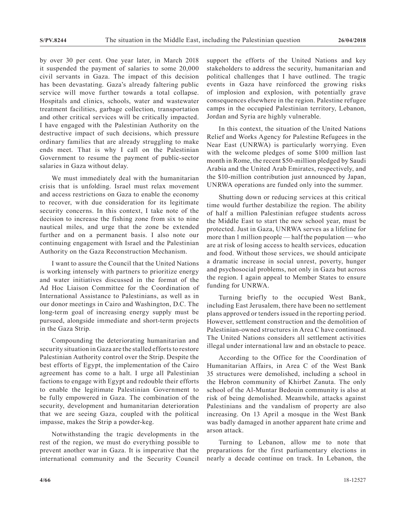by over 30 per cent. One year later, in March 2018 it suspended the payment of salaries to some 20,000 civil servants in Gaza. The impact of this decision has been devastating. Gaza's already faltering public service will move further towards a total collapse. Hospitals and clinics, schools, water and wastewater treatment facilities, garbage collection, transportation and other critical services will be critically impacted. I have engaged with the Palestinian Authority on the destructive impact of such decisions, which pressure ordinary families that are already struggling to make ends meet. That is why I call on the Palestinian Government to resume the payment of public-sector salaries in Gaza without delay.

We must immediately deal with the humanitarian crisis that is unfolding. Israel must relax movement and access restrictions on Gaza to enable the economy to recover, with due consideration for its legitimate security concerns. In this context, I take note of the decision to increase the fishing zone from six to nine nautical miles, and urge that the zone be extended further and on a permanent basis. I also note our continuing engagement with Israel and the Palestinian Authority on the Gaza Reconstruction Mechanism.

I want to assure the Council that the United Nations is working intensely with partners to prioritize energy and water initiatives discussed in the format of the Ad Hoc Liaison Committee for the Coordination of International Assistance to Palestinians, as well as in our donor meetings in Cairo and Washington, D.C. The long-term goal of increasing energy supply must be pursued, alongside immediate and short-term projects in the Gaza Strip.

Compounding the deteriorating humanitarian and security situation in Gaza are the stalled efforts to restore Palestinian Authority control over the Strip. Despite the best efforts of Egypt, the implementation of the Cairo agreement has come to a halt. I urge all Palestinian factions to engage with Egypt and redouble their efforts to enable the legitimate Palestinian Government to be fully empowered in Gaza. The combination of the security, development and humanitarian deterioration that we are seeing Gaza, coupled with the political impasse, makes the Strip a powder-keg.

Notwithstanding the tragic developments in the rest of the region, we must do everything possible to prevent another war in Gaza. It is imperative that the international community and the Security Council support the efforts of the United Nations and key stakeholders to address the security, humanitarian and political challenges that I have outlined. The tragic events in Gaza have reinforced the growing risks of implosion and explosion, with potentially grave consequences elsewhere in the region. Palestine refugee camps in the occupied Palestinian territory, Lebanon, Jordan and Syria are highly vulnerable.

In this context, the situation of the United Nations Relief and Works Agency for Palestine Refugees in the Near East (UNRWA) is particularly worrying. Even with the welcome pledges of some \$100 million last month in Rome, the recent \$50-million pledged by Saudi Arabia and the United Arab Emirates, respectively, and the \$10-million contribution just announced by Japan, UNRWA operations are funded only into the summer.

Shutting down or reducing services at this critical time would further destabilize the region. The ability of half a million Palestinian refugee students across the Middle East to start the new school year, must be protected. Just in Gaza, UNRWA serves as a lifeline for more than 1 million people — half the population — who are at risk of losing access to health services, education and food. Without those services, we should anticipate a dramatic increase in social unrest, poverty, hunger and psychosocial problems, not only in Gaza but across the region. I again appeal to Member States to ensure funding for UNRWA.

Turning briefly to the occupied West Bank, including East Jerusalem, there have been no settlement plans approved or tenders issued in the reporting period. However, settlement construction and the demolition of Palestinian-owned structures in Area C have continued. The United Nations considers all settlement activities illegal under international law and an obstacle to peace.

According to the Office for the Coordination of Humanitarian Affairs, in Area C of the West Bank 35 structures were demolished, including a school in the Hebron community of Khirbet Zanuta. The only school of the Al-Muntar Bedouin community is also at risk of being demolished. Meanwhile, attacks against Palestinians and the vandalism of property are also increasing. On 13 April a mosque in the West Bank was badly damaged in another apparent hate crime and arson attack.

Turning to Lebanon, allow me to note that preparations for the first parliamentary elections in nearly a decade continue on track. In Lebanon, the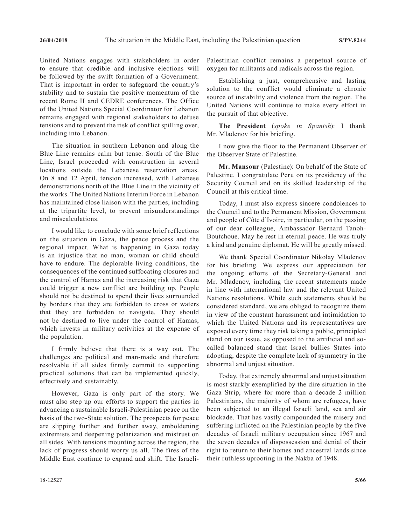United Nations engages with stakeholders in order to ensure that credible and inclusive elections will be followed by the swift formation of a Government. That is important in order to safeguard the country's stability and to sustain the positive momentum of the recent Rome II and CEDRE conferences. The Office of the United Nations Special Coordinator for Lebanon remains engaged with regional stakeholders to defuse tensions and to prevent the risk of conflict spilling over, including into Lebanon.

The situation in southern Lebanon and along the Blue Line remains calm but tense. South of the Blue Line, Israel proceeded with construction in several locations outside the Lebanese reservation areas. On 8 and 12 April, tension increased, with Lebanese demonstrations north of the Blue Line in the vicinity of the works. The United Nations Interim Force in Lebanon has maintained close liaison with the parties, including at the tripartite level, to prevent misunderstandings and miscalculations.

I would like to conclude with some brief reflections on the situation in Gaza, the peace process and the regional impact. What is happening in Gaza today is an injustice that no man, woman or child should have to endure. The deplorable living conditions, the consequences of the continued suffocating closures and the control of Hamas and the increasing risk that Gaza could trigger a new conflict are building up. People should not be destined to spend their lives surrounded by borders that they are forbidden to cross or waters that they are forbidden to navigate. They should not be destined to live under the control of Hamas, which invests in military activities at the expense of the population.

I firmly believe that there is a way out. The challenges are political and man-made and therefore resolvable if all sides firmly commit to supporting practical solutions that can be implemented quickly, effectively and sustainably.

However, Gaza is only part of the story. We must also step up our efforts to support the parties in advancing a sustainable Israeli-Palestinian peace on the basis of the two-State solution. The prospects for peace are slipping further and further away, emboldening extremists and deepening polarization and mistrust on all sides. With tensions mounting across the region, the lack of progress should worry us all. The fires of the Middle East continue to expand and shift. The Israeli-

Palestinian conflict remains a perpetual source of oxygen for militants and radicals across the region.

Establishing a just, comprehensive and lasting solution to the conflict would eliminate a chronic source of instability and violence from the region. The United Nations will continue to make every effort in the pursuit of that objective.

**The President** (*spoke in Spanish*): I thank Mr. Mladenov for his briefing.

I now give the floor to the Permanent Observer of the Observer State of Palestine.

**Mr. Mansour** (Palestine): On behalf of the State of Palestine. I congratulate Peru on its presidency of the Security Council and on its skilled leadership of the Council at this critical time.

Today, I must also express sincere condolences to the Council and to the Permanent Mission, Government and people of Côte d'Ivoire, in particular, on the passing of our dear colleague, Ambassador Bernard Tanoh-Boutchoue. May he rest in eternal peace. He was truly a kind and genuine diplomat. He will be greatly missed.

We thank Special Coordinator Nikolay Mladenov for his briefing. We express our appreciation for the ongoing efforts of the Secretary-General and Mr. Mladenov, including the recent statements made in line with international law and the relevant United Nations resolutions. While such statements should be considered standard, we are obliged to recognize them in view of the constant harassment and intimidation to which the United Nations and its representatives are exposed every time they risk taking a public, principled stand on our issue, as opposed to the artificial and socalled balanced stand that Israel bullies States into adopting, despite the complete lack of symmetry in the abnormal and unjust situation.

Today, that extremely abnormal and unjust situation is most starkly exemplified by the dire situation in the Gaza Strip, where for more than a decade 2 million Palestinians, the majority of whom are refugees, have been subjected to an illegal Israeli land, sea and air blockade. That has vastly compounded the misery and suffering inflicted on the Palestinian people by the five decades of Israeli military occupation since 1967 and the seven decades of dispossession and denial of their right to return to their homes and ancestral lands since their ruthless uprooting in the Nakba of 1948.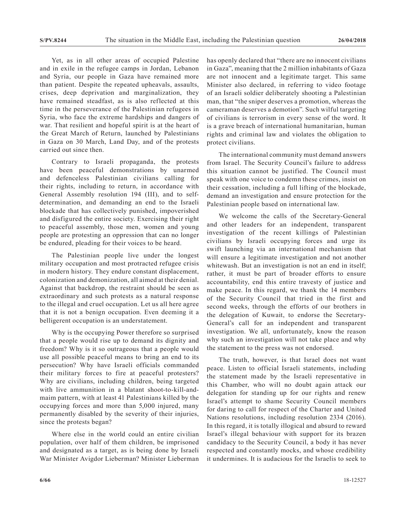Yet, as in all other areas of occupied Palestine and in exile in the refugee camps in Jordan, Lebanon and Syria, our people in Gaza have remained more than patient. Despite the repeated upheavals, assaults, crises, deep deprivation and marginalization, they have remained steadfast, as is also reflected at this time in the perseverance of the Palestinian refugees in Syria, who face the extreme hardships and dangers of war. That resilient and hopeful spirit is at the heart of the Great March of Return, launched by Palestinians in Gaza on 30 March, Land Day, and of the protests carried out since then.

Contrary to Israeli propaganda, the protests have been peaceful demonstrations by unarmed and defenceless Palestinian civilians calling for their rights, including to return, in accordance with General Assembly resolution 194 (III), and to selfdetermination, and demanding an end to the Israeli blockade that has collectively punished, impoverished and disfigured the entire society. Exercising their right to peaceful assembly, those men, women and young people are protesting an oppression that can no longer be endured, pleading for their voices to be heard.

The Palestinian people live under the longest military occupation and most protracted refugee crisis in modern history. They endure constant displacement, colonization and demonization, all aimed at their denial. Against that backdrop, the restraint should be seen as extraordinary and such protests as a natural response to the illegal and cruel occupation. Let us all here agree that it is not a benign occupation. Even deeming it a belligerent occupation is an understatement.

Why is the occupying Power therefore so surprised that a people would rise up to demand its dignity and freedom? Why is it so outrageous that a people would use all possible peaceful means to bring an end to its persecution? Why have Israeli officials commanded their military forces to fire at peaceful protesters? Why are civilians, including children, being targeted with live ammunition in a blatant shoot-to-kill-andmaim pattern, with at least 41 Palestinians killed by the occupying forces and more than 5,000 injured, many permanently disabled by the severity of their injuries, since the protests began?

Where else in the world could an entire civilian population, over half of them children, be imprisoned and designated as a target, as is being done by Israeli War Minister Avigdor Lieberman? Minister Lieberman has openly declared that "there are no innocent civilians in Gaza", meaning that the 2 million inhabitants of Gaza are not innocent and a legitimate target. This same Minister also declared, in referring to video footage of an Israeli soldier deliberately shooting a Palestinian man, that "the sniper deserves a promotion, whereas the cameraman deserves a demotion". Such wilful targeting of civilians is terrorism in every sense of the word. It is a grave breach of international humanitarian, human rights and criminal law and violates the obligation to protect civilians.

The international community must demand answers from Israel. The Security Council's failure to address this situation cannot be justified. The Council must speak with one voice to condemn these crimes, insist on their cessation, including a full lifting of the blockade, demand an investigation and ensure protection for the Palestinian people based on international law.

We welcome the calls of the Secretary-General and other leaders for an independent, transparent investigation of the recent killings of Palestinian civilians by Israeli occupying forces and urge its swift launching via an international mechanism that will ensure a legitimate investigation and not another whitewash. But an investigation is not an end in itself; rather, it must be part of broader efforts to ensure accountability, end this entire travesty of justice and make peace. In this regard, we thank the 14 members of the Security Council that tried in the first and second weeks, through the efforts of our brothers in the delegation of Kuwait, to endorse the Secretary-General's call for an independent and transparent investigation. We all, unfortunately, know the reason why such an investigation will not take place and why the statement to the press was not endorsed.

The truth, however, is that Israel does not want peace. Listen to official Israeli statements, including the statement made by the Israeli representative in this Chamber, who will no doubt again attack our delegation for standing up for our rights and renew Israel's attempt to shame Security Council members for daring to call for respect of the Charter and United Nations resolutions, including resolution 2334 (2016). In this regard, it is totally illogical and absurd to reward Israel's illegal behaviour with support for its brazen candidacy to the Security Council, a body it has never respected and constantly mocks, and whose credibility it undermines. It is audacious for the Israelis to seek to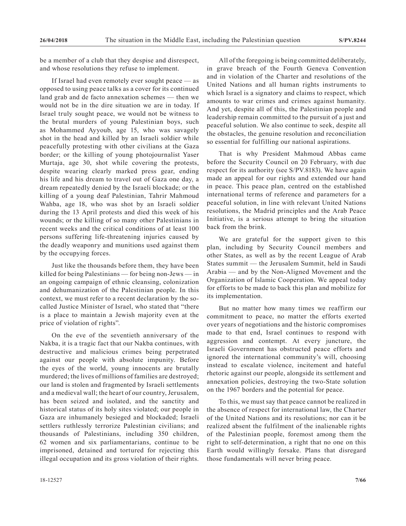be a member of a club that they despise and disrespect, and whose resolutions they refuse to implement.

If Israel had even remotely ever sought peace — as opposed to using peace talks as a cover for its continued land grab and de facto annexation schemes — then we would not be in the dire situation we are in today. If Israel truly sought peace, we would not be witness to the brutal murders of young Palestinian boys, such as Mohammed Ayyoub, age 15, who was savagely shot in the head and killed by an Israeli soldier while peacefully protesting with other civilians at the Gaza border; or the killing of young photojournalist Yaser Murtaja, age 30, shot while covering the protests, despite wearing clearly marked press gear, ending his life and his dream to travel out of Gaza one day, a dream repeatedly denied by the Israeli blockade; or the killing of a young deaf Palestinian, Tahrir Mahmoud Wahba, age 18, who was shot by an Israeli soldier during the 13 April protests and died this week of his wounds; or the killing of so many other Palestinians in recent weeks and the critical conditions of at least 100 persons suffering life-threatening injuries caused by the deadly weaponry and munitions used against them by the occupying forces.

Just like the thousands before them, they have been killed for being Palestinians — for being non-Jews — in an ongoing campaign of ethnic cleansing, colonization and dehumanization of the Palestinian people. In this context, we must refer to a recent declaration by the socalled Justice Minister of Israel, who stated that "there is a place to maintain a Jewish majority even at the price of violation of rights".

On the eve of the seventieth anniversary of the Nakba, it is a tragic fact that our Nakba continues, with destructive and malicious crimes being perpetrated against our people with absolute impunity. Before the eyes of the world, young innocents are brutally murdered; the lives of millions of families are destroyed; our land is stolen and fragmented by Israeli settlements and a medieval wall; the heart of our country, Jerusalem, has been seized and isolated, and the sanctity and historical status of its holy sites violated; our people in Gaza are inhumanely besieged and blockaded; Israeli settlers ruthlessly terrorize Palestinian civilians; and thousands of Palestinians, including 350 children, 62 women and six parliamentarians, continue to be imprisoned, detained and tortured for rejecting this illegal occupation and its gross violation of their rights.

All of the foregoing is being committed deliberately, in grave breach of the Fourth Geneva Convention and in violation of the Charter and resolutions of the United Nations and all human rights instruments to which Israel is a signatory and claims to respect, which amounts to war crimes and crimes against humanity. And yet, despite all of this, the Palestinian people and leadership remain committed to the pursuit of a just and peaceful solution. We also continue to seek, despite all the obstacles, the genuine resolution and reconciliation so essential for fulfilling our national aspirations.

That is why President Mahmoud Abbas came before the Security Council on 20 February, with due respect for its authority (see S/PV.8183). We have again made an appeal for our rights and extended our hand in peace. This peace plan, centred on the established international terms of reference and parameters for a peaceful solution, in line with relevant United Nations resolutions, the Madrid principles and the Arab Peace Initiative, is a serious attempt to bring the situation back from the brink.

We are grateful for the support given to this plan, including by Security Council members and other States, as well as by the recent League of Arab States summit — the Jerusalem Summit, held in Saudi Arabia — and by the Non-Aligned Movement and the Organization of Islamic Cooperation. We appeal today for efforts to be made to back this plan and mobilize for its implementation.

But no matter how many times we reaffirm our commitment to peace, no matter the efforts exerted over years of negotiations and the historic compromises made to that end, Israel continues to respond with aggression and contempt. At every juncture, the Israeli Government has obstructed peace efforts and ignored the international community's will, choosing instead to escalate violence, incitement and hateful rhetoric against our people, alongside its settlement and annexation policies, destroying the two-State solution on the 1967 borders and the potential for peace.

To this, we must say that peace cannot be realized in the absence of respect for international law, the Charter of the United Nations and its resolutions; nor can it be realized absent the fulfilment of the inalienable rights of the Palestinian people, foremost among them the right to self-determination, a right that no one on this Earth would willingly forsake. Plans that disregard those fundamentals will never bring peace.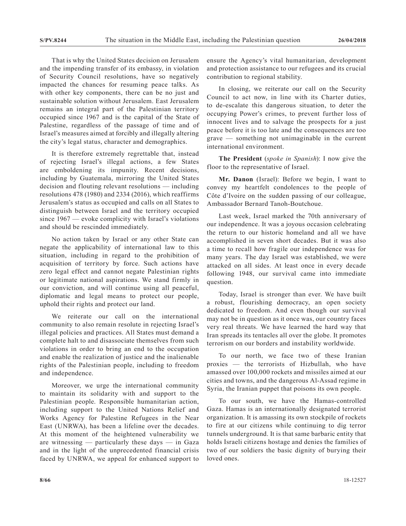That is why the United States decision on Jerusalem and the impending transfer of its embassy, in violation of Security Council resolutions, have so negatively impacted the chances for resuming peace talks. As with other key components, there can be no just and sustainable solution without Jerusalem. East Jerusalem remains an integral part of the Palestinian territory occupied since 1967 and is the capital of the State of Palestine, regardless of the passage of time and of Israel's measures aimed at forcibly and illegally altering the city's legal status, character and demographics.

It is therefore extremely regrettable that, instead of rejecting Israel's illegal actions, a few States are emboldening its impunity. Recent decisions, including by Guatemala, mirroring the United States decision and flouting relevant resolutions — including resolutions 478 (1980) and 2334 (2016), which reaffirms Jerusalem's status as occupied and calls on all States to distinguish between Israel and the territory occupied since 1967 — evoke complicity with Israel's violations and should be rescinded immediately.

No action taken by Israel or any other State can negate the applicability of international law to this situation, including in regard to the prohibition of acquisition of territory by force. Such actions have zero legal effect and cannot negate Palestinian rights or legitimate national aspirations. We stand firmly in our conviction, and will continue using all peaceful, diplomatic and legal means to protect our people, uphold their rights and protect our land.

We reiterate our call on the international community to also remain resolute in rejecting Israel's illegal policies and practices. All States must demand a complete halt to and disassociate themselves from such violations in order to bring an end to the occupation and enable the realization of justice and the inalienable rights of the Palestinian people, including to freedom and independence.

Moreover, we urge the international community to maintain its solidarity with and support to the Palestinian people. Responsible humanitarian action, including support to the United Nations Relief and Works Agency for Palestine Refugees in the Near East (UNRWA), has been a lifeline over the decades. At this moment of the heightened vulnerability we are witnessing  $-$  particularly these days  $-$  in Gaza and in the light of the unprecedented financial crisis faced by UNRWA, we appeal for enhanced support to ensure the Agency's vital humanitarian, development and protection assistance to our refugees and its crucial contribution to regional stability.

In closing, we reiterate our call on the Security Council to act now, in line with its Charter duties, to de-escalate this dangerous situation, to deter the occupying Power's crimes, to prevent further loss of innocent lives and to salvage the prospects for a just peace before it is too late and the consequences are too grave — something not unimaginable in the current international environment.

**The President** (*spoke in Spanish*): I now give the floor to the representative of Israel.

**Mr. Danon** (Israel): Before we begin, I want to convey my heartfelt condolences to the people of Côte d'Ivoire on the sudden passing of our colleague, Ambassador Bernard Tanoh-Boutchoue.

Last week, Israel marked the 70th anniversary of our independence. It was a joyous occasion celebrating the return to our historic homeland and all we have accomplished in seven short decades. But it was also a time to recall how fragile our independence was for many years. The day Israel was established, we were attacked on all sides. At least once in every decade following 1948, our survival came into immediate question.

Today, Israel is stronger than ever. We have built a robust, flourishing democracy, an open society dedicated to freedom. And even though our survival may not be in question as it once was, our country faces very real threats. We have learned the hard way that Iran spreads its tentacles all over the globe. It promotes terrorism on our borders and instability worldwide.

To our north, we face two of these Iranian proxies — the terrorists of Hizbullah, who have amassed over 100,000 rockets and missiles aimed at our cities and towns, and the dangerous Al-Assad regime in Syria, the Iranian puppet that poisons its own people.

To our south, we have the Hamas-controlled Gaza. Hamas is an internationally designated terrorist organization. It is amassing its own stockpile of rockets to fire at our citizens while continuing to dig terror tunnels underground. It is that same barbaric entity that holds Israeli citizens hostage and denies the families of two of our soldiers the basic dignity of burying their loved ones.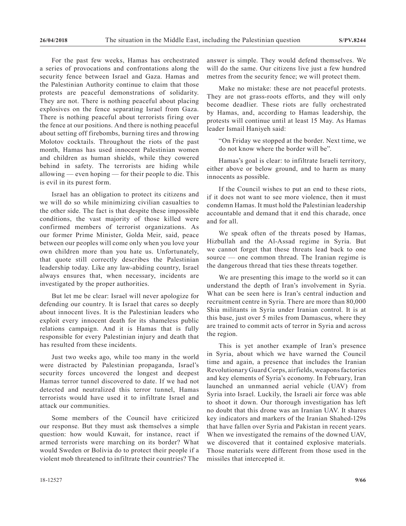For the past few weeks, Hamas has orchestrated a series of provocations and confrontations along the security fence between Israel and Gaza. Hamas and the Palestinian Authority continue to claim that those protests are peaceful demonstrations of solidarity. They are not. There is nothing peaceful about placing explosives on the fence separating Israel from Gaza. There is nothing peaceful about terrorists firing over the fence at our positions. And there is nothing peaceful about setting off firebombs, burning tires and throwing Molotov cocktails. Throughout the riots of the past month, Hamas has used innocent Palestinian women and children as human shields, while they cowered behind in safety. The terrorists are hiding while allowing — even hoping — for their people to die. This is evil in its purest form.

Israel has an obligation to protect its citizens and we will do so while minimizing civilian casualties to the other side. The fact is that despite these impossible conditions, the vast majority of those killed were confirmed members of terrorist organizations. As our former Prime Minister, Golda Meir, said, peace between our peoples will come only when you love your own children more than you hate us. Unfortunately, that quote still correctly describes the Palestinian leadership today. Like any law-abiding country, Israel always ensures that, when necessary, incidents are investigated by the proper authorities.

But let me be clear: Israel will never apologize for defending our country. It is Israel that cares so deeply about innocent lives. It is the Palestinian leaders who exploit every innocent death for its shameless public relations campaign. And it is Hamas that is fully responsible for every Palestinian injury and death that has resulted from these incidents.

Just two weeks ago, while too many in the world were distracted by Palestinian propaganda, Israel's security forces uncovered the longest and deepest Hamas terror tunnel discovered to date. If we had not detected and neutralized this terror tunnel, Hamas terrorists would have used it to infiltrate Israel and attack our communities.

Some members of the Council have criticized our response. But they must ask themselves a simple question: how would Kuwait, for instance, react if armed terrorists were marching on its border? What would Sweden or Bolivia do to protect their people if a violent mob threatened to infiltrate their countries? The

answer is simple. They would defend themselves. We will do the same. Our citizens live just a few hundred metres from the security fence; we will protect them.

Make no mistake: these are not peaceful protests. They are not grass-roots efforts, and they will only become deadlier. These riots are fully orchestrated by Hamas, and, according to Hamas leadership, the protests will continue until at least 15 May. As Hamas leader Ismail Haniyeh said:

"On Friday we stopped at the border. Next time, we do not know where the border will be".

Hamas's goal is clear: to infiltrate Israeli territory, either above or below ground, and to harm as many innocents as possible.

If the Council wishes to put an end to these riots, if it does not want to see more violence, then it must condemn Hamas. It must hold the Palestinian leadership accountable and demand that it end this charade, once and for all.

We speak often of the threats posed by Hamas, Hizbullah and the Al-Assad regime in Syria. But we cannot forget that these threats lead back to one source — one common thread. The Iranian regime is the dangerous thread that ties these threats together.

We are presenting this image to the world so it can understand the depth of Iran's involvement in Syria. What can be seen here is Iran's central induction and recruitment centre in Syria. There are more than 80,000 Shia militants in Syria under Iranian control. It is at this base, just over 5 miles from Damascus, where they are trained to commit acts of terror in Syria and across the region.

This is yet another example of Iran's presence in Syria, about which we have warned the Council time and again, a presence that includes the Iranian Revolutionary Guard Corps, airfields, weapons factories and key elements of Syria's economy. In February, Iran launched an unmanned aerial vehicle (UAV) from Syria into Israel. Luckily, the Israeli air force was able to shoot it down. Our thorough investigation has left no doubt that this drone was an Iranian UAV. It shares key indicators and markers of the Iranian Shahed-129s that have fallen over Syria and Pakistan in recent years. When we investigated the remains of the downed UAV, we discovered that it contained explosive materials. Those materials were different from those used in the missiles that intercepted it.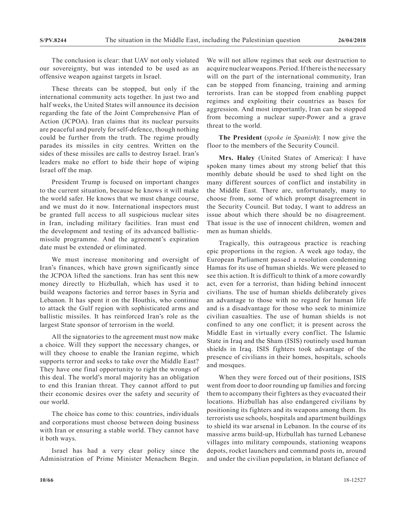The conclusion is clear: that UAV not only violated our sovereignty, but was intended to be used as an offensive weapon against targets in Israel.

These threats can be stopped, but only if the international community acts together. In just two and half weeks, the United States will announce its decision regarding the fate of the Joint Comprehensive Plan of Action (JCPOA). Iran claims that its nuclear pursuits are peaceful and purely for self-defence, though nothing could be further from the truth. The regime proudly parades its missiles in city centres. Written on the sides of these missiles are calls to destroy Israel. Iran's leaders make no effort to hide their hope of wiping Israel off the map.

President Trump is focused on important changes to the current situation, because he knows it will make the world safer. He knows that we must change course, and we must do it now. International inspectors must be granted full access to all suspicious nuclear sites in Iran, including military facilities. Iran must end the development and testing of its advanced ballisticmissile programme. And the agreement's expiration date must be extended or eliminated.

We must increase monitoring and oversight of Iran's finances, which have grown significantly since the JCPOA lifted the sanctions. Iran has sent this new money directly to Hizbullah, which has used it to build weapons factories and terror bases in Syria and Lebanon. It has spent it on the Houthis, who continue to attack the Gulf region with sophisticated arms and ballistic missiles. It has reinforced Iran's role as the largest State sponsor of terrorism in the world.

All the signatories to the agreement must now make a choice. Will they support the necessary changes, or will they choose to enable the Iranian regime, which supports terror and seeks to take over the Middle East? They have one final opportunity to right the wrongs of this deal. The world's moral majority has an obligation to end this Iranian threat. They cannot afford to put their economic desires over the safety and security of our world.

The choice has come to this: countries, individuals and corporations must choose between doing business with Iran or ensuring a stable world. They cannot have it both ways.

Israel has had a very clear policy since the Administration of Prime Minister Menachem Begin. We will not allow regimes that seek our destruction to acquire nuclear weapons. Period. If there is the necessary will on the part of the international community, Iran can be stopped from financing, training and arming terrorists. Iran can be stopped from enabling puppet regimes and exploiting their countries as bases for aggression. And most importantly, Iran can be stopped from becoming a nuclear super-Power and a grave threat to the world.

**The President** (*spoke in Spanish*): I now give the floor to the members of the Security Council.

**Mrs. Haley** (United States of America): I have spoken many times about my strong belief that this monthly debate should be used to shed light on the many different sources of conflict and instability in the Middle East. There are, unfortunately, many to choose from, some of which prompt disagreement in the Security Council. But today, I want to address an issue about which there should be no disagreement. That issue is the use of innocent children, women and men as human shields.

Tragically, this outrageous practice is reaching epic proportions in the region. A week ago today, the European Parliament passed a resolution condemning Hamas for its use of human shields. We were pleased to see this action. It is difficult to think of a more cowardly act, even for a terrorist, than hiding behind innocent civilians. The use of human shields deliberately gives an advantage to those with no regard for human life and is a disadvantage for those who seek to minimize civilian casualties. The use of human shields is not confined to any one conflict; it is present across the Middle East in virtually every conflict. The Islamic State in Iraq and the Sham (ISIS) routinely used human shields in Iraq. ISIS fighters took advantage of the presence of civilians in their homes, hospitals, schools and mosques.

When they were forced out of their positions, ISIS went from door to door rounding up families and forcing them to accompany their fighters as they evacuated their locations. Hizbullah has also endangered civilians by positioning its fighters and its weapons among them. Its terrorists use schools, hospitals and apartment buildings to shield its war arsenal in Lebanon. In the course of its massive arms build-up, Hizbullah has turned Lebanese villages into military compounds, stationing weapons depots, rocket launchers and command posts in, around and under the civilian population, in blatant defiance of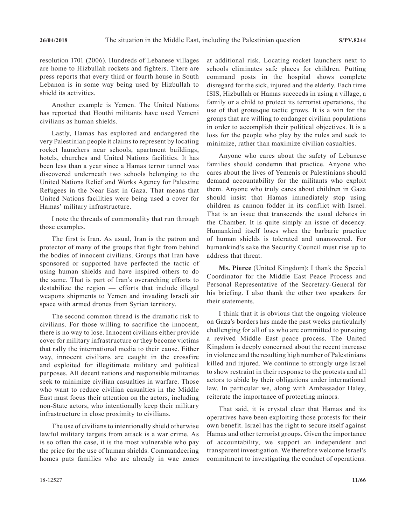resolution 1701 (2006). Hundreds of Lebanese villages are home to Hizbullah rockets and fighters. There are press reports that every third or fourth house in South Lebanon is in some way being used by Hizbullah to shield its activities.

Another example is Yemen. The United Nations has reported that Houthi militants have used Yemeni civilians as human shields.

Lastly, Hamas has exploited and endangered the very Palestinian people it claims to represent by locating rocket launchers near schools, apartment buildings, hotels, churches and United Nations facilities. It has been less than a year since a Hamas terror tunnel was discovered underneath two schools belonging to the United Nations Relief and Works Agency for Palestine Refugees in the Near East in Gaza. That means that United Nations facilities were being used a cover for Hamas' military infrastructure.

I note the threads of commonality that run through those examples.

The first is Iran. As usual, Iran is the patron and protector of many of the groups that fight from behind the bodies of innocent civilians. Groups that Iran have sponsored or supported have perfected the tactic of using human shields and have inspired others to do the same. That is part of Iran's overarching efforts to destabilize the region — efforts that include illegal weapons shipments to Yemen and invading Israeli air space with armed drones from Syrian territory.

The second common thread is the dramatic risk to civilians. For those willing to sacrifice the innocent, there is no way to lose. Innocent civilians either provide cover for military infrastructure or they become victims that rally the international media to their cause. Either way, innocent civilians are caught in the crossfire and exploited for illegitimate military and political purposes. All decent nations and responsible militaries seek to minimize civilian casualties in warfare. Those who want to reduce civilian casualties in the Middle East must focus their attention on the actors, including non-State actors, who intentionally keep their military infrastructure in close proximity to civilians.

The use of civilians to intentionally shield otherwise lawful military targets from attack is a war crime. As is so often the case, it is the most vulnerable who pay the price for the use of human shields. Commandeering homes puts families who are already in wae zones at additional risk. Locating rocket launchers next to schools eliminates safe places for children. Putting command posts in the hospital shows complete disregard for the sick, injured and the elderly. Each time ISIS, Hizbullah or Hamas succeeds in using a village, a family or a child to protect its terrorist operations, the use of that grotesque tactic grows. It is a win for the groups that are willing to endanger civilian populations in order to accomplish their political objectives. It is a loss for the people who play by the rules and seek to minimize, rather than maximize civilian casualties.

Anyone who cares about the safety of Lebanese families should condemn that practice. Anyone who cares about the lives of Yemenis or Palestinians should demand accountability for the militants who exploit them. Anyone who truly cares about children in Gaza should insist that Hamas immediately stop using children as cannon fodder in its conflict with Israel. That is an issue that transcends the usual debates in the Chamber. It is quite simply an issue of decency. Humankind itself loses when the barbaric practice of human shields is tolerated and unanswered. For humankind's sake the Security Council must rise up to address that threat.

**Ms. Pierce** (United Kingdom): I thank the Special Coordinator for the Middle East Peace Process and Personal Representative of the Secretary-General for his briefing. I also thank the other two speakers for their statements.

I think that it is obvious that the ongoing violence on Gaza's borders has made the past weeks particularly challenging for all of us who are committed to pursuing a revived Middle East peace process. The United Kingdom is deeply concerned about the recent increase in violence and the resulting high number of Palestinians killed and injured. We continue to strongly urge Israel to show restraint in their response to the protests and all actors to abide by their obligations under international law. In particular we, along with Ambassador Haley, reiterate the importance of protecting minors.

That said, it is crystal clear that Hamas and its operatives have been exploiting those protests for their own benefit. Israel has the right to secure itself against Hamas and other terrorist groups. Given the importance of accountability, we support an independent and transparent investigation. We therefore welcome Israel's commitment to investigating the conduct of operations.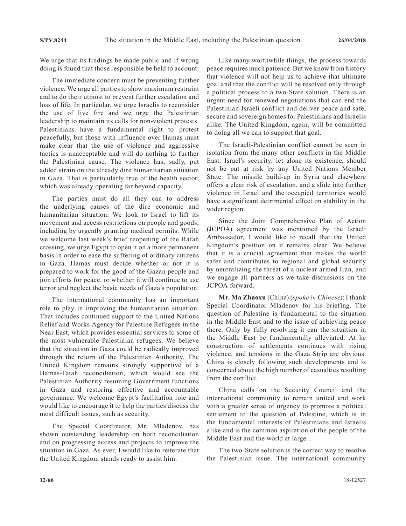We urge that its findings be made public and if wrong doing is found that those responsible be held to account.

The immediate concern must be preventing further violence. We urge all parties to show maximum restraint and to do their utmost to prevent further escalation and loss of life. In particular, we urge Israelis to reconsider the use of live fire and we urge the Palestinian leadership to maintain its calls for non-violent protests. Palestinians have a fundamental right to protest peacefully, but those with influence over Hamas must make clear that the use of violence and aggressive tactics is unacceptable and will do nothing to further the Palestinian cause. The violence has, sadly, put added strain on the already dire humanitarian situation in Gaza. That is particularly true of the health sector, which was already operating far beyond capacity.

The parties must do all they can to address the underlying causes of the dire economic and humanitarian situation. We look to Israel to lift its movement and access restrictions on people and goods, including by urgently granting medical permits. While we welcome last week's brief reopening of the Rafah crossing, we urge Egypt to open it on a more permanent basis in order to ease the suffering of ordinary citizens in Gaza. Hamas must decide whether or not it is prepared to work for the good of the Gazan people and join efforts for peace, or whether it will continue to use terror and neglect the basic needs of Gaza's population.

The international community has an important role to play in improving the humanitarian situation. That includes continued support to the United Nations Relief and Works Agency for Palestine Refugees in the Near East, which provides essential services to some of the most vulnerable Palestinian refugees. We believe that the situation in Gaza could be radically improved through the return of the Palestinian Authority. The United Kingdom remains strongly supportive of a Hamas-Fatah reconciliation, which would see the Palestinian Authority resuming Government functions in Gaza and restoring effective and accountable governance. We welcome Egypt's facilitation role and would like to encourage it to help the parties discuss the most difficult issues, such as security.

The Special Coordinator, Mr. Mladenov, has shown outstanding leadership on both reconciliation and on progressing access and projects to improve the situation in Gaza. As ever, I would like to reiterate that the United Kingdom stands ready to assist him.

Like many worthwhile things, the process towards peace requires much patience. But we know from history that violence will not help us to achieve that ultimate goal and that the conflict will be resolved only through a political process to a two-State solution. There is an urgent need for renewed negotiations that can end the Palestinian-Israeli conflict and deliver peace and safe, secure and sovereign homes for Palestinians and Israelis alike. The United Kingdom, again, will be committed to doing all we can to support that goal.

The Israeli-Palestinian conflict cannot be seen in isolation from the many other conflicts in the Middle East. Israel's security, let alone its existence, should not be put at risk by any United Nations Member State. The missile build-up in Syria and elsewhere offers a clear risk of escalation, and a slide into further violence in Israel and the occupied territories would have a significant detrimental effect on stability in the wider region.

Since the Joint Comprehensive Plan of Action (JCPOA) agreement was mentioned by the Israeli Ambassador, I would like to recall that the United Kingdom's position on it remains clear. We believe that it is a crucial agreement that makes the world safer and contributes to regional and global security by neutralizing the threat of a nuclear-armed Iran, and we engage all partners as we take discussions on the JCPOA forward.

**Mr. Ma Zhaoxu** (China) (*spoke in Chinese*): I thank Special Coordinator Mladenov for his briefing. The question of Palestine is fundamental to the situation in the Middle East and to the issue of achieving peace there. Only by fully resolving it can the situation in the Middle East be fundamentally alleviated. At he construction of settlements continues with rising violence, and tensions in the Gaza Strip are obvious. China is closely following such developments and is concerned about the high number of casualties resulting from the conflict.

China calls on the Security Council and the international community to remain united and work with a greater sense of urgency to promote a political settlement to the question of Palestine, which is in the fundamental interests of Palestinians and Israelis alike and is the common aspiration of the people of the Middle East and the world at large. .

The two-State solution is the correct way to resolve the Palestinian issue. The international community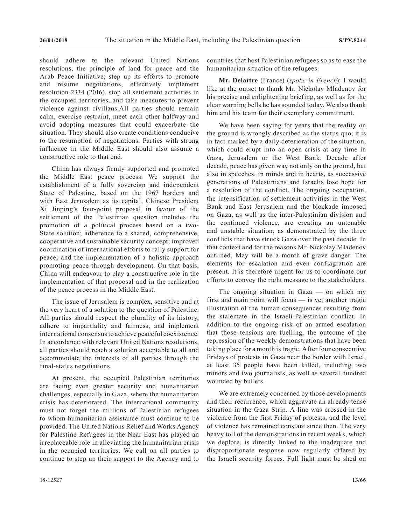should adhere to the relevant United Nations resolutions, the principle of land for peace and the Arab Peace Initiative; step up its efforts to promote and resume negotiations, effectively implement resolution 2334 (2016), stop all settlement activities in the occupied territories, and take measures to prevent violence against civilians.All parties should remain calm, exercise restraint, meet each other halfway and avoid adopting measures that could exacerbate the situation. They should also create conditions conducive to the resumption of negotiations. Parties with strong influence in the Middle East should also assume a constructive role to that end.

China has always firmly supported and promoted the Middle East peace process. We support the establishment of a fully sovereign and independent State of Palestine, based on the 1967 borders and with East Jerusalem as its capital. Chinese President Xi Jinping's four-point proposal in favour of the settlement of the Palestinian question includes the promotion of a political process based on a two-State solution; adherence to a shared, comprehensive, cooperative and sustainable security concept; improved coordination of international efforts to rally support for peace; and the implementation of a holistic approach promoting peace through development. On that basis, China will endeavour to play a constructive role in the implementation of that proposal and in the realization of the peace process in the Middle East.

The issue of Jerusalem is complex, sensitive and at the very heart of a solution to the question of Palestine. All parties should respect the plurality of its history, adhere to impartiality and fairness, and implement international consensus to achieve peaceful coexistence. In accordance with relevant United Nations resolutions, all parties should reach a solution acceptable to all and accommodate the interests of all parties through the final-status negotiations.

At present, the occupied Palestinian territories are facing even greater security and humanitarian challenges, especially in Gaza, where the humanitarian crisis has deteriorated. The international community must not forget the millions of Palestinian refugees to whom humanitarian assistance must continue to be provided. The United Nations Relief and Works Agency for Palestine Refugees in the Near East has played an irreplaceable role in alleviating the humanitarian crisis in the occupied territories. We call on all parties to continue to step up their support to the Agency and to countries that host Palestinian refugees so as to ease the humanitarian situation of the refugees.

**Mr. Delattre** (France) (*spoke in French*): I would like at the outset to thank Mr. Nickolay Mladenov for his precise and enlightening briefing, as well as for the clear warning bells he has sounded today. We also thank him and his team for their exemplary commitment.

We have been saying for years that the reality on the ground is wrongly described as the status quo; it is in fact marked by a daily deterioration of the situation, which could erupt into an open crisis at any time in Gaza, Jerusalem or the West Bank. Decade after decade, peace has given way not only on the ground, but also in speeches, in minds and in hearts, as successive generations of Palestinians and Israelis lose hope for a resolution of the conflict. The ongoing occupation, the intensification of settlement activities in the West Bank and East Jerusalem and the blockade imposed on Gaza, as well as the inter-Palestinian division and the continued violence, are creating an untenable and unstable situation, as demonstrated by the three conflicts that have struck Gaza over the past decade. In that context and for the reasons Mr. Nickolay Mladenov outlined, May will be a month of grave danger. The elements for escalation and even conflagration are present. It is therefore urgent for us to coordinate our efforts to convey the right message to the stakeholders.

The ongoing situation in Gaza — on which my first and main point will focus — is yet another tragic illustration of the human consequences resulting from the stalemate in the Israeli-Palestinian conflict. In addition to the ongoing risk of an armed escalation that those tensions are fuelling, the outcome of the repression of the weekly demonstrations that have been taking place for a month is tragic. After four consecutive Fridays of protests in Gaza near the border with Israel, at least 35 people have been killed, including two minors and two journalists, as well as several hundred wounded by bullets.

We are extremely concerned by those developments and their recurrence, which aggravate an already tense situation in the Gaza Strip. A line was crossed in the violence from the first Friday of protests, and the level of violence has remained constant since then. The very heavy toll of the demonstrations in recent weeks, which we deplore, is directly linked to the inadequate and disproportionate response now regularly offered by the Israeli security forces. Full light must be shed on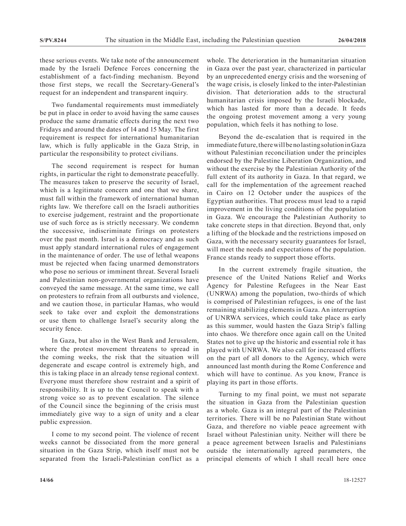these serious events. We take note of the announcement made by the Israeli Defence Forces concerning the establishment of a fact-finding mechanism. Beyond those first steps, we recall the Secretary-General's request for an independent and transparent inquiry.

Two fundamental requirements must immediately be put in place in order to avoid having the same causes produce the same dramatic effects during the next two Fridays and around the dates of 14 and 15 May. The first requirement is respect for international humanitarian law, which is fully applicable in the Gaza Strip, in particular the responsibility to protect civilians.

The second requirement is respect for human rights, in particular the right to demonstrate peacefully. The measures taken to preserve the security of Israel, which is a legitimate concern and one that we share, must fall within the framework of international human rights law. We therefore call on the Israeli authorities to exercise judgement, restraint and the proportionate use of such force as is strictly necessary. We condemn the successive, indiscriminate firings on protesters over the past month. Israel is a democracy and as such must apply standard international rules of engagement in the maintenance of order. The use of lethal weapons must be rejected when facing unarmed demonstrators who pose no serious or imminent threat. Several Israeli and Palestinian non-governmental organizations have conveyed the same message. At the same time, we call on protesters to refrain from all outbursts and violence, and we caution those, in particular Hamas, who would seek to take over and exploit the demonstrations or use them to challenge Israel's security along the security fence.

In Gaza, but also in the West Bank and Jerusalem, where the protest movement threatens to spread in the coming weeks, the risk that the situation will degenerate and escape control is extremely high, and this is taking place in an already tense regional context. Everyone must therefore show restraint and a spirit of responsibility. It is up to the Council to speak with a strong voice so as to prevent escalation. The silence of the Council since the beginning of the crisis must immediately give way to a sign of unity and a clear public expression.

I come to my second point. The violence of recent weeks cannot be dissociated from the more general situation in the Gaza Strip, which itself must not be separated from the Israeli-Palestinian conflict as a

whole. The deterioration in the humanitarian situation in Gaza over the past year, characterized in particular by an unprecedented energy crisis and the worsening of the wage crisis, is closely linked to the inter-Palestinian division. That deterioration adds to the structural humanitarian crisis imposed by the Israeli blockade, which has lasted for more than a decade. It feeds the ongoing protest movement among a very young population, which feels it has nothing to lose.

Beyond the de-escalation that is required in the immediate future, there will be no lasting solution in Gaza without Palestinian reconciliation under the principles endorsed by the Palestine Liberation Organization, and without the exercise by the Palestinian Authority of the full extent of its authority in Gaza. In that regard, we call for the implementation of the agreement reached in Cairo on 12 October under the auspices of the Egyptian authorities. That process must lead to a rapid improvement in the living conditions of the population in Gaza. We encourage the Palestinian Authority to take concrete steps in that direction. Beyond that, only a lifting of the blockade and the restrictions imposed on Gaza, with the necessary security guarantees for Israel, will meet the needs and expectations of the population. France stands ready to support those efforts.

In the current extremely fragile situation, the presence of the United Nations Relief and Works Agency for Palestine Refugees in the Near East (UNRWA) among the population, two-thirds of which is comprised of Palestinian refugees, is one of the last remaining stabilizing elements in Gaza. An interruption of UNRWA services, which could take place as early as this summer, would hasten the Gaza Strip's falling into chaos. We therefore once again call on the United States not to give up the historic and essential role it has played with UNRWA. We also call for increased efforts on the part of all donors to the Agency, which were announced last month during the Rome Conference and which will have to continue. As you know, France is playing its part in those efforts.

Turning to my final point, we must not separate the situation in Gaza from the Palestinian question as a whole. Gaza is an integral part of the Palestinian territories. There will be no Palestinian State without Gaza, and therefore no viable peace agreement with Israel without Palestinian unity. Neither will there be a peace agreement between Israelis and Palestinians outside the internationally agreed parameters, the principal elements of which I shall recall here once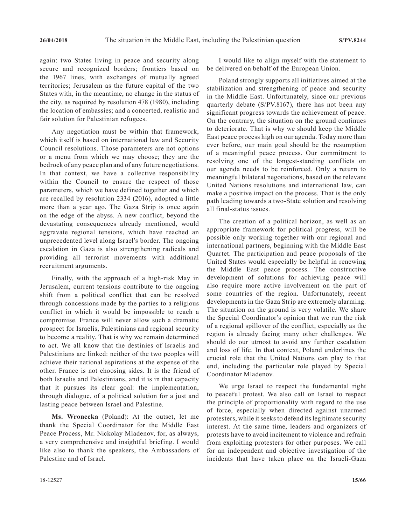again: two States living in peace and security along secure and recognized borders; frontiers based on the 1967 lines, with exchanges of mutually agreed territories; Jerusalem as the future capital of the two States with, in the meantime, no change in the status of the city, as required by resolution 478 (1980), including the location of embassies; and a concerted, realistic and fair solution for Palestinian refugees.

Any negotiation must be within that framework, which itself is based on international law and Security Council resolutions. Those parameters are not options or a menu from which we may choose; they are the bedrock of any peace plan and of any future negotiations. In that context, we have a collective responsibility within the Council to ensure the respect of those parameters, which we have defined together and which are recalled by resolution 2334 (2016), adopted a little more than a year ago. The Gaza Strip is once again on the edge of the abyss. A new conflict, beyond the devastating consequences already mentioned, would aggravate regional tensions, which have reached an unprecedented level along Israel's border. The ongoing escalation in Gaza is also strengthening radicals and providing all terrorist movements with additional recruitment arguments.

Finally, with the approach of a high-risk May in Jerusalem, current tensions contribute to the ongoing shift from a political conflict that can be resolved through concessions made by the parties to a religious conflict in which it would be impossible to reach a compromise. France will never allow such a dramatic prospect for Israelis, Palestinians and regional security to become a reality. That is why we remain determined to act. We all know that the destinies of Israelis and Palestinians are linked: neither of the two peoples will achieve their national aspirations at the expense of the other. France is not choosing sides. It is the friend of both Israelis and Palestinians, and it is in that capacity that it pursues its clear goal: the implementation, through dialogue, of a political solution for a just and lasting peace between Israel and Palestine.

**Ms. Wronecka** (Poland): At the outset, let me thank the Special Coordinator for the Middle East Peace Process, Mr. Nickolay Mladenov, for, as always, a very comprehensive and insightful briefing. I would like also to thank the speakers, the Ambassadors of Palestine and of Israel.

I would like to align myself with the statement to be delivered on behalf of the European Union.

Poland strongly supports all initiatives aimed at the stabilization and strengthening of peace and security in the Middle East. Unfortunately, since our previous quarterly debate (S/PV.8167), there has not been any significant progress towards the achievement of peace. On the contrary, the situation on the ground continues to deteriorate. That is why we should keep the Middle East peace process high on our agenda. Today more than ever before, our main goal should be the resumption of a meaningful peace process. Our commitment to resolving one of the longest-standing conflicts on our agenda needs to be reinforced. Only a return to meaningful bilateral negotiations, based on the relevant United Nations resolutions and international law, can make a positive impact on the process. That is the only path leading towards a two-State solution and resolving all final-status issues.

The creation of a political horizon, as well as an appropriate framework for political progress, will be possible only working together with our regional and international partners, beginning with the Middle East Quartet. The participation and peace proposals of the United States would especially be helpful in renewing the Middle East peace process. The constructive development of solutions for achieving peace will also require more active involvement on the part of some countries of the region. Unfortunately, recent developments in the Gaza Strip are extremely alarming. The situation on the ground is very volatile. We share the Special Coordinator's opinion that we run the risk of a regional spillover of the conflict, especially as the region is already facing many other challenges. We should do our utmost to avoid any further escalation and loss of life. In that context, Poland underlines the crucial role that the United Nations can play to that end, including the particular role played by Special Coordinator Mladenov.

We urge Israel to respect the fundamental right to peaceful protest. We also call on Israel to respect the principle of proportionality with regard to the use of force, especially when directed against unarmed protesters, while it seeks to defend its legitimate security interest. At the same time, leaders and organizers of protests have to avoid incitement to violence and refrain from exploiting protesters for other purposes. We call for an independent and objective investigation of the incidents that have taken place on the Israeli-Gaza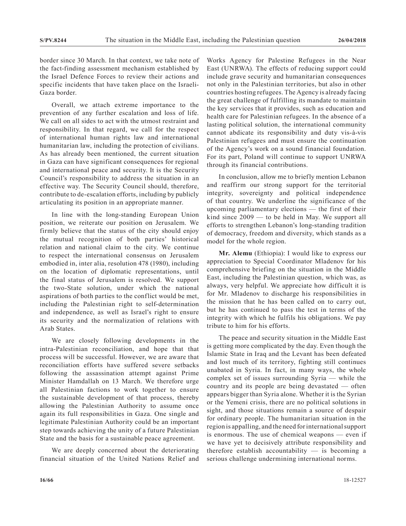border since 30 March. In that context, we take note of the fact-finding assessment mechanism established by the Israel Defence Forces to review their actions and specific incidents that have taken place on the Israeli-Gaza border.

Overall, we attach extreme importance to the prevention of any further escalation and loss of life. We call on all sides to act with the utmost restraint and responsibility. In that regard, we call for the respect of international human rights law and international humanitarian law, including the protection of civilians. As has already been mentioned, the current situation in Gaza can have significant consequences for regional and international peace and security. It is the Security Council's responsibility to address the situation in an effective way. The Security Council should, therefore, contribute to de-escalation efforts, including by publicly articulating its position in an appropriate manner.

In line with the long-standing European Union position, we reiterate our position on Jerusalem. We firmly believe that the status of the city should enjoy the mutual recognition of both parties' historical relation and national claim to the city. We continue to respect the international consensus on Jerusalem embodied in, inter alia, resolution 478 (1980), including on the location of diplomatic representations, until the final status of Jerusalem is resolved. We support the two-State solution, under which the national aspirations of both parties to the conflict would be met, including the Palestinian right to self-determination and independence, as well as Israel's right to ensure its security and the normalization of relations with Arab States.

We are closely following developments in the intra-Palestinian reconciliation, and hope that that process will be successful. However, we are aware that reconciliation efforts have suffered severe setbacks following the assassination attempt against Prime Minister Hamdallah on 13 March. We therefore urge all Palestinian factions to work together to ensure the sustainable development of that process, thereby allowing the Palestinian Authority to assume once again its full responsibilities in Gaza. One single and legitimate Palestinian Authority could be an important step towards achieving the unity of a future Palestinian State and the basis for a sustainable peace agreement.

We are deeply concerned about the deteriorating financial situation of the United Nations Relief and Works Agency for Palestine Refugees in the Near East (UNRWA). The effects of reducing support could include grave security and humanitarian consequences not only in the Palestinian territories, but also in other countries hosting refugees. The Agency is already facing the great challenge of fulfilling its mandate to maintain the key services that it provides, such as education and health care for Palestinian refugees. In the absence of a lasting political solution, the international community cannot abdicate its responsibility and duty vis-à-vis Palestinian refugees and must ensure the continuation of the Agency's work on a sound financial foundation. For its part, Poland will continue to support UNRWA through its financial contributions.

In conclusion, allow me to briefly mention Lebanon and reaffirm our strong support for the territorial integrity, sovereignty and political independence of that country. We underline the significance of the upcoming parliamentary elections — the first of their kind since 2009 — to be held in May. We support all efforts to strengthen Lebanon's long-standing tradition of democracy, freedom and diversity, which stands as a model for the whole region.

**Mr. Alemu** (Ethiopia): I would like to express our appreciation to Special Coordinator Mladenov for his comprehensive briefing on the situation in the Middle East, including the Palestinian question, which was, as always, very helpful. We appreciate how difficult it is for Mr. Mladenov to discharge his responsibilities in the mission that he has been called on to carry out, but he has continued to pass the test in terms of the integrity with which he fulfils his obligations. We pay tribute to him for his efforts.

The peace and security situation in the Middle East is getting more complicated by the day. Even though the Islamic State in Iraq and the Levant has been defeated and lost much of its territory, fighting still continues unabated in Syria. In fact, in many ways, the whole complex set of issues surrounding Syria — while the country and its people are being devastated — often appears bigger than Syria alone. Whether it is the Syrian or the Yemeni crisis, there are no political solutions in sight, and those situations remain a source of despair for ordinary people. The humanitarian situation in the region is appalling, and the need for international support is enormous. The use of chemical weapons — even if we have yet to decisively attribute responsibility and therefore establish accountability  $-$  is becoming a serious challenge undermining international norms.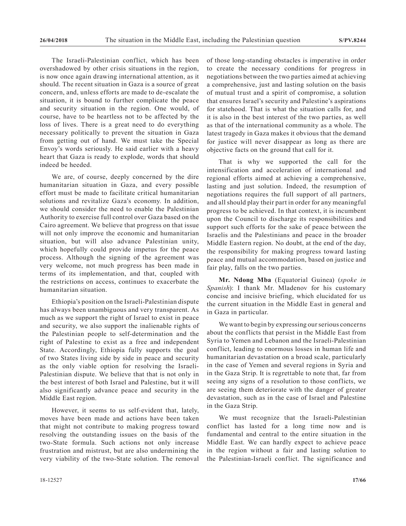The Israeli-Palestinian conflict, which has been overshadowed by other crisis situations in the region, is now once again drawing international attention, as it should. The recent situation in Gaza is a source of great concern, and, unless efforts are made to de-escalate the situation, it is bound to further complicate the peace and security situation in the region. One would, of course, have to be heartless not to be affected by the loss of lives. There is a great need to do everything necessary politically to prevent the situation in Gaza from getting out of hand. We must take the Special Envoy's words seriously. He said earlier with a heavy heart that Gaza is ready to explode, words that should indeed be heeded.

We are, of course, deeply concerned by the dire humanitarian situation in Gaza, and every possible effort must be made to facilitate critical humanitarian solutions and revitalize Gaza's economy. In addition, we should consider the need to enable the Palestinian Authority to exercise full control over Gaza based on the Cairo agreement. We believe that progress on that issue will not only improve the economic and humanitarian situation, but will also advance Palestinian unity, which hopefully could provide impetus for the peace process. Although the signing of the agreement was very welcome, not much progress has been made in terms of its implementation, and that, coupled with the restrictions on access, continues to exacerbate the humanitarian situation.

Ethiopia's position on the Israeli-Palestinian dispute has always been unambiguous and very transparent. As much as we support the right of Israel to exist in peace and security, we also support the inalienable rights of the Palestinian people to self-determination and the right of Palestine to exist as a free and independent State. Accordingly, Ethiopia fully supports the goal of two States living side by side in peace and security as the only viable option for resolving the Israeli-Palestinian dispute. We believe that that is not only in the best interest of both Israel and Palestine, but it will also significantly advance peace and security in the Middle East region.

However, it seems to us self-evident that, lately, moves have been made and actions have been taken that might not contribute to making progress toward resolving the outstanding issues on the basis of the two-State formula. Such actions not only increase frustration and mistrust, but are also undermining the very viability of the two-State solution. The removal of those long-standing obstacles is imperative in order to create the necessary conditions for progress in negotiations between the two parties aimed at achieving a comprehensive, just and lasting solution on the basis of mutual trust and a spirit of compromise, a solution that ensures Israel's security and Palestine's aspirations for statehood. That is what the situation calls for, and it is also in the best interest of the two parties, as well as that of the international community as a whole. The latest tragedy in Gaza makes it obvious that the demand for justice will never disappear as long as there are objective facts on the ground that call for it.

That is why we supported the call for the intensification and acceleration of international and regional efforts aimed at achieving a comprehensive, lasting and just solution. Indeed, the resumption of negotiations requires the full support of all partners, and all should play their part in order for any meaningful progress to be achieved. In that context, it is incumbent upon the Council to discharge its responsibilities and support such efforts for the sake of peace between the Israelis and the Palestinians and peace in the broader Middle Eastern region. No doubt, at the end of the day, the responsibility for making progress toward lasting peace and mutual accommodation, based on justice and fair play, falls on the two parties.

**Mr. Ndong Mba** (Equatorial Guinea) (*spoke in Spanish*): I thank Mr. Mladenov for his customary concise and incisive briefing, which elucidated for us the current situation in the Middle East in general and in Gaza in particular.

We want to begin by expressing our serious concerns about the conflicts that persist in the Middle East from Syria to Yemen and Lebanon and the Israeli-Palestinian conflict, leading to enormous losses in human life and humanitarian devastation on a broad scale, particularly in the case of Yemen and several regions in Syria and in the Gaza Strip. It is regrettable to note that, far from seeing any signs of a resolution to those conflicts, we are seeing them deteriorate with the danger of greater devastation, such as in the case of Israel and Palestine in the Gaza Strip.

We must recognize that the Israeli-Palestinian conflict has lasted for a long time now and is fundamental and central to the entire situation in the Middle East. We can hardly expect to achieve peace in the region without a fair and lasting solution to the Palestinian-Israeli conflict. The significance and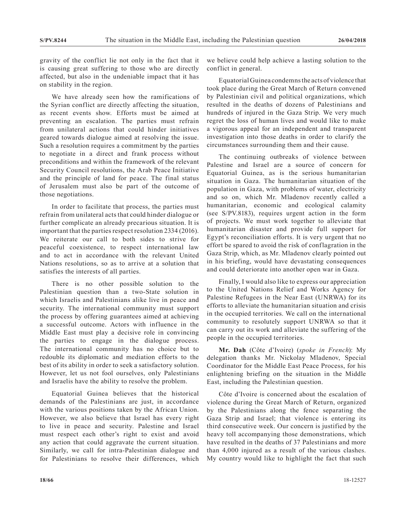gravity of the conflict lie not only in the fact that it is causing great suffering to those who are directly affected, but also in the undeniable impact that it has on stability in the region.

We have already seen how the ramifications of the Syrian conflict are directly affecting the situation, as recent events show. Efforts must be aimed at preventing an escalation. The parties must refrain from unilateral actions that could hinder initiatives geared towards dialogue aimed at resolving the issue. Such a resolution requires a commitment by the parties to negotiate in a direct and frank process without preconditions and within the framework of the relevant Security Council resolutions, the Arab Peace Initiative and the principle of land for peace. The final status of Jerusalem must also be part of the outcome of those negotiations.

In order to facilitate that process, the parties must refrain from unilateral acts that could hinder dialogue or further complicate an already precarious situation. It is important that the parties respect resolution 2334 (2016). We reiterate our call to both sides to strive for peaceful coexistence, to respect international law and to act in accordance with the relevant United Nations resolutions, so as to arrive at a solution that satisfies the interests of all parties.

There is no other possible solution to the Palestinian question than a two-State solution in which Israelis and Palestinians alike live in peace and security. The international community must support the process by offering guarantees aimed at achieving a successful outcome. Actors with influence in the Middle East must play a decisive role in convincing the parties to engage in the dialogue process. The international community has no choice but to redouble its diplomatic and mediation efforts to the best of its ability in order to seek a satisfactory solution. However, let us not fool ourselves, only Palestinians and Israelis have the ability to resolve the problem.

Equatorial Guinea believes that the historical demands of the Palestinians are just, in accordance with the various positions taken by the African Union. However, we also believe that Israel has every right to live in peace and security. Palestine and Israel must respect each other's right to exist and avoid any action that could aggravate the current situation. Similarly, we call for intra-Palestinian dialogue and for Palestinians to resolve their differences, which

we believe could help achieve a lasting solution to the conflict in general.

Equatorial Guinea condemns the acts of violence that took place during the Great March of Return convened by Palestinian civil and political organizations, which resulted in the deaths of dozens of Palestinians and hundreds of injured in the Gaza Strip. We very much regret the loss of human lives and would like to make a vigorous appeal for an independent and transparent investigation into those deaths in order to clarify the circumstances surrounding them and their cause.

The continuing outbreaks of violence between Palestine and Israel are a source of concern for Equatorial Guinea, as is the serious humanitarian situation in Gaza. The humanitarian situation of the population in Gaza, with problems of water, electricity and so on, which Mr. Mladenov recently called a humanitarian, economic and ecological calamity (see S/PV.8183), requires urgent action in the form of projects. We must work together to alleviate that humanitarian disaster and provide full support for Egypt's reconciliation efforts. It is very urgent that no effort be spared to avoid the risk of conflagration in the Gaza Strip, which, as Mr. Mladenov clearly pointed out in his briefing, would have devastating consequences and could deteriorate into another open war in Gaza.

Finally, I would also like to express our appreciation to the United Nations Relief and Works Agency for Palestine Refugees in the Near East (UNRWA) for its efforts to alleviate the humanitarian situation and crisis in the occupied territories. We call on the international community to resolutely support UNRWA so that it can carry out its work and alleviate the suffering of the people in the occupied territories.

**Mr. Dah** (Côte d'Ivoire) (*spoke in French*): My delegation thanks Mr. Nickolay Mladenov, Special Coordinator for the Middle East Peace Process, for his enlightening briefing on the situation in the Middle East, including the Palestinian question.

Côte d'Ivoire is concerned about the escalation of violence during the Great March of Return, organized by the Palestinians along the fence separating the Gaza Strip and Israel; that violence is entering its third consecutive week. Our concern is justified by the heavy toll accompanying those demonstrations, which have resulted in the deaths of 37 Palestinians and more than 4,000 injured as a result of the various clashes. My country would like to highlight the fact that such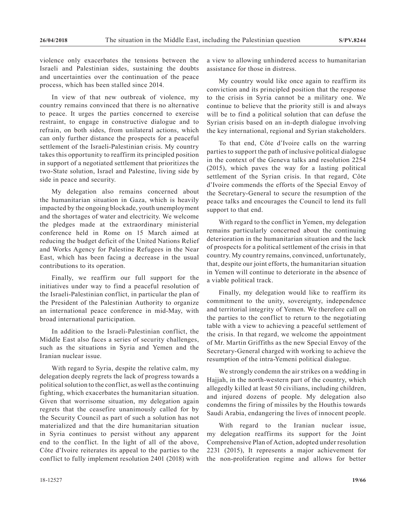violence only exacerbates the tensions between the Israeli and Palestinian sides, sustaining the doubts and uncertainties over the continuation of the peace process, which has been stalled since 2014.

In view of that new outbreak of violence, my country remains convinced that there is no alternative to peace. It urges the parties concerned to exercise restraint, to engage in constructive dialogue and to refrain, on both sides, from unilateral actions, which can only further distance the prospects for a peaceful settlement of the Israeli-Palestinian crisis. My country takes this opportunity to reaffirm its principled position in support of a negotiated settlement that prioritizes the two-State solution, Israel and Palestine, living side by side in peace and security.

My delegation also remains concerned about the humanitarian situation in Gaza, which is heavily impacted by the ongoing blockade, youth unemployment and the shortages of water and electricity. We welcome the pledges made at the extraordinary ministerial conference held in Rome on 15 March aimed at reducing the budget deficit of the United Nations Relief and Works Agency for Palestine Refugees in the Near East, which has been facing a decrease in the usual contributions to its operation.

Finally, we reaffirm our full support for the initiatives under way to find a peaceful resolution of the Israeli-Palestinian conflict, in particular the plan of the President of the Palestinian Authority to organize an international peace conference in mid-May, with broad international participation.

In addition to the Israeli-Palestinian conflict, the Middle East also faces a series of security challenges, such as the situations in Syria and Yemen and the Iranian nuclear issue.

With regard to Syria, despite the relative calm, my delegation deeply regrets the lack of progress towards a political solution to the conflict, as well as the continuing fighting, which exacerbates the humanitarian situation. Given that worrisome situation, my delegation again regrets that the ceasefire unanimously called for by the Security Council as part of such a solution has not materialized and that the dire humanitarian situation in Syria continues to persist without any apparent end to the conflict. In the light of all of the above, Côte d'Ivoire reiterates its appeal to the parties to the conflict to fully implement resolution 2401 (2018) with a view to allowing unhindered access to humanitarian assistance for those in distress.

My country would like once again to reaffirm its conviction and its principled position that the response to the crisis in Syria cannot be a military one. We continue to believe that the priority still is and always will be to find a political solution that can defuse the Syrian crisis based on an in-depth dialogue involving the key international, regional and Syrian stakeholders.

To that end, Côte d'Ivoire calls on the warring parties to support the path of inclusive political dialogue in the context of the Geneva talks and resolution 2254 (2015), which paves the way for a lasting political settlement of the Syrian crisis. In that regard, Côte d'Ivoire commends the efforts of the Special Envoy of the Secretary-General to secure the resumption of the peace talks and encourages the Council to lend its full support to that end.

With regard to the conflict in Yemen, my delegation remains particularly concerned about the continuing deterioration in the humanitarian situation and the lack of prospects for a political settlement of the crisis in that country. My country remains, convinced, unfortunately, that, despite our joint efforts, the humanitarian situation in Yemen will continue to deteriorate in the absence of a viable political track.

Finally, my delegation would like to reaffirm its commitment to the unity, sovereignty, independence and territorial integrity of Yemen. We therefore call on the parties to the conflict to return to the negotiating table with a view to achieving a peaceful settlement of the crisis. In that regard, we welcome the appointment of Mr. Martin Griffiths as the new Special Envoy of the Secretary-General charged with working to achieve the resumption of the intra-Yemeni political dialogue.

We strongly condemn the air strikes on a wedding in Hajjah, in the north-western part of the country, which allegedly killed at least 50 civilians, including children, and injured dozens of people. My delegation also condemns the firing of missiles by the Houthis towards Saudi Arabia, endangering the lives of innocent people.

With regard to the Iranian nuclear issue, my delegation reaffirms its support for the Joint Comprehensive Plan of Action, adopted under resolution 2231 (2015), It represents a major achievement for the non-proliferation regime and allows for better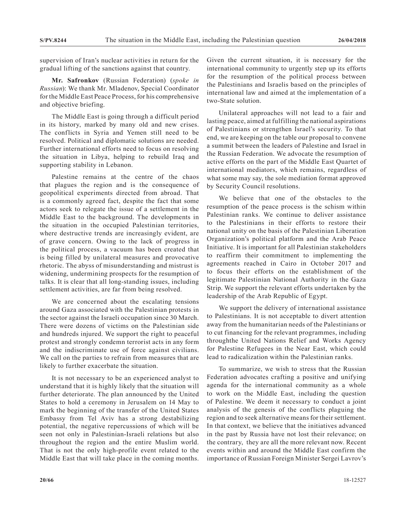supervision of Iran's nuclear activities in return for the gradual lifting of the sanctions against that country.

**Mr. Safronkov** (Russian Federation) (*spoke in Russian*): We thank Mr. Mladenov, Special Coordinator for the Middle East Peace Process, for his comprehensive and objective briefing.

The Middle East is going through a difficult period in its history, marked by many old and new crises. The conflicts in Syria and Yemen still need to be resolved. Political and diplomatic solutions are needed. Further international efforts need to focus on resolving the situation in Libya, helping to rebuild Iraq and supporting stability in Lebanon.

Palestine remains at the centre of the chaos that plagues the region and is the consequence of geopolitical experiments directed from abroad. That is a commonly agreed fact, despite the fact that some actors seek to relegate the issue of a settlement in the Middle East to the background. The developments in the situation in the occupied Palestinian territories, where destructive trends are increasingly evident, are of grave concern. Owing to the lack of progress in the political process, a vacuum has been created that is being filled by unilateral measures and provocative rhetoric. The abyss of misunderstanding and mistrust is widening, undermining prospects for the resumption of talks. It is clear that all long-standing issues, including settlement activities, are far from being resolved.

We are concerned about the escalating tensions around Gaza associated with the Palestinian protests in the sector against the Israeli occupation since 30 March. There were dozens of victims on the Palestinian side and hundreds injured. We support the right to peaceful protest and strongly condemn terrorist acts in any form and the indiscriminate use of force against civilians. We call on the parties to refrain from measures that are likely to further exacerbate the situation.

It is not necessary to be an experienced analyst to understand that it is highly likely that the situation will further deteriorate. The plan announced by the United States to hold a ceremony in Jerusalem on 14 May to mark the beginning of the transfer of the United States Embassy from Tel Aviv has a strong destabilizing potential, the negative repercussions of which will be seen not only in Palestinian-Israeli relations but also throughout the region and the entire Muslim world. That is not the only high-profile event related to the Middle East that will take place in the coming months. Given the current situation, it is necessary for the international community to urgently step up its efforts for the resumption of the political process between the Palestinians and Israelis based on the principles of international law and aimed at the implementation of a two-State solution.

Unilateral approaches will not lead to a fair and lasting peace, aimed at fulfilling the national aspirations of Palestinians or strengthen Israel's security. To that end, we are keeping on the table our proposal to convene a summit between the leaders of Palestine and Israel in the Russian Federation. We advocate the resumption of active efforts on the part of the Middle East Quartet of international mediators, which remains, regardless of what some may say, the sole mediation format approved by Security Council resolutions.

We believe that one of the obstacles to the resumption of the peace process is the schism within Palestinian ranks. We continue to deliver assistance to the Palestinians in their efforts to restore their national unity on the basis of the Palestinian Liberation Organization's political platform and the Arab Peace Initiative. It is important for all Palestinian stakeholders to reaffirm their commitment to implementing the agreements reached in Cairo in October 2017 and to focus their efforts on the establishment of the legitimate Palestinian National Authority in the Gaza Strip. We support the relevant efforts undertaken by the leadership of the Arab Republic of Egypt.

We support the delivery of international assistance to Palestinians. It is not acceptable to divert attention away from the humanitarian needs of the Palestinians or to cut financing for the relevant programmes, including throughthe United Nations Relief and Works Agency for Palestine Refugees in the Near East, which could lead to radicalization within the Palestinian ranks.

To summarize, we wish to stress that the Russian Federation advocates crafting a positive and unifying agenda for the international community as a whole to work on the Middle East, including the question of Palestine. We deem it necessary to conduct a joint analysis of the genesis of the conflicts plaguing the region and to seek alternative means for their settlement. In that context, we believe that the initiatives advanced in the past by Russia have not lost their relevance; on the contrary, they are all the more relevant now. Recent events within and around the Middle East confirm the importance of Russian Foreign Minister Sergei Lavrov's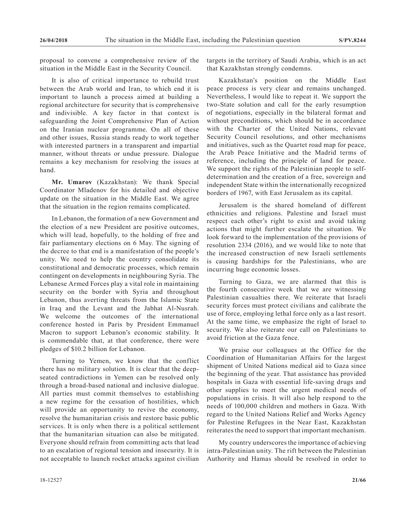proposal to convene a comprehensive review of the situation in the Middle East in the Security Council.

It is also of critical importance to rebuild trust between the Arab world and Iran, to which end it is important to launch a process aimed at building a regional architecture for security that is comprehensive and indivisible. A key factor in that context is safeguarding the Joint Comprehensive Plan of Action on the Iranian nuclear programme. On all of these and other issues, Russia stands ready to work together with interested partners in a transparent and impartial manner, without threats or undue pressure. Dialogue remains a key mechanism for resolving the issues at hand.

**Mr. Umarov** (Kazakhstan): We thank Special Coordinator Mladenov for his detailed and objective update on the situation in the Middle East. We agree that the situation in the region remains complicated.

In Lebanon, the formation of a new Government and the election of a new President are positive outcomes, which will lead, hopefully, to the holding of free and fair parliamentary elections on 6 May. The signing of the decree to that end is a manifestation of the people's unity. We need to help the country consolidate its constitutional and democratic processes, which remain contingent on developments in neighbouring Syria. The Lebanese Armed Forces play a vital role in maintaining security on the border with Syria and throughout Lebanon, thus averting threats from the Islamic State in Iraq and the Levant and the Jabhat Al-Nusrah. We welcome the outcomes of the international conference hosted in Paris by President Emmanuel Macron to support Lebanon's economic stability. It is commendable that, at that conference, there were pledges of \$10.2 billion for Lebanon.

Turning to Yemen, we know that the conflict there has no military solution. It is clear that the deepseated contradictions in Yemen can be resolved only through a broad-based national and inclusive dialogue. All parties must commit themselves to establishing a new regime for the cessation of hostilities, which will provide an opportunity to revive the economy, resolve the humanitarian crisis and restore basic public services. It is only when there is a political settlement that the humanitarian situation can also be mitigated. Everyone should refrain from committing acts that lead to an escalation of regional tension and insecurity. It is not acceptable to launch rocket attacks against civilian

targets in the territory of Saudi Arabia, which is an act that Kazakhstan strongly condemns.

Kazakhstan's position on the Middle East peace process is very clear and remains unchanged. Nevertheless, I would like to repeat it. We support the two-State solution and call for the early resumption of negotiations, especially in the bilateral format and without preconditions, which should be in accordance with the Charter of the United Nations, relevant Security Council resolutions, and other mechanisms and initiatives, such as the Quartet road map for peace, the Arab Peace Initiative and the Madrid terms of reference, including the principle of land for peace. We support the rights of the Palestinian people to selfdetermination and the creation of a free, sovereign and independent State within the internationally recognized borders of 1967, with East Jerusalem as its capital.

Jerusalem is the shared homeland of different ethnicities and religions. Palestine and Israel must respect each other's right to exist and avoid taking actions that might further escalate the situation. We look forward to the implementation of the provisions of resolution 2334 (2016), and we would like to note that the increased construction of new Israeli settlements is causing hardships for the Palestinians, who are incurring huge economic losses.

Turning to Gaza, we are alarmed that this is the fourth consecutive week that we are witnessing Palestinian casualties there. We reiterate that Israeli security forces must protect civilians and calibrate the use of force, employing lethal force only as a last resort. At the same time, we emphasize the right of Israel to security. We also reiterate our call on Palestinians to avoid friction at the Gaza fence.

We praise our colleagues at the Office for the Coordination of Humanitarian Affairs for the largest shipment of United Nations medical aid to Gaza since the beginning of the year. That assistance has provided hospitals in Gaza with essential life-saving drugs and other supplies to meet the urgent medical needs of populations in crisis. It will also help respond to the needs of 100,000 children and mothers in Gaza. With regard to the United Nations Relief and Works Agency for Palestine Refugees in the Near East, Kazakhstan reiterates the need to support that important mechanism.

My country underscores the importance of achieving intra-Palestinian unity. The rift between the Palestinian Authority and Hamas should be resolved in order to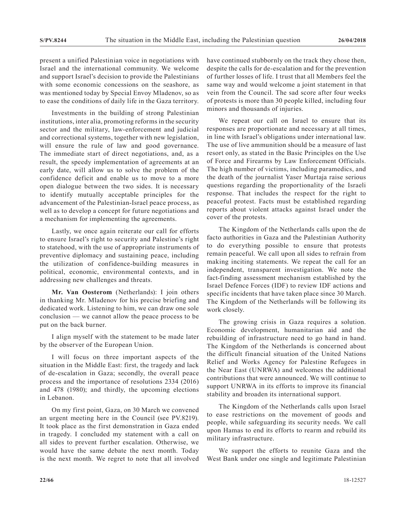present a unified Palestinian voice in negotiations with Israel and the international community. We welcome and support Israel's decision to provide the Palestinians with some economic concessions on the seashore, as was mentioned today by Special Envoy Mladenov, so as to ease the conditions of daily life in the Gaza territory.

Investments in the building of strong Palestinian institutions, inter alia, promoting reforms in the security sector and the military, law-enforcement and judicial and correctional systems, together with new legislation, will ensure the rule of law and good governance. The immediate start of direct negotiations, and, as a result, the speedy implementation of agreements at an early date, will allow us to solve the problem of the confidence deficit and enable us to move to a more open dialogue between the two sides. It is necessary to identify mutually acceptable principles for the advancement of the Palestinian-Israel peace process, as well as to develop a concept for future negotiations and a mechanism for implementing the agreements.

Lastly, we once again reiterate our call for efforts to ensure Israel's right to security and Palestine's right to statehood, with the use of appropriate instruments of preventive diplomacy and sustaining peace, including the utilization of confidence-building measures in political, economic, environmental contexts, and in addressing new challenges and threats.

**Mr. Van Oosterom** (Netherlands): I join others in thanking Mr. Mladenov for his precise briefing and dedicated work. Listening to him, we can draw one sole conclusion — we cannot allow the peace process to be put on the back burner.

I align myself with the statement to be made later by the observer of the European Union.

I will focus on three important aspects of the situation in the Middle East: first, the tragedy and lack of de-escalation in Gaza; secondly, the overall peace process and the importance of resolutions 2334 (2016) and 478 (1980); and thirdly, the upcoming elections in Lebanon.

On my first point, Gaza, on 30 March we convened an urgent meeting here in the Council (see PV.8219). It took place as the first demonstration in Gaza ended in tragedy. I concluded my statement with a call on all sides to prevent further escalation. Otherwise, we would have the same debate the next month. Today is the next month. We regret to note that all involved have continued stubbornly on the track they chose then, despite the calls for de-escalation and for the prevention of further losses of life. I trust that all Members feel the same way and would welcome a joint statement in that vein from the Council. The sad score after four weeks of protests is more than 30 people killed, including four minors and thousands of injuries.

We repeat our call on Israel to ensure that its responses are proportionate and necessary at all times, in line with Israel's obligations under international law. The use of live ammunition should be a measure of last resort only, as stated in the Basic Principles on the Use of Force and Firearms by Law Enforcement Officials. The high number of victims, including paramedics, and the death of the journalist Yaser Murtaja raise serious questions regarding the proportionality of the Israeli response. That includes the respect for the right to peaceful protest. Facts must be established regarding reports about violent attacks against Israel under the cover of the protests.

The Kingdom of the Netherlands calls upon the de facto authorities in Gaza and the Palestinian Authority to do everything possible to ensure that protests remain peaceful. We call upon all sides to refrain from making inciting statements. We repeat the call for an independent, transparent investigation. We note the fact-finding assessment mechanism established by the Israel Defence Forces (IDF) to review IDF actions and specific incidents that have taken place since 30 March. The Kingdom of the Netherlands will be following its work closely.

The growing crisis in Gaza requires a solution. Economic development, humanitarian aid and the rebuilding of infrastructure need to go hand in hand. The Kingdom of the Netherlands is concerned about the difficult financial situation of the United Nations Relief and Works Agency for Palestine Refugees in the Near East (UNRWA) and welcomes the additional contributions that were announced. We will continue to support UNRWA in its efforts to improve its financial stability and broaden its international support.

The Kingdom of the Netherlands calls upon Israel to ease restrictions on the movement of goods and people, while safeguarding its security needs. We call upon Hamas to end its efforts to rearm and rebuild its military infrastructure.

We support the efforts to reunite Gaza and the West Bank under one single and legitimate Palestinian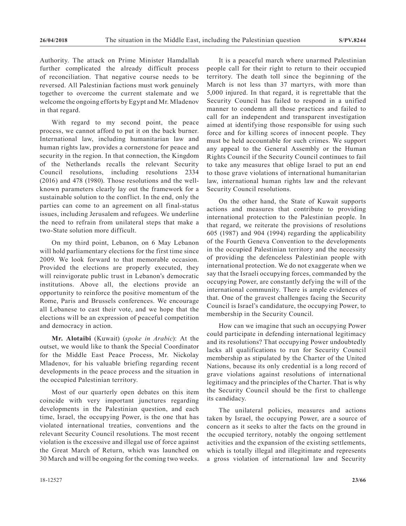Authority. The attack on Prime Minister Hamdallah further complicated the already difficult process of reconciliation. That negative course needs to be reversed. All Palestinian factions must work genuinely together to overcome the current stalemate and we welcome the ongoing efforts by Egypt and Mr. Mladenov in that regard.

With regard to my second point, the peace process, we cannot afford to put it on the back burner. International law, including humanitarian law and human rights law, provides a cornerstone for peace and security in the region. In that connection, the Kingdom of the Netherlands recalls the relevant Security Council resolutions, including resolutions 2334 (2016) and 478 (1980). Those resolutions and the wellknown parameters clearly lay out the framework for a sustainable solution to the conflict. In the end, only the parties can come to an agreement on all final-status issues, including Jerusalem and refugees. We underline the need to refrain from unilateral steps that make a two-State solution more difficult.

On my third point, Lebanon, on 6 May Lebanon will hold parliamentary elections for the first time since 2009. We look forward to that memorable occasion. Provided the elections are properly executed, they will reinvigorate public trust in Lebanon's democratic institutions. Above all, the elections provide an opportunity to reinforce the positive momentum of the Rome, Paris and Brussels conferences. We encourage all Lebanese to cast their vote, and we hope that the elections will be an expression of peaceful competition and democracy in action.

**Mr. Alotaibi** (Kuwait) (*spoke in Arabic*): At the outset, we would like to thank the Special Coordinator for the Middle East Peace Process, Mr. Nickolay Mladenov, for his valuable briefing regarding recent developments in the peace process and the situation in the occupied Palestinian territory.

Most of our quarterly open debates on this item coincide with very important junctures regarding developments in the Palestinian question, and each time, Israel, the occupying Power, is the one that has violated international treaties, conventions and the relevant Security Council resolutions. The most recent violation is the excessive and illegal use of force against the Great March of Return, which was launched on 30 March and will be ongoing for the coming two weeks.

It is a peaceful march where unarmed Palestinian people call for their right to return to their occupied territory. The death toll since the beginning of the March is not less than 37 martyrs, with more than 5,000 injured. In that regard, it is regrettable that the Security Council has failed to respond in a unified manner to condemn all those practices and failed to call for an independent and transparent investigation aimed at identifying those responsible for using such force and for killing scores of innocent people. They must be held accountable for such crimes. We support any appeal to the General Assembly or the Human Rights Council if the Security Council continues to fail to take any measures that oblige Israel to put an end to those grave violations of international humanitarian law, international human rights law and the relevant Security Council resolutions.

On the other hand, the State of Kuwait supports actions and measures that contribute to providing international protection to the Palestinian people. In that regard, we reiterate the provisions of resolutions 605 (1987) and 904 (1994) regarding the applicability of the Fourth Geneva Convention to the developments in the occupied Palestinian territory and the necessity of providing the defenceless Palestinian people with international protection. We do not exaggerate when we say that the Israeli occupying forces, commanded by the occupying Power, are constantly defying the will of the international community. There is ample evidences of that. One of the gravest challenges facing the Security Council is Israel's candidature, the occupying Power, to membership in the Security Council.

How can we imagine that such an occupying Power could participate in defending international legitimacy and its resolutions? That occupying Power undoubtedly lacks all qualifications to run for Security Council membership as stipulated by the Charter of the United Nations, because its only credential is a long record of grave violations against resolutions of international legitimacy and the principles of the Charter. That is why the Security Council should be the first to challenge its candidacy.

The unilateral policies, measures and actions taken by Israel, the occupying Power, are a source of concern as it seeks to alter the facts on the ground in the occupied territory, notably the ongoing settlement activities and the expansion of the existing settlements, which is totally illegal and illegitimate and represents a gross violation of international law and Security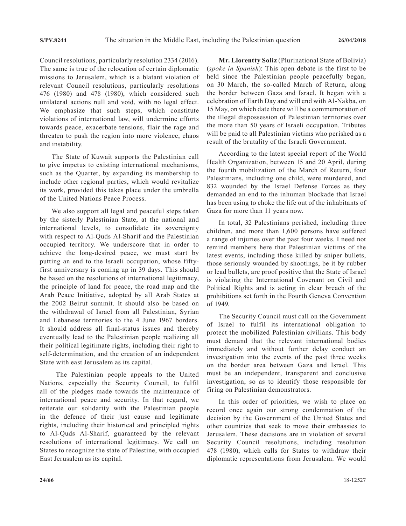Council resolutions, particularly resolution 2334 (2016). The same is true of the relocation of certain diplomatic missions to Jerusalem, which is a blatant violation of relevant Council resolutions, particularly resolutions 476 (1980) and 478 (1980), which considered such unilateral actions null and void, with no legal effect. We emphasize that such steps, which constitute violations of international law, will undermine efforts towards peace, exacerbate tensions, flair the rage and threaten to push the region into more violence, chaos and instability.

The State of Kuwait supports the Palestinian call to give impetus to existing international mechanisms, such as the Quartet, by expanding its membership to include other regional parties, which would revitalize its work, provided this takes place under the umbrella of the United Nations Peace Process.

We also support all legal and peaceful steps taken by the sisterly Palestinian State, at the national and international levels, to consolidate its sovereignty with respect to Al-Quds Al-Sharif and the Palestinian occupied territory. We underscore that in order to achieve the long-desired peace, we must start by putting an end to the Israeli occupation, whose fiftyfirst anniversary is coming up in 39 days. This should be based on the resolutions of international legitimacy, the principle of land for peace, the road map and the Arab Peace Initiative, adopted by all Arab States at the 2002 Beirut summit. It should also be based on the withdrawal of Israel from all Palestinian, Syrian and Lebanese territories to the 4 June 1967 borders. It should address all final-status issues and thereby eventually lead to the Palestinian people realizing all their political legitimate rights, including their right to self-determination, and the creation of an independent State with east Jerusalem as its capital.

 The Palestinian people appeals to the United Nations, especially the Security Council, to fulfil all of the pledges made towards the maintenance of international peace and security. In that regard, we reiterate our solidarity with the Palestinian people in the defence of their just cause and legitimate rights, including their historical and principled rights to Al-Quds Al-Sharif, guaranteed by the relevant resolutions of international legitimacy. We call on States to recognize the state of Palestine, with occupied East Jerusalem as its capital.

**Mr. Llorentty Solíz** (Plurinational State of Bolivia) (*spoke in Spanish*): This open debate is the first to be held since the Palestinian people peacefully began, on 30 March, the so-called March of Return, along the border between Gaza and Israel. It began with a celebration of Earth Day and will end with Al-Nakba, on 15 May, on which date there will be a commemoration of the illegal dispossession of Palestinian territories over the more than 50 years of Israeli occupation. Tributes will be paid to all Palestinian victims who perished as a result of the brutality of the Israeli Government.

According to the latest special report of the World Health Organization, between 15 and 20 April, during the fourth mobilization of the March of Return, four Palestinians, including one child, were murdered, and 832 wounded by the Israel Defense Forces as they demanded an end to the inhuman blockade that Israel has been using to choke the life out of the inhabitants of Gaza for more than 11 years now.

In total, 32 Palestinians perished, including three children, and more than 1,600 persons have suffered a range of injuries over the past four weeks. I need not remind members here that Palestinian victims of the latest events, including those killed by sniper bullets, those seriously wounded by shootings, be it by rubber or lead bullets, are proof positive that the State of Israel is violating the International Covenant on Civil and Political Rights and is acting in clear breach of the prohibitions set forth in the Fourth Geneva Convention of 1949.

The Security Council must call on the Government of Israel to fulfil its international obligation to protect the mobilized Palestinian civilians. This body must demand that the relevant international bodies immediately and without further delay conduct an investigation into the events of the past three weeks on the border area between Gaza and Israel. This must be an independent, transparent and conclusive investigation, so as to identify those responsible for firing on Palestinian demonstrators.

In this order of priorities, we wish to place on record once again our strong condemnation of the decision by the Government of the United States and other countries that seek to move their embassies to Jerusalem. These decisions are in violation of several Security Council resolutions, including resolution 478 (1980), which calls for States to withdraw their diplomatic representations from Jerusalem. We would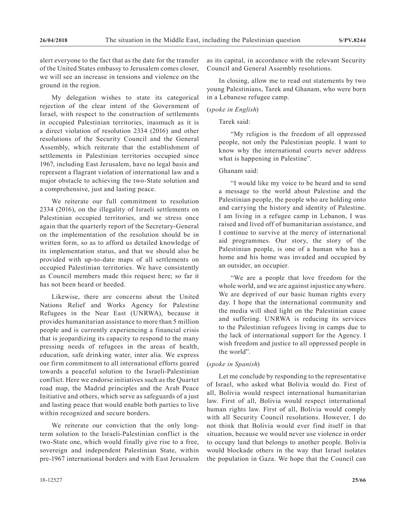alert everyone to the fact that as the date for the transfer of the United States embassy to Jerusalem comes closer, we will see an increase in tensions and violence on the ground in the region.

My delegation wishes to state its categorical rejection of the clear intent of the Government of Israel, with respect to the construction of settlements in occupied Palestinian territories, inasmuch as it is a direct violation of resolution 2334 (2016) and other resolutions of the Security Council and the General Assembly, which reiterate that the establishment of settlements in Palestinian territories occupied since 1967, including East Jerusalem, have no legal basis and represent a flagrant violation of international law and a major obstacle to achieving the two-State solution and a comprehensive, just and lasting peace.

We reiterate our full commitment to resolution 2334 (2016), on the illegality of Israeli settlements on Palestinian occupied territories, and we stress once again that the quarterly report of the Secretary-General on the implementation of the resolution should be in written form, so as to afford us detailed knowledge of its implementation status, and that we should also be provided with up-to-date maps of all settlements on occupied Palestinian territories. We have consistently as Council members made this request here; so far it has not been heard or heeded.

Likewise, there are concerns about the United Nations Relief and Works Agency for Palestine Refugees in the Near East (UNRWA), because it provides humanitarian assistance to more than 5 million people and is currently experiencing a financial crisis that is jeopardizing its capacity to respond to the many pressing needs of refugees in the areas of health, education, safe drinking water, inter alia. We express our firm commitment to all international efforts geared towards a peaceful solution to the Israeli-Palestinian conflict. Here we endorse initiatives such as the Quartet road map, the Madrid principles and the Arab Peace Initiative and others, which serve as safeguards of a just and lasting peace that would enable both parties to live within recognized and secure borders.

We reiterate our conviction that the only longterm solution to the Israeli-Palestinian conflict is the two-State one, which would finally give rise to a free, sovereign and independent Palestinian State, within pre-1967 international borders and with East Jerusalem as its capital, in accordance with the relevant Security Council and General Assembly resolutions.

In closing, allow me to read out statements by two young Palestinians, Tarek and Ghanam, who were born in a Lebanese refugee camp.

# (*spoke in English*)

# Tarek said:

"My religion is the freedom of all oppressed people, not only the Palestinian people. I want to know why the international courts never address what is happening in Palestine".

### Ghanam said:

"I would like my voice to be heard and to send a message to the world about Palestine and the Palestinian people, the people who are holding onto and carrying the history and identity of Palestine. I am living in a refugee camp in Lebanon, I was raised and lived off of humanitarian assistance, and I continue to survive at the mercy of international aid programmes. Our story, the story of the Palestinian people, is one of a human who has a home and his home was invaded and occupied by an outsider, an occupier.

"We are a people that love freedom for the whole world, and we are against injustice anywhere. We are deprived of our basic human rights every day. I hope that the international community and the media will shed light on the Palestinian cause and suffering. UNRWA is reducing its services to the Palestinian refugees living in camps due to the lack of international support for the Agency. I wish freedom and justice to all oppressed people in the world".

#### (*spoke in Spanish*)

Let me conclude by responding to the representative of Israel, who asked what Bolivia would do. First of all, Bolivia would respect international humanitarian law. First of all, Bolivia would respect international human rights law. First of all, Bolivia would comply with all Security Council resolutions. However, I do not think that Bolivia would ever find itself in that situation, because we would never use violence in order to occupy land that belongs to another people. Bolivia would blockade others in the way that Israel isolates the population in Gaza. We hope that the Council can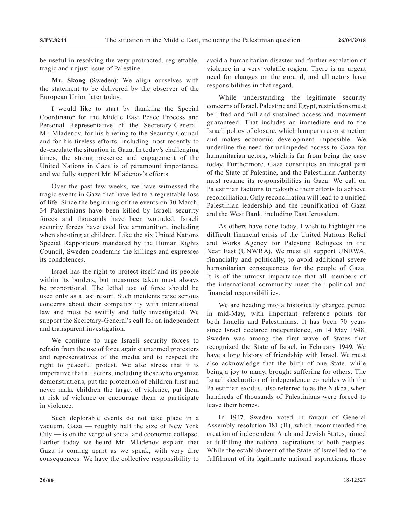be useful in resolving the very protracted, regrettable, tragic and unjust issue of Palestine.

**Mr. Skoog** (Sweden): We align ourselves with the statement to be delivered by the observer of the European Union later today.

I would like to start by thanking the Special Coordinator for the Middle East Peace Process and Personal Representative of the Secretary-General, Mr. Mladenov, for his briefing to the Security Council and for his tireless efforts, including most recently to de-escalate the situation in Gaza. In today's challenging times, the strong presence and engagement of the United Nations in Gaza is of paramount importance, and we fully support Mr. Mladenov's efforts.

Over the past few weeks, we have witnessed the tragic events in Gaza that have led to a regrettable loss of life. Since the beginning of the events on 30 March, 34 Palestinians have been killed by Israeli security forces and thousands have been wounded. Israeli security forces have used live ammunition, including when shooting at children. Like the six United Nations Special Rapporteurs mandated by the Human Rights Council, Sweden condemns the killings and expresses its condolences.

Israel has the right to protect itself and its people within its borders, but measures taken must always be proportional. The lethal use of force should be used only as a last resort. Such incidents raise serious concerns about their compatibility with international law and must be swiftly and fully investigated. We support the Secretary-General's call for an independent and transparent investigation.

We continue to urge Israeli security forces to refrain from the use of force against unarmed protesters and representatives of the media and to respect the right to peaceful protest. We also stress that it is imperative that all actors, including those who organize demonstrations, put the protection of children first and never make children the target of violence, put them at risk of violence or encourage them to participate in violence.

Such deplorable events do not take place in a vacuum. Gaza — roughly half the size of New York City — is on the verge of social and economic collapse. Earlier today we heard Mr. Mladenov explain that Gaza is coming apart as we speak, with very dire consequences. We have the collective responsibility to avoid a humanitarian disaster and further escalation of violence in a very volatile region. There is an urgent need for changes on the ground, and all actors have responsibilities in that regard.

While understanding the legitimate security concerns of Israel, Palestine and Egypt, restrictions must be lifted and full and sustained access and movement guaranteed. That includes an immediate end to the Israeli policy of closure, which hampers reconstruction and makes economic development impossible. We underline the need for unimpeded access to Gaza for humanitarian actors, which is far from being the case today. Furthermore, Gaza constitutes an integral part of the State of Palestine, and the Palestinian Authority must resume its responsibilities in Gaza. We call on Palestinian factions to redouble their efforts to achieve reconciliation. Only reconciliation will lead to a unified Palestinian leadership and the reunification of Gaza and the West Bank, including East Jerusalem.

As others have done today, I wish to highlight the difficult financial crisis of the United Nations Relief and Works Agency for Palestine Refugees in the Near East (UNWRA). We must all support UNRWA, financially and politically, to avoid additional severe humanitarian consequences for the people of Gaza. It is of the utmost importance that all members of the international community meet their political and financial responsibilities.

We are heading into a historically charged period in mid-May, with important reference points for both Israelis and Palestinians. It has been 70 years since Israel declared independence, on 14 May 1948. Sweden was among the first wave of States that recognized the State of Israel, in February 1949. We have a long history of friendship with Israel. We must also acknowledge that the birth of one State, while being a joy to many, brought suffering for others. The Israeli declaration of independence coincides with the Palestinian exodus, also referred to as the Nakba, when hundreds of thousands of Palestinians were forced to leave their homes.

In 1947, Sweden voted in favour of General Assembly resolution 181 (II), which recommended the creation of independent Arab and Jewish States, aimed at fulfilling the national aspirations of both peoples. While the establishment of the State of Israel led to the fulfilment of its legitimate national aspirations, those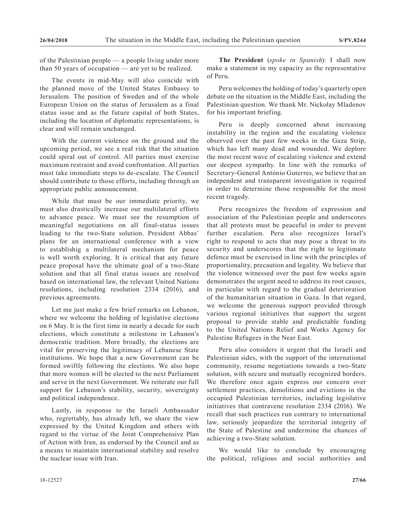of the Palestinian people — a people living under more than 50 years of occupation — are yet to be realized.

The events in mid-May will also coincide with the planned move of the United States Embassy to Jerusalem. The position of Sweden and of the whole European Union on the status of Jerusalem as a final status issue and as the future capital of both States, including the location of diplomatic representations, is clear and will remain unchanged.

With the current violence on the ground and the upcoming period, we see a real risk that the situation could spiral out of control. All parties must exercise maximum restraint and avoid confrontation. All parties must take immediate steps to de-escalate. The Council should contribute to those efforts, including through an appropriate public announcement.

While that must be our immediate priority, we must also drastically increase our multilateral efforts to advance peace. We must see the resumption of meaningful negotiations on all final-status issues leading to the two-State solution. President Abbas' plans for an international conference with a view to establishig a multilateral mechanism for peace is well worth exploring. It is critical that any future peace proposal have the ultimate goal of a two-State solution and that all final status issues are resolved based on international law, the relevant United Nations resolutions, including resolution 2334 (2016), and previous agreements.

Let me just make a few brief remarks on Lebanon, where we welcome the holding of legislative elections on 6 May. It is the first time in nearly a decade for such elections, which constitute a milestone in Lebanon's democratic tradition. More broadly, the elections are vital for preserving the legitimacy of Lebanese State institutions. We hope that a new Government can be formed swiftly following the elections. We also hope that more women will be elected to the next Parliament and serve in the next Government. We reiterate our full support for Lebanon's stability, security, sovereignty and political independence.

Lastly, in response to the Israeli Ambassador who, regrettably, has already left, we share the view expressed by the United Kingdom and others with regard to the virtue of the Joint Comprehensive Plan of Action with Iran, as endorsed by the Council and as a means to maintain international stability and resolve the nuclear issue with Iran.

**The President** (*spoke in Spanish*): I shall now make a statement in my capacity as the representative of Peru.

Peru welcomes the holding of today's quarterly open debate on the situation in the Middle East, including the Palestinian question. We thank Mr. Nickolay Mladenov for his important briefing.

Peru is deeply concerned about increasing instability in the region and the escalating violence observed over the past few weeks in the Gaza Strip, which has left many dead and wounded. We deplore the most recent wave of escalating violence and extend our deepest sympathy. In line with the remarks of Secretary-General António Guterres, we believe that an independent and transparent investigation is required in order to determine those responsible for the most recent tragedy.

Peru recognizes the freedom of expression and association of the Palestinian people and underscores that all protests must be peaceful in order to prevent further escalation. Peru also recognizes Israel's right to respond to acts that may pose a threat to its security and underscores that the right to legitimate defence must be exercised in line with the principles of proportionality, precaution and legality. We believe that the violence witnessed over the past few weeks again demonstrates the urgent need to address its root causes, in particular with regard to the gradual deterioration of the humanitarian situation in Gaza. In that regard, we welcome the generous support provided through various regional initiatives that support the urgent proposal to provide stable and predictable funding to the United Nations Relief and Works Agency for Palestine Refugees in the Near East.

Peru also considers it urgent that the Israeli and Palestinian sides, with the support of the international community, resume negotiations towards a two-State solution, with secure and mutually recognized borders. We therefore once again express our concern over settlement practices, demolitions and evictions in the occupied Palestinian territories, including legislative initiatives that contravene resolution 2334 (2016). We recall that such practices run contrary to international law, seriously jeopardize the territorial integrity of the State of Palestine and undermine the chances of achieving a two-State solution.

We would like to conclude by encouraging the political, religious and social authorities and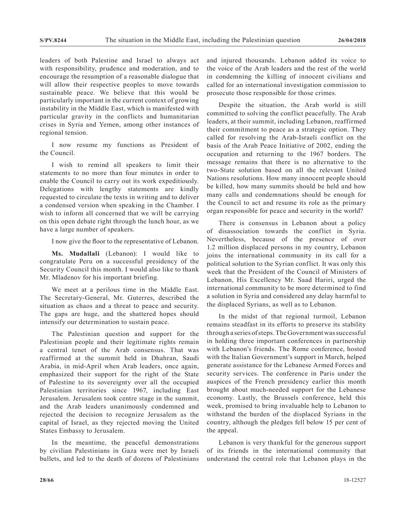leaders of both Palestine and Israel to always act with responsibility, prudence and moderation, and to encourage the resumption of a reasonable dialogue that will allow their respective peoples to move towards sustainable peace. We believe that this would be particularly important in the current context of growing instability in the Middle East, which is manifested with particular gravity in the conflicts and humanitarian crises in Syria and Yemen, among other instances of regional tension.

I now resume my functions as President of the Council.

I wish to remind all speakers to limit their statements to no more than four minutes in order to enable the Council to carry out its work expeditiously. Delegations with lengthy statements are kindly requested to circulate the texts in writing and to deliver a condensed version when speaking in the Chamber. I wish to inform all concerned that we will be carrying on this open debate right through the lunch hour, as we have a large number of speakers.

I now give the floor to the representative of Lebanon.

**Ms. Mudallali** (Lebanon): I would like to congratulate Peru on a successful presidency of the Security Council this month. I would also like to thank Mr. Mladenov for his important briefing.

We meet at a perilous time in the Middle East. The Secretary-General, Mr. Guterres, described the situation as chaos and a threat to peace and security. The gaps are huge, and the shattered hopes should intensify our determination to sustain peace.

The Palestinian question and support for the Palestinian people and their legitimate rights remain a central tenet of the Arab consensus. That was reaffirmed at the summit held in Dhahran, Saudi Arabia, in mid-April when Arab leaders, once again, emphasized their support for the right of the State of Palestine to its sovereignty over all the occupied Palestinian territories since 1967, including East Jerusalem. Jerusalem took centre stage in the summit, and the Arab leaders unanimously condemned and rejected the decision to recognize Jerusalem as the capital of Israel, as they rejected moving the United States Embassy to Jerusalem.

In the meantime, the peaceful demonstrations by civilian Palestinians in Gaza were met by Israeli bullets, and led to the death of dozens of Palestinians and injured thousands. Lebanon added its voice to the voice of the Arab leaders and the rest of the world in condemning the killing of innocent civilians and called for an international investigation commission to prosecute those responsible for those crimes.

Despite the situation, the Arab world is still committed to solving the conflict peacefully. The Arab leaders, at their summit, including Lebanon, reaffirmed their commitment to peace as a strategic option. They called for resolving the Arab-Israeli conflict on the basis of the Arab Peace Initiative of 2002, ending the occupation and returning to the 1967 borders. The message remains that there is no alternative to the two-State solution based on all the relevant United Nations resolutions. How many innocent people should be killed, how many summits should be held and how many calls and condemnations should be enough for the Council to act and resume its role as the primary organ responsible for peace and security in the world?

There is consensus in Lebanon about a policy of disassociation towards the conflict in Syria. Nevertheless, because of the presence of over 1.2 million displaced persons in my country, Lebanon joins the international community in its call for a political solution to the Syrian conflict. It was only this week that the President of the Council of Ministers of Lebanon, His Excellency Mr. Saad Hariri, urged the international community to be more determined to find a solution in Syria and considered any delay harmful to the displaced Syrians, as well as to Lebanon.

In the midst of that regional turmoil, Lebanon remains steadfast in its efforts to preserve its stability through a series of steps. The Government was successful in holding three important conferences in partnership with Lebanon's friends. The Rome conference, hosted with the Italian Government's support in March, helped generate assistance for the Lebanese Armed Forces and security services. The conference in Paris under the auspices of the French presidency earlier this month brought about much-needed support for the Lebanese economy. Lastly, the Brussels conference, held this week, promised to bring invaluable help to Lebanon to withstand the burden of the displaced Syrians in the country, although the pledges fell below 15 per cent of the appeal.

Lebanon is very thankful for the generous support of its friends in the international community that understand the central role that Lebanon plays in the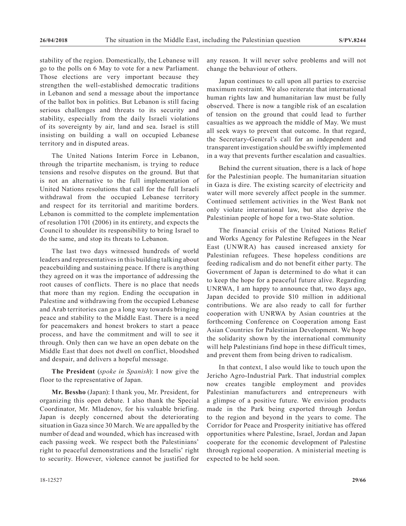stability of the region. Domestically, the Lebanese will go to the polls on 6 May to vote for a new Parliament. Those elections are very important because they strengthen the well-established democratic traditions in Lebanon and send a message about the importance of the ballot box in politics. But Lebanon is still facing serious challenges and threats to its security and stability, especially from the daily Israeli violations of its sovereignty by air, land and sea. Israel is still insisting on building a wall on occupied Lebanese territory and in disputed areas.

The United Nations Interim Force in Lebanon, through the tripartite mechanism, is trying to reduce tensions and resolve disputes on the ground. But that is not an alternative to the full implementation of United Nations resolutions that call for the full Israeli withdrawal from the occupied Lebanese territory and respect for its territorial and maritime borders. Lebanon is committed to the complete implementation of resolution 1701 (2006) in its entirety, and expects the Council to shoulder its responsibility to bring Israel to do the same, and stop its threats to Lebanon.

The last two days witnessed hundreds of world leaders and representatives in this building talking about peacebuilding and sustaining peace. If there is anything they agreed on it was the importance of addressing the root causes of conflicts. There is no place that needs that more than my region. Ending the occupation in Palestine and withdrawing from the occupied Lebanese and Arab territories can go a long way towards bringing peace and stability to the Middle East. There is a need for peacemakers and honest brokers to start a peace process, and have the commitment and will to see it through. Only then can we have an open debate on the Middle East that does not dwell on conflict, bloodshed and despair, and delivers a hopeful message.

**The President** (*spoke in Spanish*): I now give the floor to the representative of Japan.

**Mr. Bessho** (Japan): I thank you, Mr. President, for organizing this open debate. I also thank the Special Coordinator, Mr. Mladenov, for his valuable briefing. Japan is deeply concerned about the deteriorating situation in Gaza since 30 March. We are appalled by the number of dead and wounded, which has increased with each passing week. We respect both the Palestinians' right to peaceful demonstrations and the Israelis' right to security. However, violence cannot be justified for

any reason. It will never solve problems and will not change the behaviour of others.

Japan continues to call upon all parties to exercise maximum restraint. We also reiterate that international human rights law and humanitarian law must be fully observed. There is now a tangible risk of an escalation of tension on the ground that could lead to further casualties as we approach the middle of May. We must all seek ways to prevent that outcome. In that regard, the Secretary-General's call for an independent and transparent investigation should be swiftly implemented in a way that prevents further escalation and casualties.

Behind the current situation, there is a lack of hope for the Palestinian people. The humanitarian situation in Gaza is dire. The existing scarcity of electricity and water will more severely affect people in the summer. Continued settlement activities in the West Bank not only violate international law, but also deprive the Palestinian people of hope for a two-State solution.

The financial crisis of the United Nations Relief and Works Agency for Palestine Refugees in the Near East (UNWRA) has caused increased anxiety for Palestinian refugees. These hopeless conditions are feeding radicalism and do not benefit either party. The Government of Japan is determined to do what it can to keep the hope for a peaceful future alive. Regarding UNRWA, I am happy to announce that, two days ago, Japan decided to provide \$10 million in additional contributions. We are also ready to call for further cooperation with UNRWA by Asian countries at the forthcoming Conference on Cooperation among East Asian Countries for Palestinian Development. We hope the solidarity shown by the international community will help Palestinians find hope in these difficult times, and prevent them from being driven to radicalism.

In that context, I also would like to touch upon the Jericho Agro-Industrial Park. That industrial complex now creates tangible employment and provides Palestinian manufacturers and entrepreneurs with a glimpse of a positive future. We envision products made in the Park being exported through Jordan to the region and beyond in the years to come. The Corridor for Peace and Prosperity initiative has offered opportunities where Palestine, Israel, Jordan and Japan cooperate for the economic development of Palestine through regional cooperation. A ministerial meeting is expected to be held soon.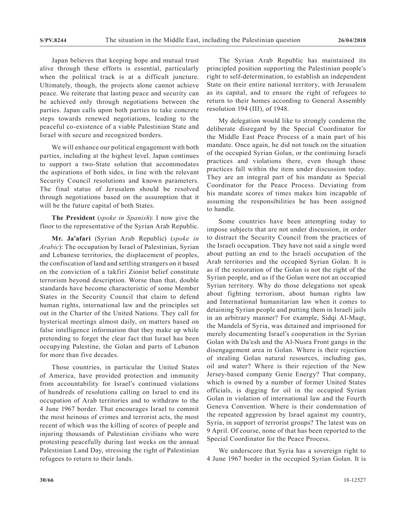Japan believes that keeping hope and mutual trust alive through these efforts is essential, particularly when the political track is at a difficult juncture. Ultimately, though, the projects alone cannot achieve peace. We reiterate that lasting peace and security can be achieved only through negotiations between the parties. Japan calls upon both parties to take concrete steps towards renewed negotiations, leading to the peaceful co-existence of a viable Palestinian State and Israel with secure and recognized borders.

We will enhance our political engagement with both parties, including at the highest level. Japan continues to support a two-State solution that accommodates the aspirations of both sides, in line with the relevant Security Council resolutions and known parameters. The final status of Jerusalem should be resolved through negotiations based on the assumption that it will be the future capital of both States.

**The President** (*spoke in Spanish*): I now give the floor to the representative of the Syrian Arab Republic.

**Mr. Ja'afari** (Syrian Arab Republic) (*spoke in Arabic*): The occupation by Israel of Palestinian, Syrian and Lebanese territories, the displacement of peoples, the confiscation of land and settling strangers on it based on the conviction of a takfiri Zionist belief constitute terrorism beyond description. Worse than that, double standards have become characteristic of some Member States in the Security Council that claim to defend human rights, international law and the principles set out in the Charter of the United Nations. They call for hysterical meetings almost daily, on matters based on false intelligence information that they make up while pretending to forget the clear fact that Israel has been occupying Palestine, the Golan and parts of Lebanon for more than five decades.

Those countries, in particular the United States of America, have provided protection and immunity from accountability for Israel's continued violations of hundreds of resolutions calling on Israel to end its occupation of Arab territories and to withdraw to the 4 June 1967 border. That encourages Israel to commit the most heinous of crimes and terrorist acts, the most recent of which was the killing of scores of people and injuring thousands of Palestinian civilians who were protesting peacefully during last weeks on the annual Palestinian Land Day, stressing the right of Palestinian refugees to return to their lands.

The Syrian Arab Republic has maintained its principled position supporting the Palestinian people's right to self-determination, to establish an independent State on their entire national territory, with Jerusalem as its capital, and to ensure the right of refugees to return to their homes according to General Assembly resolution 194 (III), of 1948.

My delegation would like to strongly condemn the deliberate disregard by the Special Coordinator for the Middle East Peace Process of a main part of his mandate. Once again, he did not touch on the situation of the occupied Syrian Golan, or the continuing Israeli practices and violations there, even though those practices fall within the item under discussion today. They are an integral part of his mandate as Special Coordinator for the Peace Process. Deviating from his mandate scores of times makes him incapable of assuming the responsibilities he has been assigned to handle.

Some countries have been attempting today to impose subjects that are not under discussion, in order to distract the Security Council from the practices of the Israeli occupation. They have not said a single word about putting an end to the Israeli occupation of the Arab territories and the occupied Syrian Golan. It is as if the restoration of the Golan is not the right of the Syrian people, and as if the Golan were not an occupied Syrian territory. Why do those delegations not speak about fighting terrorism, about human rights law and International humanitarian law when it comes to detaining Syrian people and putting them in Israeli jails in an arbitrary manner? For example, Sidqi Al-Maqt, the Mandela of Syria, was detained and imprisoned for merely documenting Israel's cooperation in the Syrian Golan with Da'esh and the Al-Nusra Front gangs in the disengagement area in Golan. Where is their rejection of stealing Golan natural resources, including gas, oil and water? Where is their rejection of the New Jersey-based company Genie Energy? That company, which is owned by a number of former United States officials, is digging for oil in the occupied Syrian Golan in violation of international law and the Fourth Geneva Convention. Where is their condemnation of the repeated aggression by Israel against my country, Syria, in support of terrorist groups? The latest was on 9 April. Of course, none of that has been reported to the Special Coordinator for the Peace Process.

We underscore that Syria has a sovereign right to 4 June 1967 border in the occupied Syrian Golan. It is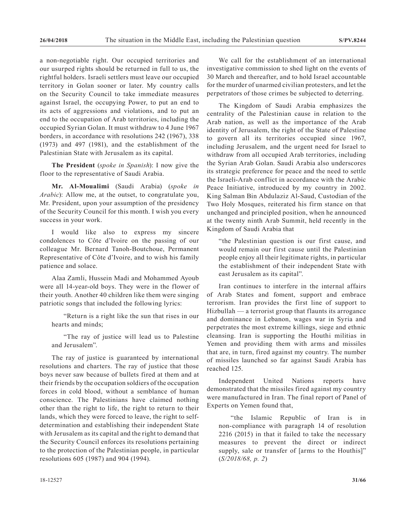a non-negotiable right. Our occupied territories and our usurped rights should be returned in full to us, the rightful holders. Israeli settlers must leave our occupied territory in Golan sooner or later. My country calls on the Security Council to take immediate measures against Israel, the occupying Power, to put an end to its acts of aggressions and violations, and to put an end to the occupation of Arab territories, including the occupied Syrian Golan. It must withdraw to 4 June 1967 borders, in accordance with resolutions 242 (1967), 338 (1973) and 497 (1981), and the establishment of the Palestinian State with Jerusalem as its capital.

**The President** (*spoke in Spanish*): I now give the floor to the representative of Saudi Arabia.

**Mr. Al-Moualimi** (Saudi Arabia) (*spoke in Arabic*): Allow me, at the outset, to congratulate you, Mr. President, upon your assumption of the presidency of the Security Council for this month. I wish you every success in your work.

I would like also to express my sincere condolences to Côte d'Ivoire on the passing of our colleague Mr. Bernard Tanoh-Boutchoue, Permanent Representative of Côte d'Ivoire, and to wish his family patience and solace.

Alaa Zamli, Hussein Madi and Mohammed Ayoub were all 14-year-old boys. They were in the flower of their youth. Another 40 children like them were singing patriotic songs that included the following lyrics:

"Return is a right like the sun that rises in our hearts and minds;

"The ray of justice will lead us to Palestine and Jerusalem".

The ray of justice is guaranteed by international resolutions and charters. The ray of justice that those boys never saw because of bullets fired at them and at their friends by the occupation soldiers of the occupation forces in cold blood, without a semblance of human conscience. The Palestinians have claimed nothing other than the right to life, the right to return to their lands, which they were forced to leave, the right to selfdetermination and establishing their independent State with Jerusalem as its capital and the right to demand that the Security Council enforces its resolutions pertaining to the protection of the Palestinian people, in particular resolutions 605 (1987) and 904 (1994).

We call for the establishment of an international investigative commission to shed light on the events of 30 March and thereafter, and to hold Israel accountable for the murder of unarmed civilian protesters, and let the perpetrators of those crimes be subjected to deterring.

The Kingdom of Saudi Arabia emphasizes the centrality of the Palestinian cause in relation to the Arab nation, as well as the importance of the Arab identity of Jerusalem, the right of the State of Palestine to govern all its territories occupied since 1967, including Jerusalem, and the urgent need for Israel to withdraw from all occupied Arab territories, including the Syrian Arab Golan. Saudi Arabia also underscores its strategic preference for peace and the need to settle the Israeli-Arab conflict in accordance with the Arabic Peace Initiative, introduced by my country in 2002. King Salman Bin Abdulaziz Al-Saud, Custodian of the Two Holy Mosques, reiterated his firm stance on that unchanged and principled position, when he announced at the twenty ninth Arab Summit, held recently in the Kingdom of Saudi Arabia that

"the Palestinian question is our first cause, and would remain our first cause until the Palestinian people enjoy all their legitimate rights, in particular the establishment of their independent State with east Jerusalem as its capital".

Iran continues to interfere in the internal affairs of Arab States and foment, support and embrace terrorism. Iran provides the first line of support to Hizbullah — a terrorist group that flaunts its arrogance and dominance in Lebanon, wages war in Syria and perpetrates the most extreme killings, siege and ethnic cleansing. Iran is supporting the Houthi militias in Yemen and providing them with arms and missiles that are, in turn, fired against my country. The number of missiles launched so far against Saudi Arabia has reached 125.

Independent United Nations reports have demonstrated that the missiles fired against my country were manufactured in Iran. The final report of Panel of Experts on Yemen found that,

"the Islamic Republic of Iran is in non-compliance with paragraph 14 of resolution 2216 (2015) in that it failed to take the necessary measures to prevent the direct or indirect supply, sale or transfer of [arms to the Houthis]" (*S/2018/68, p. 2*)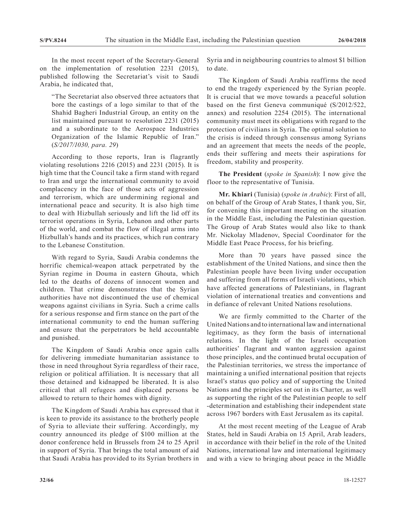In the most recent report of the Secretary-General on the implementation of resolution 2231 (2015), published following the Secretariat's visit to Saudi Arabia, he indicated that,

"The Secretariat also observed three actuators that bore the castings of a logo similar to that of the Shahid Bagheri Industrial Group, an entity on the list maintained pursuant to resolution 2231 (2015) and a subordinate to the Aerospace Industries Organization of the Islamic Republic of Iran." (*S/2017/1030, para. 29*)

According to those reports, Iran is flagrantly violating resolutions 2216 (2015) and 2231 (2015). It is high time that the Council take a firm stand with regard to Iran and urge the international community to avoid complacency in the face of those acts of aggression and terrorism, which are undermining regional and international peace and security. It is also high time to deal with Hizbullah seriously and lift the lid off its terrorist operations in Syria, Lebanon and other parts of the world, and combat the flow of illegal arms into Hizbullah's hands and its practices, which run contrary to the Lebanese Constitution.

With regard to Syria, Saudi Arabia condemns the horrific chemical-weapon attack perpetrated by the Syrian regime in Douma in eastern Ghouta, which led to the deaths of dozens of innocent women and children. That crime demonstrates that the Syrian authorities have not discontinued the use of chemical weapons against civilians in Syria. Such a crime calls for a serious response and firm stance on the part of the international community to end the human suffering and ensure that the perpetrators be held accountable and punished.

The Kingdom of Saudi Arabia once again calls for delivering immediate humanitarian assistance to those in need throughout Syria regardless of their race, religion or political affiliation. It is necessary that all those detained and kidnapped be liberated. It is also critical that all refugees and displaced persons be allowed to return to their homes with dignity.

The Kingdom of Saudi Arabia has expressed that it is keen to provide its assistance to the brotherly people of Syria to alleviate their suffering. Accordingly, my country announced its pledge of \$100 million at the donor conference held in Brussels from 24 to 25 April in support of Syria. That brings the total amount of aid that Saudi Arabia has provided to its Syrian brothers in

Syria and in neighbouring countries to almost \$1 billion to date.

The Kingdom of Saudi Arabia reaffirms the need to end the tragedy experienced by the Syrian people. It is crucial that we move towards a peaceful solution based on the first Geneva communiqué (S/2012/522, annex) and resolution 2254 (2015). The international community must meet its obligations with regard to the protection of civilians in Syria. The optimal solution to the crisis is indeed through consensus among Syrians and an agreement that meets the needs of the people, ends their suffering and meets their aspirations for freedom, stability and prosperity.

**The President** (*spoke in Spanish*): I now give the floor to the representative of Tunisia.

**Mr. Khiari** (Tunisia) (*spoke in Arabic*): First of all, on behalf of the Group of Arab States, I thank you, Sir, for convening this important meeting on the situation in the Middle East, including the Palestinian question. The Group of Arab States would also like to thank Mr. Nickolay Mladenov, Special Coordinator for the Middle East Peace Process, for his briefing.

More than 70 years have passed since the establishment of the United Nations, and since then the Palestinian people have been living under occupation and suffering from all forms of Israeli violations, which have affected generations of Palestinians, in flagrant violation of international treaties and conventions and in defiance of relevant United Nations resolutions.

We are firmly committed to the Charter of the United Nations and to international law and international legitimacy, as they form the basis of international relations. In the light of the Israeli occupation authorities' flagrant and wanton aggression against those principles, and the continued brutal occupation of the Palestinian territories, we stress the importance of maintaining a unified international position that rejects Israel's status quo policy and of supporting the United Nations and the principles set out in its Charter, as well as supporting the right of the Palestinian people to self -determination and establishing their independent state across 1967 borders with East Jerusalem as its capital.

At the most recent meeting of the League of Arab States, held in Saudi Arabia on 15 April, Arab leaders, in accordance with their belief in the role of the United Nations, international law and international legitimacy and with a view to bringing about peace in the Middle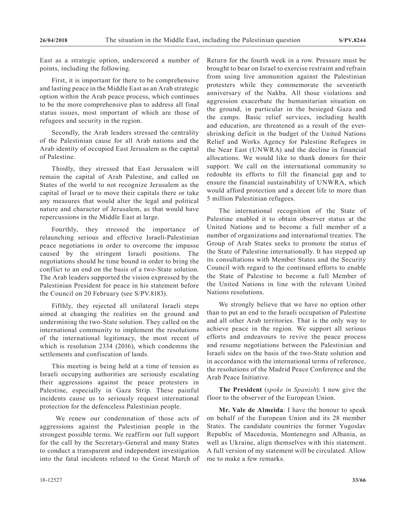East as a strategic option, underscored a number of points, including the following.

First, it is important for there to be comprehensive and lasting peace in the Middle East as an Arab strategic option within the Arab peace process, which continues to be the more comprehensive plan to address all final status issues, most important of which are those of refugees and security in the region.

Secondly, the Arab leaders stressed the centrality of the Palestinian cause for all Arab nations and the Arab identity of occupied East Jerusalem as the capital of Palestine.

Thirdly, they stressed that East Jerusalem will remain the capital of Arab Palestine, and called on States of the world to not recognize Jerusalem as the capital of Israel or to move their capitals there or take any measures that would alter the legal and political nature and character of Jerusalem, as that would have repercussions in the Middle East at large.

Fourthly, they stressed the importance of relaunching serious and effective Israeli-Palestinian peace negotiations in order to overcome the impasse caused by the stringent Israeli positions. The negotiations should be time bound in order to bring the conflict to an end on the basis of a two-State solution. The Arab leaders supported the vision expressed by the Palestinian President for peace in his statement before the Council on 20 February (see S/PV.8183).

Fifthly, they rejected all unilateral Israeli steps aimed at changing the realities on the ground and undermining the two-State solution. They called on the international community to implement the resolutions of the international legitimacy, the most recent of which is resolution 2334 (2016), which condemns the settlements and confiscation of lands.

This meeting is being held at a time of tension as Israeli occupying authorities are seriously escalating their aggressions against the peace protesters in Palestine, especially in Gaza Strip. These painful incidents cause us to seriously request international protection for the defenceless Palestinian people.

 We renew our condemnation of those acts of aggressions against the Palestinian people in the strongest possible terms. We reaffirm our full support for the call by the Secretary-General and many States to conduct a transparent and independent investigation into the fatal incidents related to the Great March of Return for the fourth week in a row. Pressure must be brought to bear on Israel to exercise restraint and refrain from using live ammunition against the Palestinian protesters while they commemorate the seventieth anniversary of the Nakba. All those violations and aggression exacerbate the humanitarian situation on the ground, in particular in the besieged Gaza and the camps. Basic relief services, including health and education, are threatened as a result of the evershrinking deficit in the budget of the United Nations Relief and Works Agency for Palestine Refugees in the Near East (UNWRA) and the decline in financial allocations. We would like to thank donors for their support. We call on the international community to redouble its efforts to fill the financial gap and to ensure the financial sustainability of UNWRA, which would afford protection and a decent life to more than 5 million Palestinian refugees.

The international recognition of the State of Palestine enabled it to obtain observer status at the United Nations and to become a full member of a number of organizations and international treaties. The Group of Arab States seeks to promote the status of the State of Palestine internationally. It has stepped up its consultations with Member States and the Security Council with regard to the continued efforts to enable the State of Palestine to become a full Member of the United Nations in line with the relevant United Nations resolutions.

We strongly believe that we have no option other than to put an end to the Israeli occupation of Palestine and all other Arab territories. That is the only way to achieve peace in the region. We support all serious efforts and endeavours to revive the peace process and resume negotiations between the Palestinian and Israeli sides on the basis of the two-State solution and in accordance with the international terms of reference, the resolutions of the Madrid Peace Conference and the Arab Peace Initiative.

**The President** (*spoke in Spanish*): I now give the floor to the observer of the European Union.

**Mr. Vale de Almeida**: I have the honour to speak on behalf of the European Union and its 28 member States. The candidate countries the former Yugoslav Republic of Macedonia, Montenegro and Albania, as well as Ukraine, align themselves with this statement. A full version of my statement will be circulated. Allow me to make a few remarks.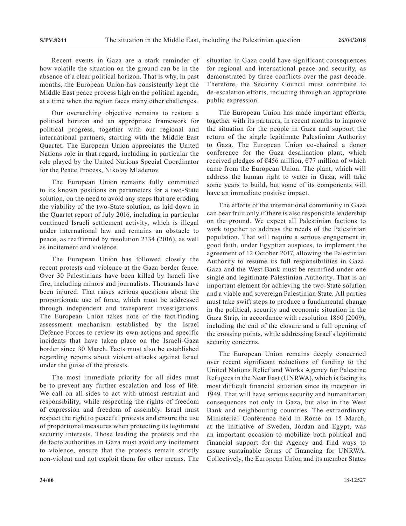Recent events in Gaza are a stark reminder of how volatile the situation on the ground can be in the absence of a clear political horizon. That is why, in past months, the European Union has consistently kept the Middle East peace process high on the political agenda, at a time when the region faces many other challenges.

Our overarching objective remains to restore a political horizon and an appropriate framework for political progress, together with our regional and international partners, starting with the Middle East Quartet. The European Union appreciates the United Nations role in that regard, including in particular the role played by the United Nations Special Coordinator for the Peace Process, Nikolay Mladenov.

The European Union remains fully committed to its known positions on parameters for a two-State solution, on the need to avoid any steps that are eroding the viability of the two-State solution, as laid down in the Quartet report of July 2016, including in particular continued Israeli settlement activity, which is illegal under international law and remains an obstacle to peace, as reaffirmed by resolution 2334 (2016), as well as incitement and violence.

The European Union has followed closely the recent protests and violence at the Gaza border fence. Over 30 Palestinians have been killed by Israeli live fire, including minors and journalists. Thousands have been injured. That raises serious questions about the proportionate use of force, which must be addressed through independent and transparent investigations. The European Union takes note of the fact-finding assessment mechanism established by the Israel Defence Forces to review its own actions and specific incidents that have taken place on the Israeli-Gaza border since 30 March. Facts must also be established regarding reports about violent attacks against Israel under the guise of the protests.

The most immediate priority for all sides must be to prevent any further escalation and loss of life. We call on all sides to act with utmost restraint and responsibility, while respecting the rights of freedom of expression and freedom of assembly. Israel must respect the right to peaceful protests and ensure the use of proportional measures when protecting its legitimate security interests. Those leading the protests and the de facto authorities in Gaza must avoid any incitement to violence, ensure that the protests remain strictly non-violent and not exploit them for other means. The

situation in Gaza could have significant consequences for regional and international peace and security, as demonstrated by three conflicts over the past decade. Therefore, the Security Council must contribute to de-escalation efforts, including through an appropriate public expression.

The European Union has made important efforts, together with its partners, in recent months to improve the situation for the people in Gaza and support the return of the single legitimate Palestinian Authority to Gaza. The European Union co-chaired a donor conference for the Gaza desalination plant, which received pledges of  $\epsilon$ 456 million,  $\epsilon$ 77 million of which came from the European Union. The plant, which will address the human right to water in Gaza, will take some years to build, but some of its components will have an immediate positive impact.

The efforts of the international community in Gaza can bear fruit only if there is also responsible leadership on the ground. We expect all Palestinian factions to work together to address the needs of the Palestinian population. That will require a serious engagement in good faith, under Egyptian auspices, to implement the agreement of 12 October 2017, allowing the Palestinian Authority to resume its full responsibilities in Gaza. Gaza and the West Bank must be reunified under one single and legitimate Palestinian Authority. That is an important element for achieving the two-State solution and a viable and sovereign Palestinian State. All parties must take swift steps to produce a fundamental change in the political, security and economic situation in the Gaza Strip, in accordance with resolution 1860 (2009), including the end of the closure and a full opening of the crossing points, while addressing Israel's legitimate security concerns.

The European Union remains deeply concerned over recent significant reductions of funding to the United Nations Relief and Works Agency for Palestine Refugees in the Near East (UNRWA), which is facing its most difficult financial situation since its inception in 1949. That will have serious security and humanitarian consequences not only in Gaza, but also in the West Bank and neighbouring countries. The extraordinary Ministerial Conference held in Rome on 15 March, at the initiative of Sweden, Jordan and Egypt, was an important occasion to mobilize both political and financial support for the Agency and find ways to assure sustainable forms of financing for UNRWA. Collectively, the European Union and its member States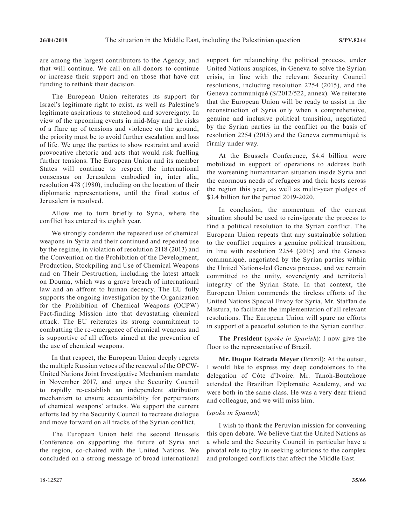are among the largest contributors to the Agency, and that will continue. We call on all donors to continue or increase their support and on those that have cut funding to rethink their decision.

The European Union reiterates its support for Israel's legitimate right to exist, as well as Palestine's legitimate aspirations to statehood and sovereignty. In view of the upcoming events in mid-May and the risks of a flare up of tensions and violence on the ground, the priority must be to avoid further escalation and loss of life. We urge the parties to show restraint and avoid provocative rhetoric and acts that would risk fuelling further tensions. The European Union and its member States will continue to respect the international consensus on Jerusalem embodied in, inter alia, resolution 478 (1980), including on the location of their diplomatic representations, until the final status of Jerusalem is resolved.

Allow me to turn briefly to Syria, where the conflict has entered its eighth year.

We strongly condemn the repeated use of chemical weapons in Syria and their continued and repeated use by the regime, in violation of resolution 2118 (2013) and the Convention on the Prohibition of the Development, Production, Stockpiling and Use of Chemical Weapons and on Their Destruction, including the latest attack on Douma, which was a grave breach of international law and an affront to human decency. The EU fully supports the ongoing investigation by the Organization for the Prohibition of Chemical Weapons (OCPW) Fact-finding Mission into that devastating chemical attack. The EU reiterates its strong commitment to combatting the re-emergence of chemical weapons and is supportive of all efforts aimed at the prevention of the use of chemical weapons.

In that respect, the European Union deeply regrets the multiple Russian vetoes of the renewal of the OPCW-United Nations Joint Investigative Mechanism mandate in November 2017, and urges the Security Council to rapidly re-establish an independent attribution mechanism to ensure accountability for perpetrators of chemical weapons' attacks. We support the current efforts led by the Security Council to recreate dialogue and move forward on all tracks of the Syrian conflict.

The European Union held the second Brussels Conference on supporting the future of Syria and the region, co-chaired with the United Nations. We concluded on a strong message of broad international support for relaunching the political process, under United Nations auspices, in Geneva to solve the Syrian crisis, in line with the relevant Security Council resolutions, including resolution 2254 (2015), and the Geneva communiqué (S/2012/522, annex). We reiterate that the European Union will be ready to assist in the reconstruction of Syria only when a comprehensive, genuine and inclusive political transition, negotiated by the Syrian parties in the conflict on the basis of resolution 2254 (2015) and the Geneva communiqué is firmly under way.

At the Brussels Conference, \$4.4 billion were mobilized in support of operations to address both the worsening humanitarian situation inside Syria and the enormous needs of refugees and their hosts across the region this year, as well as multi-year pledges of \$3.4 billion for the period 2019-2020.

In conclusion, the momentum of the current situation should be used to reinvigorate the process to find a political resolution to the Syrian conflict. The European Union repeats that any sustainable solution to the conflict requires a genuine political transition, in line with resolution 2254 (2015) and the Geneva communiqué, negotiated by the Syrian parties within the United Nations-led Geneva process, and we remain committed to the unity, sovereignty and territorial integrity of the Syrian State. In that context, the European Union commends the tireless efforts of the United Nations Special Envoy for Syria, Mr. Staffan de Mistura, to facilitate the implementation of all relevant resolutions. The European Union will spare no efforts in support of a peaceful solution to the Syrian conflict.

**The President** (*spoke in Spanish*): I now give the floor to the representative of Brazil.

**Mr. Duque Estrada Meyer** (Brazil): At the outset, I would like to express my deep condolences to the delegation of Côte d'Ivoire. Mr. Tanoh-Boutchoue attended the Brazilian Diplomatic Academy, and we were both in the same class. He was a very dear friend and colleague, and we will miss him.

#### (*spoke in Spanish*)

I wish to thank the Peruvian mission for convening this open debate. We believe that the United Nations as a whole and the Security Council in particular have a pivotal role to play in seeking solutions to the complex and prolonged conflicts that affect the Middle East.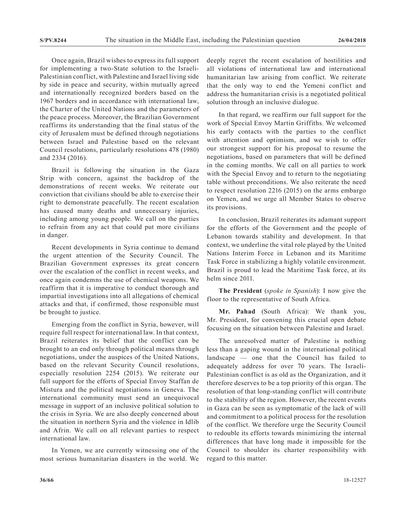Once again, Brazil wishes to express its full support for implementing a two-State solution to the Israeli-Palestinian conflict, with Palestine and Israel living side by side in peace and security, within mutually agreed and internationally recognized borders based on the 1967 borders and in accordance with international law, the Charter of the United Nations and the parameters of the peace process. Moreover, the Brazilian Government reaffirms its understanding that the final status of the city of Jerusalem must be defined through negotiations between Israel and Palestine based on the relevant Council resolutions, particularly resolutions 478 (1980) and 2334 (2016).

Brazil is following the situation in the Gaza Strip with concern, against the backdrop of the demonstrations of recent weeks. We reiterate our conviction that civilians should be able to exercise their right to demonstrate peacefully. The recent escalation has caused many deaths and unnecessary injuries, including among young people. We call on the parties to refrain from any act that could put more civilians in danger.

Recent developments in Syria continue to demand the urgent attention of the Security Council. The Brazilian Government expresses its great concern over the escalation of the conflict in recent weeks, and once again condemns the use of chemical weapons. We reaffirm that it is imperative to conduct thorough and impartial investigations into all allegations of chemical attacks and that, if confirmed, those responsible must be brought to justice.

Emerging from the conflict in Syria, however, will require full respect for international law. In that context, Brazil reiterates its belief that the conflict can be brought to an end only through political means through negotiations, under the auspices of the United Nations, based on the relevant Security Council resolutions, especially resolution 2254 (2015). We reiterate our full support for the efforts of Special Envoy Staffan de Mistura and the political negotiations in Geneva. The international community must send an unequivocal message in support of an inclusive political solution to the crisis in Syria. We are also deeply concerned about the situation in northern Syria and the violence in Idlib and Afrin. We call on all relevant parties to respect international law.

In Yemen, we are currently witnessing one of the most serious humanitarian disasters in the world. We deeply regret the recent escalation of hostilities and all violations of international law and international humanitarian law arising from conflict. We reiterate that the only way to end the Yemeni conflict and address the humanitarian crisis is a negotiated political solution through an inclusive dialogue.

In that regard, we reaffirm our full support for the work of Special Envoy Martin Griffiths. We welcomed his early contacts with the parties to the conflict with attention and optimism, and we wish to offer our strongest support for his proposal to resume the negotiations, based on parameters that will be defined in the coming months. We call on all parties to work with the Special Envoy and to return to the negotiating table without preconditions. We also reiterate the need to respect resolution 2216 (2015) on the arms embargo on Yemen, and we urge all Member States to observe its provisions.

In conclusion, Brazil reiterates its adamant support for the efforts of the Government and the people of Lebanon towards stability and development. In that context, we underline the vital role played by the United Nations Interim Force in Lebanon and its Maritime Task Force in stabilizing a highly volatile environment. Brazil is proud to lead the Maritime Task force, at its helm since 2011.

**The President** (*spoke in Spanish*): I now give the floor to the representative of South Africa.

**Mr. Pahad** (South Africa): We thank you, Mr. President, for convening this crucial open debate focusing on the situation between Palestine and Israel.

The unresolved matter of Palestine is nothing less than a gaping wound in the international political landscape — one that the Council has failed to adequately address for over 70 years. The Israeli-Palestinian conflict is as old as the Organization, and it therefore deserves to be a top priority of this organ. The resolution of that long-standing conflict will contribute to the stability of the region. However, the recent events in Gaza can be seen as symptomatic of the lack of will and commitment to a political process for the resolution of the conflict. We therefore urge the Security Council to redouble its efforts towards minimizing the internal differences that have long made it impossible for the Council to shoulder its charter responsibility with regard to this matter.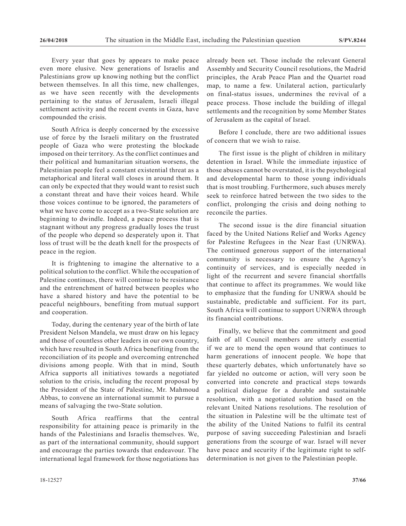Every year that goes by appears to make peace even more elusive. New generations of Israelis and Palestinians grow up knowing nothing but the conflict between themselves. In all this time, new challenges, as we have seen recently with the developments pertaining to the status of Jerusalem, Israeli illegal settlement activity and the recent events in Gaza, have compounded the crisis.

South Africa is deeply concerned by the excessive use of force by the Israeli military on the frustrated people of Gaza who were protesting the blockade imposed on their territory. As the conflict continues and their political and humanitarian situation worsens, the Palestinian people feel a constant existential threat as a metaphorical and literal wall closes in around them. It can only be expected that they would want to resist such a constant threat and have their voices heard. While those voices continue to be ignored, the parameters of what we have come to accept as a two-State solution are beginning to dwindle. Indeed, a peace process that is stagnant without any progress gradually loses the trust of the people who depend so desperately upon it. That loss of trust will be the death knell for the prospects of peace in the region.

It is frightening to imagine the alternative to a political solution to the conflict. While the occupation of Palestine continues, there will continue to be resistance and the entrenchment of hatred between peoples who have a shared history and have the potential to be peaceful neighbours, benefiting from mutual support and cooperation.

Today, during the centenary year of the birth of late President Nelson Mandela, we must draw on his legacy and those of countless other leaders in our own country, which have resulted in South Africa benefiting from the reconciliation of its people and overcoming entrenched divisions among people. With that in mind, South Africa supports all initiatives towards a negotiated solution to the crisis, including the recent proposal by the President of the State of Palestine, Mr. Mahmoud Abbas, to convene an international summit to pursue a means of salvaging the two-State solution.

South Africa reaffirms that the central responsibility for attaining peace is primarily in the hands of the Palestinians and Israelis themselves. We, as part of the international community, should support and encourage the parties towards that endeavour. The international legal framework for those negotiations has already been set. Those include the relevant General Assembly and Security Council resolutions, the Madrid principles, the Arab Peace Plan and the Quartet road map, to name a few. Unilateral action, particularly on final-status issues, undermines the revival of a peace process. Those include the building of illegal settlements and the recognition by some Member States of Jerusalem as the capital of Israel.

Before I conclude, there are two additional issues of concern that we wish to raise.

The first issue is the plight of children in military detention in Israel. While the immediate injustice of those abuses cannot be overstated, it is the psychological and developmental harm to those young individuals that is most troubling. Furthermore, such abuses merely seek to reinforce hatred between the two sides to the conflict, prolonging the crisis and doing nothing to reconcile the parties.

The second issue is the dire financial situation faced by the United Nations Relief and Works Agency for Palestine Refugees in the Near East (UNRWA). The continued generous support of the international community is necessary to ensure the Agency's continuity of services, and is especially needed in light of the recurrent and severe financial shortfalls that continue to affect its programmes. We would like to emphasize that the funding for UNRWA should be sustainable, predictable and sufficient. For its part, South Africa will continue to support UNRWA through its financial contributions.

Finally, we believe that the commitment and good faith of all Council members are utterly essential if we are to mend the open wound that continues to harm generations of innocent people. We hope that these quarterly debates, which unfortunately have so far yielded no outcome or action, will very soon be converted into concrete and practical steps towards a political dialogue for a durable and sustainable resolution, with a negotiated solution based on the relevant United Nations resolutions. The resolution of the situation in Palestine will be the ultimate test of the ability of the United Nations to fulfil its central purpose of saving succeeding Palestinian and Israeli generations from the scourge of war. Israel will never have peace and security if the legitimate right to selfdetermination is not given to the Palestinian people.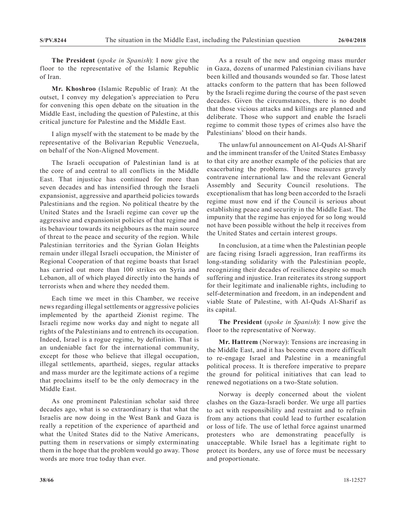**The President** (*spoke in Spanish*): I now give the floor to the representative of the Islamic Republic of Iran.

**Mr. Khoshroo** (Islamic Republic of Iran): At the outset, I convey my delegation's appreciation to Peru for convening this open debate on the situation in the Middle East, including the question of Palestine, at this critical juncture for Palestine and the Middle East.

I align myself with the statement to be made by the representative of the Bolivarian Republic Venezuela, on behalf of the Non-Aligned Movement.

The Israeli occupation of Palestinian land is at the core of and central to all conflicts in the Middle East. That injustice has continued for more than seven decades and has intensified through the Israeli expansionist, aggressive and apartheid policies towards Palestinians and the region. No political theatre by the United States and the Israeli regime can cover up the aggressive and expansionist policies of that regime and its behaviour towards its neighbours as the main source of threat to the peace and security of the region. While Palestinian territories and the Syrian Golan Heights remain under illegal Israeli occupation, the Minister of Regional Cooperation of that regime boasts that Israel has carried out more than 100 strikes on Syria and Lebanon, all of which played directly into the hands of terrorists when and where they needed them.

Each time we meet in this Chamber, we receive news regarding illegal settlements or aggressive policies implemented by the apartheid Zionist regime. The Israeli regime now works day and night to negate all rights of the Palestinians and to entrench its occupation. Indeed, Israel is a rogue regime, by definition. That is an undeniable fact for the international community, except for those who believe that illegal occupation, illegal settlements, apartheid, sieges, regular attacks and mass murder are the legitimate actions of a regime that proclaims itself to be the only democracy in the Middle East.

As one prominent Palestinian scholar said three decades ago, what is so extraordinary is that what the Israelis are now doing in the West Bank and Gaza is really a repetition of the experience of apartheid and what the United States did to the Native Americans, putting them in reservations or simply exterminating them in the hope that the problem would go away. Those words are more true today than ever.

As a result of the new and ongoing mass murder in Gaza, dozens of unarmed Palestinian civilians have been killed and thousands wounded so far. Those latest attacks conform to the pattern that has been followed by the Israeli regime during the course of the past seven decades. Given the circumstances, there is no doubt that those vicious attacks and killings are planned and deliberate. Those who support and enable the Israeli regime to commit those types of crimes also have the Palestinians' blood on their hands.

The unlawful announcement on Al-Quds Al-Sharif and the imminent transfer of the United States Embassy to that city are another example of the policies that are exacerbating the problems. Those measures gravely contravene international law and the relevant General Assembly and Security Council resolutions. The exceptionalism that has long been accorded to the Israeli regime must now end if the Council is serious about establishing peace and security in the Middle East. The impunity that the regime has enjoyed for so long would not have been possible without the help it receives from the United States and certain interest groups.

In conclusion, at a time when the Palestinian people are facing rising Israeli aggression, Iran reaffirms its long-standing solidarity with the Palestinian people, recognizing their decades of resilience despite so much suffering and injustice. Iran reiterates its strong support for their legitimate and inalienable rights, including to self-determination and freedom, in an independent and viable State of Palestine, with Al-Quds Al-Sharif as its capital.

**The President** (*spoke in Spanish*): I now give the floor to the representative of Norway.

**Mr. Hattrem** (Norway): Tensions are increasing in the Middle East, and it has become even more difficult to re-engage Israel and Palestine in a meaningful political process. It is therefore imperative to prepare the ground for political initiatives that can lead to renewed negotiations on a two-State solution.

Norway is deeply concerned about the violent clashes on the Gaza-Israeli border. We urge all parties to act with responsibility and restraint and to refrain from any actions that could lead to further escalation or loss of life. The use of lethal force against unarmed protesters who are demonstrating peacefully is unacceptable. While Israel has a legitimate right to protect its borders, any use of force must be necessary and proportionate.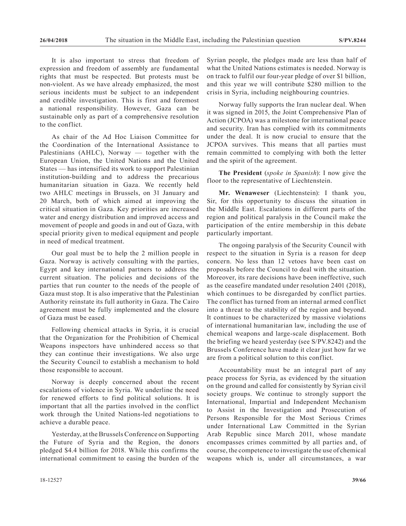It is also important to stress that freedom of expression and freedom of assembly are fundamental rights that must be respected. But protests must be non-violent. As we have already emphasized, the most serious incidents must be subject to an independent and credible investigation. This is first and foremost a national responsibility. However, Gaza can be sustainable only as part of a comprehensive resolution to the conflict.

As chair of the Ad Hoc Liaison Committee for the Coordination of the International Assistance to Palestinians (AHLC), Norway — together with the European Union, the United Nations and the United States — has intensified its work to support Palestinian institution-building and to address the precarious humanitarian situation in Gaza. We recently held two AHLC meetings in Brussels, on 31 January and 20 March, both of which aimed at improving the critical situation in Gaza. Key priorities are increased water and energy distribution and improved access and movement of people and goods in and out of Gaza, with special priority given to medical equipment and people in need of medical treatment.

Our goal must be to help the 2 million people in Gaza. Norway is actively consulting with the parties, Egypt and key international partners to address the current situation. The policies and decisions of the parties that run counter to the needs of the people of Gaza must stop. It is also imperative that the Palestinian Authority reinstate its full authority in Gaza. The Cairo agreement must be fully implemented and the closure of Gaza must be eased.

Following chemical attacks in Syria, it is crucial that the Organization for the Prohibition of Chemical Weapons inspectors have unhindered access so that they can continue their investigations. We also urge the Security Council to establish a mechanism to hold those responsible to account.

Norway is deeply concerned about the recent escalations of violence in Syria. We underline the need for renewed efforts to find political solutions. It is important that all the parties involved in the conflict work through the United Nations-led negotiations to achieve a durable peace.

Yesterday, at the Brussels Conference on Supporting the Future of Syria and the Region, the donors pledged \$4.4 billion for 2018. While this confirms the international commitment to easing the burden of the Syrian people, the pledges made are less than half of what the United Nations estimates is needed. Norway is on track to fulfil our four-year pledge of over \$1 billion, and this year we will contribute \$280 million to the crisis in Syria, including neighbouring countries.

Norway fully supports the Iran nuclear deal. When it was signed in 2015, the Joint Comprehensive Plan of Action (JCPOA) was a milestone for international peace and security. Iran has complied with its commitments under the deal. It is now crucial to ensure that the JCPOA survives. This means that all parties must remain committed to complying with both the letter and the spirit of the agreement.

**The President** (*spoke in Spanish*): I now give the floor to the representative of Liechtenstein.

**Mr. Wenaweser** (Liechtenstein): I thank you, Sir, for this opportunity to discuss the situation in the Middle East. Escalations in different parts of the region and political paralysis in the Council make the participation of the entire membership in this debate particularly important.

The ongoing paralysis of the Security Council with respect to the situation in Syria is a reason for deep concern. No less than 12 vetoes have been cast on proposals before the Council to deal with the situation. Moreover, its rare decisions have been ineffective, such as the ceasefire mandated under resolution 2401 (2018), which continues to be disregarded by conflict parties. The conflict has turned from an internal armed conflict into a threat to the stability of the region and beyond. It continues to be characterized by massive violations of international humanitarian law, including the use of chemical weapons and large-scale displacement. Both the briefing we heard yesterday (see S/PV.8242) and the Brussels Conference have made it clear just how far we are from a political solution to this conflict.

Accountability must be an integral part of any peace process for Syria, as evidenced by the situation on the ground and called for consistently by Syrian civil society groups. We continue to strongly support the International, Impartial and Independent Mechanism to Assist in the Investigation and Prosecution of Persons Responsible for the Most Serious Crimes under International Law Committed in the Syrian Arab Republic since March 2011, whose mandate encompasses crimes committed by all parties and, of course, the competence to investigate the use of chemical weapons which is, under all circumstances, a war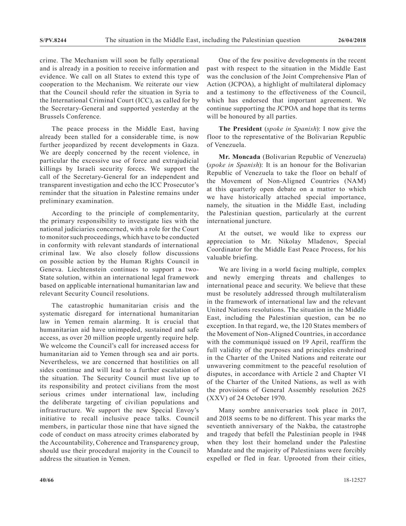crime. The Mechanism will soon be fully operational and is already in a position to receive information and evidence. We call on all States to extend this type of cooperation to the Mechanism. We reiterate our view that the Council should refer the situation in Syria to the International Criminal Court (ICC), as called for by the Secretary-General and supported yesterday at the Brussels Conference.

The peace process in the Middle East, having already been stalled for a considerable time, is now further jeopardized by recent developments in Gaza. We are deeply concerned by the recent violence, in particular the excessive use of force and extrajudicial killings by Israeli security forces. We support the call of the Secretary-General for an independent and transparent investigation and echo the ICC Prosecutor's reminder that the situation in Palestine remains under preliminary examination.

According to the principle of complementarity, the primary responsibility to investigate lies with the national judiciaries concerned, with a role for the Court to monitor such proceedings, which have to be conducted in conformity with relevant standards of international criminal law. We also closely follow discussions on possible action by the Human Rights Council in Geneva. Liechtenstein continues to support a two-State solution, within an international legal framework based on applicable international humanitarian law and relevant Security Council resolutions.

The catastrophic humanitarian crisis and the systematic disregard for international humanitarian law in Yemen remain alarming. It is crucial that humanitarian aid have unimpeded, sustained and safe access, as over 20 million people urgently require help. We welcome the Council's call for increased access for humanitarian aid to Yemen through sea and air ports. Nevertheless, we are concerned that hostilities on all sides continue and will lead to a further escalation of the situation. The Security Council must live up to its responsibility and protect civilians from the most serious crimes under international law, including the deliberate targeting of civilian populations and infrastructure. We support the new Special Envoy's initiative to recall inclusive peace talks. Council members, in particular those nine that have signed the code of conduct on mass atrocity crimes elaborated by the Accountability, Coherence and Transparency group, should use their procedural majority in the Council to address the situation in Yemen.

One of the few positive developments in the recent past with respect to the situation in the Middle East was the conclusion of the Joint Comprehensive Plan of Action (JCPOA), a highlight of multilateral diplomacy and a testimony to the effectiveness of the Council, which has endorsed that important agreement. We continue supporting the JCPOA and hope that its terms will be honoured by all parties.

**The President** (*spoke in Spanish*): I now give the floor to the representative of the Bolivarian Republic of Venezuela.

**Mr. Moncada** (Bolivarian Republic of Venezuela) (*spoke in Spanish*): It is an honour for the Bolivarian Republic of Venezuela to take the floor on behalf of the Movement of Non-Aligned Countries (NAM) at this quarterly open debate on a matter to which we have historically attached special importance, namely, the situation in the Middle East, including the Palestinian question, particularly at the current international juncture.

At the outset, we would like to express our appreciation to Mr. Nikolay Mladenov, Special Coordinator for the Middle East Peace Process, for his valuable briefing.

We are living in a world facing multiple, complex and newly emerging threats and challenges to international peace and security. We believe that these must be resolutely addressed through multilateralism in the framework of international law and the relevant United Nations resolutions. The situation in the Middle East, including the Palestinian question, can be no exception. In that regard, we, the 120 States members of the Movement of Non-Aligned Countries, in accordance with the communiqué issued on 19 April, reaffirm the full validity of the purposes and principles enshrined in the Charter of the United Nations and reiterate our unwavering commitment to the peaceful resolution of disputes, in accordance with Article 2 and Chapter VI of the Charter of the United Nations, as well as with the provisions of General Assembly resolution 2625 (XXV) of 24 October 1970.

Many sombre anniversaries took place in 2017, and 2018 seems to be no different. This year marks the seventieth anniversary of the Nakba, the catastrophe and tragedy that befell the Palestinian people in 1948 when they lost their homeland under the Palestine Mandate and the majority of Palestinians were forcibly expelled or fled in fear. Uprooted from their cities,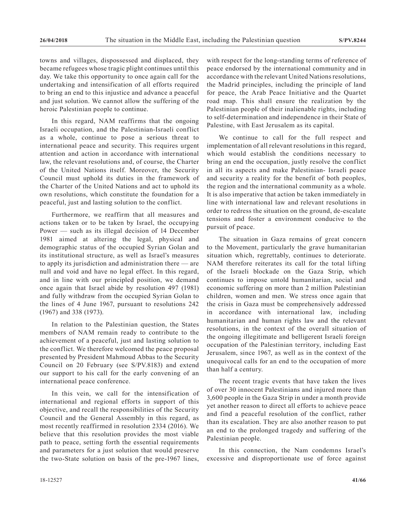towns and villages, dispossessed and displaced, they became refugees whose tragic plight continues until this day. We take this opportunity to once again call for the undertaking and intensification of all efforts required to bring an end to this injustice and advance a peaceful and just solution. We cannot allow the suffering of the heroic Palestinian people to continue.

In this regard, NAM reaffirms that the ongoing Israeli occupation, and the Palestinian-Israeli conflict as a whole, continue to pose a serious threat to international peace and security. This requires urgent attention and action in accordance with international law, the relevant resolutions and, of course, the Charter of the United Nations itself. Moreover, the Security Council must uphold its duties in the framework of the Charter of the United Nations and act to uphold its own resolutions, which constitute the foundation for a peaceful, just and lasting solution to the conflict.

Furthermore, we reaffirm that all measures and actions taken or to be taken by Israel, the occupying Power — such as its illegal decision of 14 December 1981 aimed at altering the legal, physical and demographic status of the occupied Syrian Golan and its institutional structure, as well as Israel's measures to apply its jurisdiction and administration there — are null and void and have no legal effect. In this regard, and in line with our principled position, we demand once again that Israel abide by resolution 497 (1981) and fully withdraw from the occupied Syrian Golan to the lines of 4 June 1967, pursuant to resolutions 242 (1967) and 338 (1973).

In relation to the Palestinian question, the States members of NAM remain ready to contribute to the achievement of a peaceful, just and lasting solution to the conflict. We therefore welcomed the peace proposal presented by President Mahmoud Abbas to the Security Council on 20 February (see S/PV.8183) and extend our support to his call for the early convening of an international peace conference.

In this vein, we call for the intensification of international and regional efforts in support of this objective, and recall the responsibilities of the Security Council and the General Assembly in this regard, as most recently reaffirmed in resolution 2334 (2016). We believe that this resolution provides the most viable path to peace, setting forth the essential requirements and parameters for a just solution that would preserve the two-State solution on basis of the pre-1967 lines,

with respect for the long-standing terms of reference of peace endorsed by the international community and in accordance with the relevant United Nations resolutions, the Madrid principles, including the principle of land for peace, the Arab Peace Initiative and the Quartet road map. This shall ensure the realization by the Palestinian people of their inalienable rights, including to self-determination and independence in their State of Palestine, with East Jerusalem as its capital.

We continue to call for the full respect and implementation of all relevant resolutions in this regard, which would establish the conditions necessary to bring an end the occupation, justly resolve the conflict in all its aspects and make Palestinian- Israeli peace and security a reality for the benefit of both peoples, the region and the international community as a whole. It is also imperative that action be taken immediately in line with international law and relevant resolutions in order to redress the situation on the ground, de-escalate tensions and foster a environment conducive to the pursuit of peace.

The situation in Gaza remains of great concern to the Movement, particularly the grave humanitarian situation which, regrettably, continues to deteriorate. NAM therefore reiterates its call for the total lifting of the Israeli blockade on the Gaza Strip, which continues to impose untold humanitarian, social and economic suffering on more than 2 million Palestinian children, women and men. We stress once again that the crisis in Gaza must be comprehensively addressed in accordance with international law, including humanitarian and human rights law and the relevant resolutions, in the context of the overall situation of the ongoing illegitimate and belligerent Israeli foreign occupation of the Palestinian territory, including East Jerusalem, since 1967, as well as in the context of the unequivocal calls for an end to the occupation of more than half a century.

The recent tragic events that have taken the lives of over 30 innocent Palestinians and injured more than 3,600 people in the Gaza Strip in under a month provide yet another reason to direct all efforts to achieve peace and find a peaceful resolution of the conflict, rather than its escalation. They are also another reason to put an end to the prolonged tragedy and suffering of the Palestinian people.

In this connection, the Nam condemns Israel's excessive and disproportionate use of force against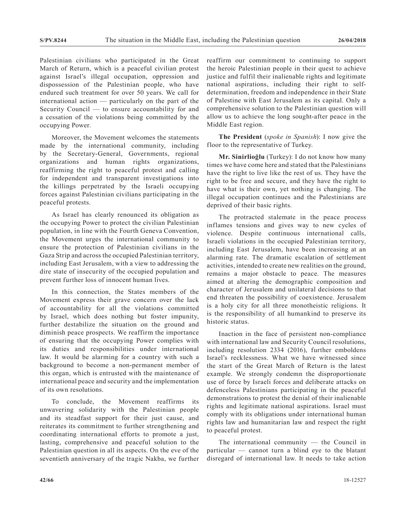Palestinian civilians who participated in the Great March of Return, which is a peaceful civilian protest against Israel's illegal occupation, oppression and dispossession of the Palestinian people, who have endured such treatment for over 50 years. We call for international action — particularly on the part of the Security Council — to ensure accountability for and a cessation of the violations being committed by the occupying Power.

Moreover, the Movement welcomes the statements made by the international community, including by the Secretary-General, Governments, regional organizations and human rights organizations, reaffirming the right to peaceful protest and calling for independent and transparent investigations into the killings perpetrated by the Israeli occupying forces against Palestinian civilians participating in the peaceful protests.

As Israel has clearly renounced its obligation as the occupying Power to protect the civilian Palestinian population, in line with the Fourth Geneva Convention, the Movement urges the international community to ensure the protection of Palestinian civilians in the Gaza Strip and across the occupied Palestinian territory, including East Jerusalem, with a view to addressing the dire state of insecurity of the occupied population and prevent further loss of innocent human lives.

In this connection, the States members of the Movement express their grave concern over the lack of accountability for all the violations committed by Israel, which does nothing but foster impunity, further destabilize the situation on the ground and diminish peace prospects. We reaffirm the importance of ensuring that the occupying Power complies with its duties and responsibilities under international law. It would be alarming for a country with such a background to become a non-permanent member of this organ, which is entrusted with the maintenance of international peace and security and the implementation of its own resolutions.

To conclude, the Movement reaffirms its unwavering solidarity with the Palestinian people and its steadfast support for their just cause, and reiterates its commitment to further strengthening and coordinating international efforts to promote a just, lasting, comprehensive and peaceful solution to the Palestinian question in all its aspects. On the eve of the seventieth anniversary of the tragic Nakba, we further

reaffirm our commitment to continuing to support the heroic Palestinian people in their quest to achieve justice and fulfil their inalienable rights and legitimate national aspirations, including their right to selfdetermination, freedom and independence in their State of Palestine with East Jerusalem as its capital. Only a comprehensive solution to the Palestinian question will allow us to achieve the long sought-after peace in the Middle East region.

**The President** (*spoke in Spanish*): I now give the floor to the representative of Turkey.

**Mr. Sinirlioğlu** (Turkey): I do not know how many times we have come here and stated that the Palestinians have the right to live like the rest of us. They have the right to be free and secure, and they have the right to have what is their own, yet nothing is changing. The illegal occupation continues and the Palestinians are deprived of their basic rights.

The protracted stalemate in the peace process inflames tensions and gives way to new cycles of violence. Despite continuous international calls, Israeli violations in the occupied Palestinian territory, including East Jerusalem, have been increasing at an alarming rate. The dramatic escalation of settlement activities, intended to create new realities on the ground, remains a major obstacle to peace. The measures aimed at altering the demographic composition and character of Jerusalem and unilateral decisions to that end threaten the possibility of coexistence. Jerusalem is a holy city for all three monotheistic religions. It is the responsibility of all humankind to preserve its historic status.

Inaction in the face of persistent non-compliance with international law and Security Council resolutions, including resolution 2334 (2016), further emboldens Israel's recklessness. What we have witnessed since the start of the Great March of Return is the latest example. We strongly condemn the disproportionate use of force by Israeli forces and deliberate attacks on defenceless Palestinians participating in the peaceful demonstrations to protest the denial of their inalienable rights and legitimate national aspirations. Israel must comply with its obligations under international human rights law and humanitarian law and respect the right to peaceful protest.

The international community — the Council in particular — cannot turn a blind eye to the blatant disregard of international law. It needs to take action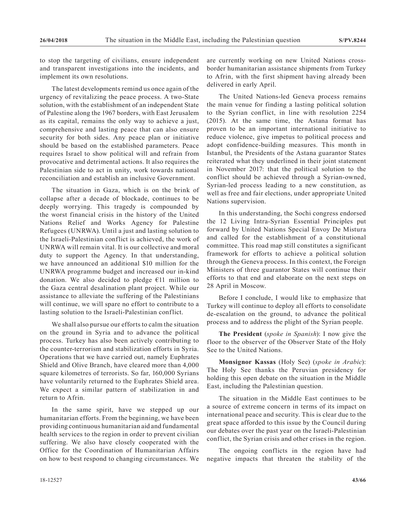to stop the targeting of civilians, ensure independent and transparent investigations into the incidents, and implement its own resolutions.

The latest developments remind us once again of the urgency of revitalizing the peace process. A two-State solution, with the establishment of an independent State of Palestine along the 1967 borders, with East Jerusalem as its capital, remains the only way to achieve a just, comprehensive and lasting peace that can also ensure security for both sides. Any peace plan or initiative should be based on the established parameters. Peace requires Israel to show political will and refrain from provocative and detrimental actions. It also requires the Palestinian side to act in unity, work towards national reconciliation and establish an inclusive Government.

The situation in Gaza, which is on the brink of collapse after a decade of blockade, continues to be deeply worrying. This tragedy is compounded by the worst financial crisis in the history of the United Nations Relief and Works Agency for Palestine Refugees (UNRWA). Until a just and lasting solution to the Israeli-Palestinian conflict is achieved, the work of UNRWA will remain vital. It is our collective and moral duty to support the Agency. In that understanding, we have announced an additional \$10 million for the UNRWA programme budget and increased our in-kind donation. We also decided to pledge  $E11$  million to the Gaza central desalination plant project. While our assistance to alleviate the suffering of the Palestinians will continue, we will spare no effort to contribute to a lasting solution to the Israeli-Palestinian conflict.

We shall also pursue our efforts to calm the situation on the ground in Syria and to advance the political process. Turkey has also been actively contributing to the counter-terrorism and stabilization efforts in Syria. Operations that we have carried out, namely Euphrates Shield and Olive Branch, have cleared more than 4,000 square kilometres of terrorists. So far, 160,000 Syrians have voluntarily returned to the Euphrates Shield area. We expect a similar pattern of stabilization in and return to Afrin.

In the same spirit, have we stepped up our humanitarian efforts. From the beginning, we have been providing continuous humanitarian aid and fundamental health services to the region in order to prevent civilian suffering. We also have closely cooperated with the Office for the Coordination of Humanitarian Affairs on how to best respond to changing circumstances. We are currently working on new United Nations crossborder humanitarian assistance shipments from Turkey to Afrin, with the first shipment having already been delivered in early April.

The United Nations-led Geneva process remains the main venue for finding a lasting political solution to the Syrian conflict, in line with resolution 2254 (2015). At the same time, the Astana format has proven to be an important international initiative to reduce violence, give impetus to political process and adopt confidence-building measures. This month in Istanbul, the Presidents of the Astana guarantor States reiterated what they underlined in their joint statement in November 2017: that the political solution to the conflict should be achieved through a Syrian-owned, Syrian-led process leading to a new constitution, as well as free and fair elections, under appropriate United Nations supervision.

In this understanding, the Sochi congress endorsed the 12 Living Intra-Syrian Essential Principles put forward by United Nations Special Envoy De Mistura and called for the establishment of a constitutional committee. This road map still constitutes a significant framework for efforts to achieve a political solution through the Geneva process. In this context, the Foreign Ministers of three guarantor States will continue their efforts to that end and elaborate on the next steps on 28 April in Moscow.

Before I conclude, I would like to emphasize that Turkey will continue to deploy all efforts to consolidate de-escalation on the ground, to advance the political process and to address the plight of the Syrian people.

**The President** (*spoke in Spanish*): I now give the floor to the observer of the Observer State of the Holy See to the United Nations.

**Monsignor Kassas** (Holy See) (*spoke in Arabic*): The Holy See thanks the Peruvian presidency for holding this open debate on the situation in the Middle East, including the Palestinian question.

The situation in the Middle East continues to be a source of extreme concern in terms of its impact on international peace and security. This is clear due to the great space afforded to this issue by the Council during our debates over the past year on the Israeli-Palestinian conflict, the Syrian crisis and other crises in the region.

The ongoing conflicts in the region have had negative impacts that threaten the stability of the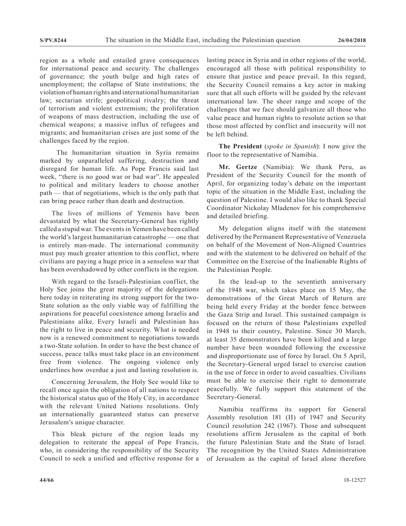region as a whole and entailed grave consequences for international peace and security. The challenges of governance; the youth bulge and high rates of unemployment; the collapse of State institutions; the violation of human rights and international humanitarian law; sectarian strife; geopolitical rivalry; the threat of terrorism and violent extremism; the proliferation of weapons of mass destruction, including the use of chemical weapons; a massive influx of refugees and migrants; and humanitarian crises are just some of the challenges faced by the region.

 The humanitarian situation in Syria remains marked by unparalleled suffering, destruction and disregard for human life. As Pope Francis said last week, "there is no good war or bad war". He appealed to political and military leaders to choose another path — that of negotiations, which is the only path that can bring peace rather than death and destruction.

The lives of millions of Yemenis have been devastated by what the Secretary-General has rightly called a stupid war. The events in Yemen have been called the world's largest humanitarian catastrophe — one that is entirely man-made. The international community must pay much greater attention to this conflict, where civilians are paying a huge price in a senseless war that has been overshadowed by other conflicts in the region.

With regard to the Israeli-Palestinian conflict, the Holy See joins the great majority of the delegations here today in reiterating its strong support for the two-State solution as the only viable way of fulfilling the aspirations for peaceful coexistence among Israelis and Palestinians alike. Every Israeli and Palestinian has the right to live in peace and security. What is needed now is a renewed commitment to negotiations towards a two-State solution. In order to have the best chance of success, peace talks must take place in an environment free from violence. The ongoing violence only underlines how overdue a just and lasting resolution is.

Concerning Jerusalem, the Holy See would like to recall once again the obligation of all nations to respect the historical status quo of the Holy City, in accordance with the relevant United Nations resolutions. Only an internationally guaranteed status can preserve Jerusalem's unique character.

This bleak picture of the region leads my delegation to reiterate the appeal of Pope Francis, who, in considering the responsibility of the Security Council to seek a unified and effective response for a lasting peace in Syria and in other regions of the world, encouraged all those with political responsibility to ensure that justice and peace prevail. In this regard, the Security Council remains a key actor in making sure that all such efforts will be guided by the relevant international law. The sheer range and scope of the challenges that we face should galvanize all those who value peace and human rights to resolute action so that those most affected by conflict and insecurity will not be left behind.

**The President** (*spoke in Spanish*): I now give the floor to the representative of Namibia.

**Mr. Gertze** (Namibia): We thank Peru, as President of the Security Council for the month of April, for organizing today's debate on the important topic of the situation in the Middle East, including the question of Palestine. I would also like to thank Special Coordinator Nickolay Mladenov for his comprehensive and detailed briefing.

My delegation aligns itself with the statement delivered by the Permanent Representative of Venezuela on behalf of the Movement of Non-Aligned Countries and with the statement to be delivered on behalf of the Committee on the Exercise of the Inalienable Rights of the Palestinian People.

In the lead-up to the seventieth anniversary of the 1948 war, which takes place on 15 May, the demonstrations of the Great March of Return are being held every Friday at the border fence between the Gaza Strip and Israel. This sustained campaign is focused on the return of those Palestinians expelled in 1948 to their country, Palestine. Since 30 March, at least 35 demonstrators have been killed and a large number have been wounded following the excessive and disproportionate use of force by Israel. On 5 April, the Secretary-General urged Israel to exercise caution in the use of force in order to avoid casualties. Civilians must be able to exercise their right to demonstrate peacefully. We fully support this statement of the Secretary-General.

Namibia reaffirms its support for General Assembly resolution 181 (II) of 1947 and Security Council resolution 242 (1967). Those and subsequent resolutions affirm Jerusalem as the capital of both the future Palestinian State and the State of Israel. The recognition by the United States Administration of Jerusalem as the capital of Israel alone therefore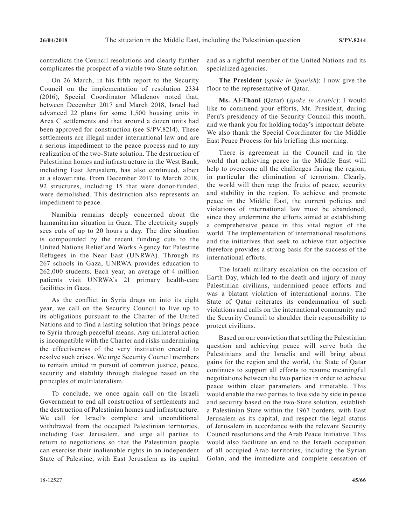contradicts the Council resolutions and clearly further complicates the prospect of a viable two-State solution.

On 26 March, in his fifth report to the Security Council on the implementation of resolution 2334 (2016), Special Coordinator Mladenov noted that, between December 2017 and March 2018, Israel had advanced 22 plans for some 1,500 housing units in Area C settlements and that around a dozen units had been approved for construction (see S/PV.8214). These settlements are illegal under international law and are a serious impediment to the peace process and to any realization of the two-State solution. The destruction of Palestinian homes and infrastructure in the West Bank, including East Jerusalem, has also continued, albeit at a slower rate. From December 2017 to March 2018, 92 structures, including 15 that were donor-funded, were demolished. This destruction also represents an impediment to peace.

Namibia remains deeply concerned about the humanitarian situation in Gaza. The electricity supply sees cuts of up to 20 hours a day. The dire situation is compounded by the recent funding cuts to the United Nations Relief and Works Agency for Palestine Refugees in the Near East (UNRWA). Through its 267 schools in Gaza, UNRWA provides education to 262,000 students. Each year, an average of 4 million patients visit UNRWA's 21 primary health-care facilities in Gaza.

As the conflict in Syria drags on into its eight year, we call on the Security Council to live up to its obligations pursuant to the Charter of the United Nations and to find a lasting solution that brings peace to Syria through peaceful means. Any unilateral action is incompatible with the Charter and risks undermining the effectiveness of the very institution created to resolve such crises. We urge Security Council members to remain united in pursuit of common justice, peace, security and stability through dialogue based on the principles of multilateralism.

To conclude, we once again call on the Israeli Government to end all construction of settlements and the destruction of Palestinian homes and infrastructure. We call for Israel's complete and unconditional withdrawal from the occupied Palestinian territories, including East Jerusalem, and urge all parties to return to negotiations so that the Palestinian people can exercise their inalienable rights in an independent State of Palestine, with East Jerusalem as its capital and as a rightful member of the United Nations and its specialized agencies.

**The President** (*spoke in Spanish*): I now give the floor to the representative of Qatar.

**Ms. Al-Thani** (Qatar) (*spoke in Arabic*): I would like to commend your efforts, Mr. President, during Peru's presidency of the Security Council this month, and we thank you for holding today's important debate. We also thank the Special Coordinator for the Middle East Peace Process for his briefing this morning.

There is agreement in the Council and in the world that achieving peace in the Middle East will help to overcome all the challenges facing the region, in particular the elimination of terrorism. Clearly, the world will then reap the fruits of peace, security and stability in the region. To achieve and promote peace in the Middle East, the current policies and violations of international law must be abandoned, since they undermine the efforts aimed at establishing a comprehensive peace in this vital region of the world. The implementation of international resolutions and the initiatives that seek to achieve that objective therefore provides a strong basis for the success of the international efforts.

The Israeli military escalation on the occasion of Earth Day, which led to the death and injury of many Palestinian civilians, undermined peace efforts and was a blatant violation of international norms. The State of Qatar reiterates its condemnation of such violations and calls on the international community and the Security Council to shoulder their responsibility to protect civilians.

Based on our conviction that settling the Palestinian question and achieving peace will serve both the Palestinians and the Israelis and will bring about gains for the region and the world, the State of Qatar continues to support all efforts to resume meaningful negotiations between the two parties in order to achieve peace within clear parameters and timetable. This would enable the two parties to live side by side in peace and security based on the two-State solution, establish a Palestinian State within the 1967 borders, with East Jerusalem as its capital, and respect the legal status of Jerusalem in accordance with the relevant Security Council resolutions and the Arab Peace Initiative. This would also facilitate an end to the Israeli occupation of all occupied Arab territories, including the Syrian Golan, and the immediate and complete cessation of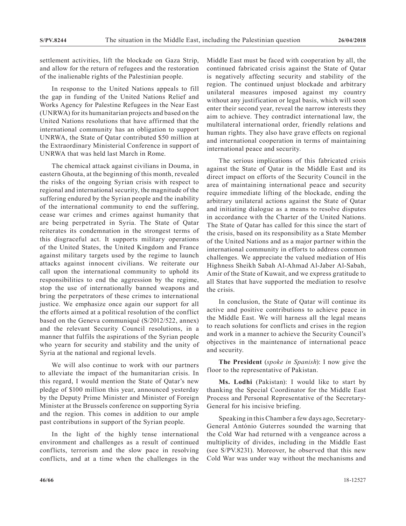settlement activities, lift the blockade on Gaza Strip, and allow for the return of refugees and the restoration of the inalienable rights of the Palestinian people.

In response to the United Nations appeals to fill the gap in funding of the United Nations Relief and Works Agency for Palestine Refugees in the Near East (UNRWA) for its humanitarian projects and based on the United Nations resolutions that have affirmed that the international community has an obligation to support UNRWA, the State of Qatar contributed \$50 million at the Extraordinary Ministerial Conference in support of UNRWA that was held last March in Rome.

The chemical attack against civilians in Douma, in eastern Ghouta, at the beginning of this month, revealed the risks of the ongoing Syrian crisis with respect to regional and international security, the magnitude of the suffering endured by the Syrian people and the inability of the international community to end the suffering, cease war crimes and crimes against humanity that are being perpetrated in Syria. The State of Qatar reiterates its condemnation in the strongest terms of this disgraceful act. It supports military operations of the United States, the United Kingdom and France against military targets used by the regime to launch attacks against innocent civilians. We reiterate our call upon the international community to uphold its responsibilities to end the aggression by the regime, stop the use of internationally banned weapons and bring the perpetrators of these crimes to international justice. We emphasize once again our support for all the efforts aimed at a political resolution of the conflict based on the Geneva communiqué (S/2012/522, annex) and the relevant Security Council resolutions, in a manner that fulfils the aspirations of the Syrian people who yearn for security and stability and the unity of Syria at the national and regional levels.

We will also continue to work with our partners to alleviate the impact of the humanitarian crisis. In this regard, I would mention the State of Qatar's new pledge of \$100 million this year, announced yesterday by the Deputy Prime Minister and Minister of Foreign Minister at the Brussels conference on supporting Syria and the region. This comes in addition to our ample past contributions in support of the Syrian people.

In the light of the highly tense international environment and challenges as a result of continued conflicts, terrorism and the slow pace in resolving conflicts, and at a time when the challenges in the Middle East must be faced with cooperation by all, the continued fabricated crisis against the State of Qatar is negatively affecting security and stability of the region. The continued unjust blockade and arbitrary unilateral measures imposed against my country without any justification or legal basis, which will soon enter their second year, reveal the narrow interests they aim to achieve. They contradict international law, the multilateral international order, friendly relations and human rights. They also have grave effects on regional and international cooperation in terms of maintaining international peace and security.

The serious implications of this fabricated crisis against the State of Qatar in the Middle East and its direct impact on efforts of the Security Council in the area of maintaining international peace and security require immediate lifting of the blockade, ending the arbitrary unilateral actions against the State of Qatar and initiating dialogue as a means to resolve disputes in accordance with the Charter of the United Nations. The State of Qatar has called for this since the start of the crisis, based on its responsibility as a State Member of the United Nations and as a major partner within the international community in efforts to address common challenges. We appreciate the valued mediation of His Highness Sheikh Sabah Al-Ahmad Al-Jaber Al-Sabah, Amir of the State of Kuwait, and we express gratitude to all States that have supported the mediation to resolve the crisis.

In conclusion, the State of Qatar will continue its active and positive contributions to achieve peace in the Middle East. We will harness all the legal means to reach solutions for conflicts and crises in the region and work in a manner to achieve the Security Council's objectives in the maintenance of international peace and security.

**The President** (*spoke in Spanish*): I now give the floor to the representative of Pakistan.

**Ms. Lodhi** (Pakistan): I would like to start by thanking the Special Coordinator for the Middle East Process and Personal Representative of the Secretary-General for his incisive briefing.

Speaking in this Chamber a few days ago, Secretary-General António Guterres sounded the warning that the Cold War had returned with a vengeance across a multiplicity of divides, including in the Middle East (see S/PV.8231). Moreover, he observed that this new Cold War was under way without the mechanisms and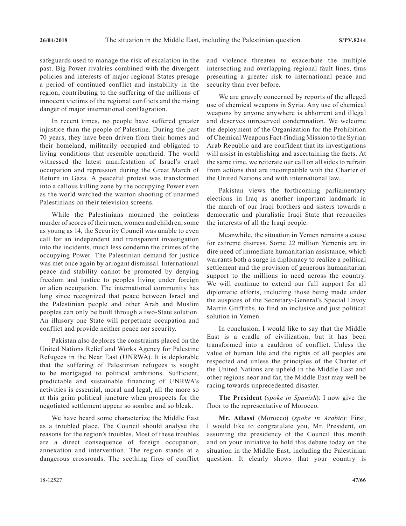safeguards used to manage the risk of escalation in the past. Big Power rivalries combined with the divergent policies and interests of major regional States presage a period of continued conflict and instability in the region, contributing to the suffering of the millions of innocent victims of the regional conflicts and the rising danger of major international conflagration.

In recent times, no people have suffered greater injustice than the people of Palestine. During the past 70 years, they have been driven from their homes and their homeland, militarily occupied and obligated to living conditions that resemble apartheid. The world witnessed the latest manifestation of Israel's cruel occupation and repression during the Great March of Return in Gaza. A peaceful protest was transformed into a callous killing zone by the occupying Power even as the world watched the wanton shooting of unarmed Palestinians on their television screens.

While the Palestinians mourned the pointless murder of scores of their men, women and children, some as young as 14, the Security Council was unable to even call for an independent and transparent investigation into the incidents, much less condemn the crimes of the occupying Power. The Palestinian demand for justice was met once again by arrogant dismissal. International peace and stability cannot be promoted by denying freedom and justice to peoples living under foreign or alien occupation. The international community has long since recognized that peace between Israel and the Palestinian people and other Arab and Muslim peoples can only be built through a two-State solution. An illusory one State will perpetuate occupation and conflict and provide neither peace nor security.

Pakistan also deplores the constraints placed on the United Nations Relief and Works Agency for Palestine Refugees in the Near East (UNRWA). It is deplorable that the suffering of Palestinian refugees is sought to be mortgaged to political ambitions. Sufficient, predictable and sustainable financing of UNRWA's activities is essential, moral and legal, all the more so at this grim political juncture when prospects for the negotiated settlement appear so sombre and so bleak.

We have heard some characterize the Middle East as a troubled place. The Council should analyse the reasons for the region's troubles. Most of these troubles are a direct consequence of foreign occupation, annexation and intervention. The region stands at a dangerous crossroads. The seething fires of conflict

and violence threaten to exacerbate the multiple intersecting and overlapping regional fault lines, thus presenting a greater risk to international peace and security than ever before.

We are gravely concerned by reports of the alleged use of chemical weapons in Syria. Any use of chemical weapons by anyone anywhere is abhorrent and illegal and deserves unreserved condemnation. We welcome the deployment of the Organization for the Prohibition of Chemical Weapons Fact-finding Mission to the Syrian Arab Republic and are confident that its investigations will assist in establishing and ascertaining the facts. At the same time, we reiterate our call on all sides to refrain from actions that are incompatible with the Charter of the United Nations and with international law.

Pakistan views the forthcoming parliamentary elections in Iraq as another important landmark in the march of our Iraqi brothers and sisters towards a democratic and pluralistic Iraqi State that reconciles the interests of all the Iraqi people.

Meanwhile, the situation in Yemen remains a cause for extreme distress. Some 22 million Yemenis are in dire need of immediate humanitarian assistance, which warrants both a surge in diplomacy to realize a political settlement and the provision of generous humanitarian support to the millions in need across the country. We will continue to extend our full support for all diplomatic efforts, including those being made under the auspices of the Secretary-General's Special Envoy Martin Griffiths, to find an inclusive and just political solution in Yemen.

In conclusion, I would like to say that the Middle East is a cradle of civilization, but it has been transformed into a cauldron of conflict. Unless the value of human life and the rights of all peoples are respected and unless the principles of the Charter of the United Nations are upheld in the Middle East and other regions near and far, the Middle East may well be racing towards unprecedented disaster.

**The President** (*spoke in Spanish*): I now give the floor to the representative of Morocco.

**Mr. Atlassi** (Morocco) (*spoke in Arabic*): First, I would like to congratulate you, Mr. President, on assuming the presidency of the Council this month and on your initiative to hold this debate today on the situation in the Middle East, including the Palestinian question. It clearly shows that your country is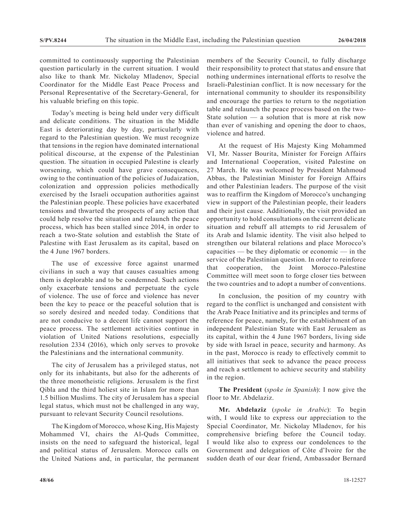committed to continuously supporting the Palestinian question particularly in the current situation. I would also like to thank Mr. Nickolay Mladenov, Special Coordinator for the Middle East Peace Process and Personal Representative of the Secretary-General, for his valuable briefing on this topic.

Today's meeting is being held under very difficult and delicate conditions. The situation in the Middle East is deteriorating day by day, particularly with regard to the Palestinian question. We must recognize that tensions in the region have dominated international political discourse, at the expense of the Palestinian question. The situation in occupied Palestine is clearly worsening, which could have grave consequences, owing to the continuation of the policies of Judaization, colonization and oppression policies methodically exercised by the Israeli occupation authorities against the Palestinian people. These policies have exacerbated tensions and thwarted the prospects of any action that could help resolve the situation and relaunch the peace process, which has been stalled since 2014, in order to reach a two-State solution and establish the State of Palestine with East Jerusalem as its capital, based on the 4 June 1967 borders.

The use of excessive force against unarmed civilians in such a way that causes casualties among them is deplorable and to be condemned. Such actions only exacerbate tensions and perpetuate the cycle of violence. The use of force and violence has never been the key to peace or the peaceful solution that is so sorely desired and needed today. Conditions that are not conducive to a decent life cannot support the peace process. The settlement activities continue in violation of United Nations resolutions, especially resolution 2334 (2016), which only serves to provoke the Palestinians and the international community.

The city of Jerusalem has a privileged status, not only for its inhabitants, but also for the adherents of the three monotheistic religions. Jerusalem is the first Qibla and the third holiest site in Islam for more than 1.5 billion Muslims. The city of Jerusalem has a special legal status, which must not be challenged in any way, pursuant to relevant Security Council resolutions.

The Kingdom of Morocco, whose King, His Majesty Mohammed VI, chairs the Al-Quds Committee, insists on the need to safeguard the historical, legal and political status of Jerusalem. Morocco calls on the United Nations and, in particular, the permanent members of the Security Council, to fully discharge their responsibility to protect that status and ensure that nothing undermines international efforts to resolve the Israeli-Palestinian conflict. It is now necessary for the international community to shoulder its responsibility and encourage the parties to return to the negotiation table and relaunch the peace process based on the two-State solution — a solution that is more at risk now than ever of vanishing and opening the door to chaos, violence and hatred.

At the request of His Majesty King Mohammed VI, Mr. Nasser Bourita, Minister for Foreign Affairs and International Cooperation, visited Palestine on 27 March. He was welcomed by President Mahmoud Abbas, the Palestinian Minister for Foreign Affairs and other Palestinian leaders. The purpose of the visit was to reaffirm the Kingdom of Morocco's unchanging view in support of the Palestinian people, their leaders and their just cause. Additionally, the visit provided an opportunity to hold consultations on the current delicate situation and rebuff all attempts to rid Jerusalem of its Arab and Islamic identity. The visit also helped to strengthen our bilateral relations and place Morocco's capacities — be they diplomatic or economic — in the service of the Palestinian question. In order to reinforce that cooperation, the Joint Morocco-Palestine Committee will meet soon to forge closer ties between the two countries and to adopt a number of conventions.

In conclusion, the position of my country with regard to the conflict is unchanged and consistent with the Arab Peace Initiative and its principles and terms of reference for peace, namely, for the establishment of an independent Palestinian State with East Jerusalem as its capital, within the 4 June 1967 borders, living side by side with Israel in peace, security and harmony. As in the past, Morocco is ready to effectively commit to all initiatives that seek to advance the peace process and reach a settlement to achieve security and stability in the region.

**The President** (*spoke in Spanish*): I now give the floor to Mr. Abdelaziz.

**Mr. Abdelaziz** (*spoke in Arabic*): To begin with, I would like to express our appreciation to the Special Coordinator, Mr. Nickolay Mladenov, for his comprehensive briefing before the Council today. I would like also to express our condolences to the Government and delegation of Côte d'Ivoire for the sudden death of our dear friend, Ambassador Bernard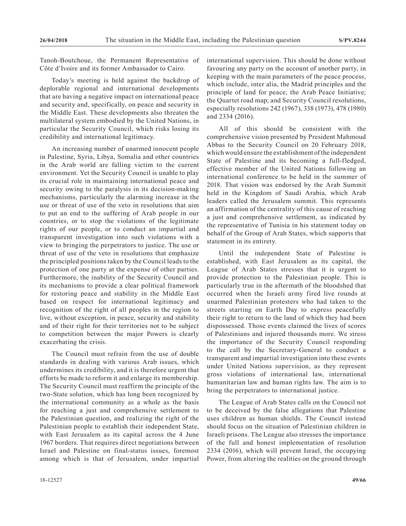Tanoh-Boutchoue, the Permanent Representative of Côte d'Ivoire and its former Ambassador to Cairo.

Today's meeting is held against the backdrop of deplorable regional and international developments that are having a negative impact on international peace and security and, specifically, on peace and security in the Middle East. These developments also threaten the multilateral system embodied by the United Nations, in particular the Security Council, which risks losing its credibility and international legitimacy.

An increasing number of unarmed innocent people in Palestine, Syria, Libya, Somalia and other countries in the Arab world are falling victim to the current environment. Yet the Security Council is unable to play its crucial role in maintaining international peace and security owing to the paralysis in its decision-making mechanisms, particularly the alarming increase in the use or threat of use of the veto in resolutions that aim to put an end to the suffering of Arab people in our countries, or to stop the violations of the legitimate rights of our people, or to conduct an impartial and transparent investigation into such violations with a view to bringing the perpetrators to justice. The use or threat of use of the veto in resolutions that emphasize the principled positions taken by the Council leads to the protection of one party at the expense of other parties. Furthermore, the inability of the Security Council and its mechanisms to provide a clear political framework for restoring peace and stability in the Middle East based on respect for international legitimacy and recognition of the right of all peoples in the region to live, without exception, in peace, security and stability and of their right for their territories not to be subject to competition between the major Powers is clearly exacerbating the crisis.

The Council must refrain from the use of double standards in dealing with various Arab issues, which undermines its credibility, and it is therefore urgent that efforts be made to reform it and enlarge its membership. The Security Council must reaffirm the principle of the two-State solution, which has long been recognized by the international community as a whole as the basis for reaching a just and comprehensive settlement to the Palestinian question, and realizing the right of the Palestinian people to establish their independent State, with East Jerusalem as its capital across the 4 June 1967 borders. That requires direct negotiations between Israel and Palestine on final-status issues, foremost among which is that of Jerusalem, under impartial

international supervision. This should be done without favouring any party on the account of another party, in keeping with the main parameters of the peace process, which include, inter alia, the Madrid principles and the principle of land for peace; the Arab Peace Initiative; the Quartet road map; and Security Council resolutions, especially resolutions 242 (1967), 338 (1973), 478 (1980) and 2334 (2016).

All of this should be consistent with the comprehensive vision presented by President Mahmoud Abbas to the Security Council on 20 February 2018, which would ensure the establishment of the independent State of Palestine and its becoming a full-fledged, effective member of the United Nations following an international conference to be held in the summer of 2018. That vision was endorsed by the Arab Summit held in the Kingdom of Saudi Arabia, which Arab leaders called the Jerusalem summit. This represents an affirmation of the centrality of this cause of reaching a just and comprehensive settlement, as indicated by the representative of Tunisia in his statement today on behalf of the Group of Arab States, which supports that statement in its entirety.

Until the independent State of Palestine is established, with East Jerusalem as its capital, the League of Arab States stresses that it is urgent to provide protection to the Palestinian people. This is particularly true in the aftermath of the bloodshed that occurred when the Israeli army fired live rounds at unarmed Palestinian protesters who had taken to the streets starting on Earth Day to express peacefully their right to return to the land of which they had been dispossessed. Those events claimed the lives of scores of Palestinians and injured thousands more. We stress the importance of the Security Council responding to the call by the Secretary-General to conduct a transparent and impartial investigation into these events under United Nations supervision, as they represent gross violations of international law, international humanitarian law and human rights law. The aim is to bring the perpetrators to international justice.

The League of Arab States calls on the Council not to be deceived by the false allegations that Palestine uses children as human shields. The Council instead should focus on the situation of Palestinian children in Israeli prisons. The League also stresses the importance of the full and honest implementation of resolution 2334 (2016), which will prevent Israel, the occupying Power, from altering the realities on the ground through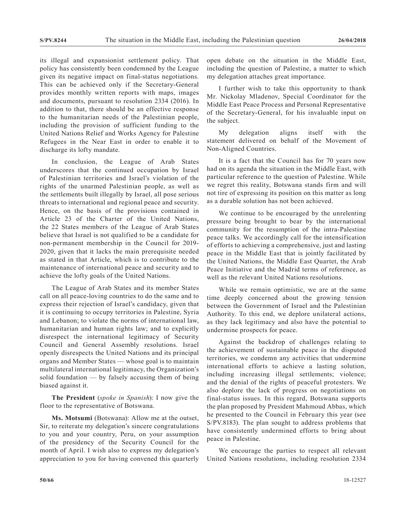its illegal and expansionist settlement policy. That policy has consistently been condemned by the League given its negative impact on final-status negotiations. This can be achieved only if the Secretary-General provides monthly written reports with maps, images and documents, pursuant to resolution 2334 (2016). In addition to that, there should be an effective response to the humanitarian needs of the Palestinian people, including the provision of sufficient funding to the United Nations Relief and Works Agency for Palestine Refugees in the Near East in order to enable it to discharge its lofty mandate.

In conclusion, the League of Arab States underscores that the continued occupation by Israel of Palestinian territories and Israel's violation of the rights of the unarmed Palestinian people, as well as the settlements built illegally by Israel, all pose serious threats to international and regional peace and security. Hence, on the basis of the provisions contained in Article 23 of the Charter of the United Nations, the 22 States members of the League of Arab States believe that Israel is not qualified to be a candidate for non-permanent membership in the Council for 2019- 2020, given that it lacks the main prerequisite needed as stated in that Article, which is to contribute to the maintenance of international peace and security and to achieve the lofty goals of the United Nations.

The League of Arab States and its member States call on all peace-loving countries to do the same and to express their rejection of Israel's candidacy, given that it is continuing to occupy territories in Palestine, Syria and Lebanon; to violate the norms of international law, humanitarian and human rights law; and to explicitly disrespect the international legitimacy of Security Council and General Assembly resolutions. Israel openly disrespects the United Nations and its principal organs and Member States — whose goal is to maintain multilateral international legitimacy, the Organization's solid foundation — by falsely accusing them of being biased against it.

**The President** (*spoke in Spanish*): I now give the floor to the representative of Botswana.

Ms. Motsumi (Botswana): Allow me at the outset, Sir, to reiterate my delegation's sincere congratulations to you and your country, Peru, on your assumption of the presidency of the Security Council for the month of April. I wish also to express my delegation's appreciation to you for having convened this quarterly open debate on the situation in the Middle East, including the question of Palestine, a matter to which my delegation attaches great importance.

I further wish to take this opportunity to thank Mr. Nickolay Mladenov, Special Coordinator for the Middle East Peace Process and Personal Representative of the Secretary-General, for his invaluable input on the subject.

My delegation aligns itself with the statement delivered on behalf of the Movement of Non-Aligned Countries.

It is a fact that the Council has for 70 years now had on its agenda the situation in the Middle East, with particular reference to the question of Palestine. While we regret this reality, Botswana stands firm and will not tire of expressing its position on this matter as long as a durable solution has not been achieved.

We continue to be encouraged by the unrelenting pressure being brought to bear by the international community for the resumption of the intra-Palestine peace talks. We accordingly call for the intensification of efforts to achieving a comprehensive, just and lasting peace in the Middle East that is jointly facilitated by the United Nations, the Middle East Quartet, the Arab Peace Initiative and the Madrid terms of reference, as well as the relevant United Nations resolutions.

While we remain optimistic, we are at the same time deeply concerned about the growing tension between the Government of Israel and the Palestinian Authority. To this end, we deplore unilateral actions, as they lack legitimacy and also have the potential to undermine prospects for peace.

Against the backdrop of challenges relating to the achievement of sustainable peace in the disputed territories, we condemn any activities that undermine international efforts to achieve a lasting solution, including increasing illegal settlements; violence; and the denial of the rights of peaceful protesters. We also deplore the lack of progress on negotiations on final-status issues. In this regard, Botswana supports the plan proposed by President Mahmoud Abbas, which he presented to the Council in February this year (see S/PV.8183). The plan sought to address problems that have consistently undermined efforts to bring about peace in Palestine.

We encourage the parties to respect all relevant United Nations resolutions, including resolution 2334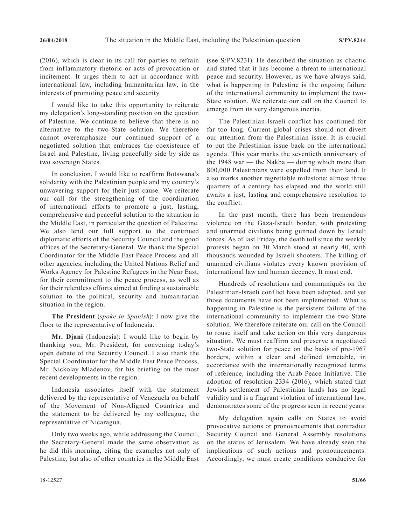(2016), which is clear in its call for parties to refrain from inflammatory rhetoric or acts of provocation or incitement. It urges them to act in accordance with international law, including humanitarian law, in the interests of promoting peace and security.

I would like to take this opportunity to reiterate my delegation's long-standing position on the question of Palestine. We continue to believe that there is no alternative to the two-State solution. We therefore cannot overemphasize our continued support of a negotiated solution that embraces the coexistence of Israel and Palestine, living peacefully side by side as two sovereign States.

In conclusion, I would like to reaffirm Botswana's solidarity with the Palestinian people and my country's unwavering support for their just cause. We reiterate our call for the strengthening of the coordination of international efforts to promote a just, lasting, comprehensive and peaceful solution to the situation in the Middle East, in particular the question of Palestine. We also lend our full support to the continued diplomatic efforts of the Security Council and the good offices of the Secretary-General. We thank the Special Coordinator for the Middle East Peace Process and all other agencies, including the United Nations Relief and Works Agency for Palestine Refugees in the Near East, for their commitment to the peace process, as well as for their relentless efforts aimed at finding a sustainable solution to the political, security and humanitarian situation in the region.

**The President** (*spoke in Spanish*): I now give the floor to the representative of Indonesia.

**Mr. Djani** (Indonesia): I would like to begin by thanking you, Mr. President, for convening today's open debate of the Security Council. I also thank the Special Coordinator for the Middle East Peace Process, Mr. Nickolay Mladenov, for his briefing on the most recent developments in the region.

Indonesia associates itself with the statement delivered by the representative of Venezuela on behalf of the Movement of Non-Aligned Countries and the statement to be delivered by my colleague, the representative of Nicaragua.

Only two weeks ago, while addressing the Council, the Secretary-General made the same observation as he did this morning, citing the examples not only of Palestine, but also of other countries in the Middle East

(see S/PV.8231). He described the situation as chaotic and stated that it has become a threat to international peace and security. However, as we have always said, what is happening in Palestine is the ongoing failure of the international community to implement the two-State solution. We reiterate our call on the Council to emerge from its very dangerous inertia.

The Palestinian-Israeli conflict has continued for far too long. Current global crises should not divert our attention from the Palestinian issue. It is crucial to put the Palestinian issue back on the international agenda. This year marks the seventieth anniversary of the 1948 war — the Nakba — during which more than 800,000 Palestinians were expelled from their land. It also marks another regrettable milestone: almost three quarters of a century has elapsed and the world still awaits a just, lasting and comprehensive resolution to the conflict.

In the past month, there has been tremendous violence on the Gaza-Israeli border, with protesting and unarmed civilians being gunned down by Israeli forces. As of last Friday, the death toll since the weekly protests began on 30 March stood at nearly 40, with thousands wounded by Israeli shooters. The killing of unarmed civilians violates every known provision of international law and human decency. It must end.

Hundreds of resolutions and communiqués on the Palestinian-Israeli conflict have been adopted, and yet those documents have not been implemented. What is happening in Palestine is the persistent failure of the international community to implement the two-State solution. We therefore reiterate our call on the Council to rouse itself and take action on this very dangerous situation. We must reaffirm and preserve a negotiated two-State solution for peace on the basis of pre-1967 borders, within a clear and defined timetable, in accordance with the internationally recognized terms of reference, including the Arab Peace Initiative. The adoption of resolution 2334 (2016), which stated that Jewish settlement of Palestinian lands has no legal validity and is a flagrant violation of international law, demonstrates some of the progress seen in recent years.

My delegation again calls on States to avoid provocative actions or pronouncements that contradict Security Council and General Assembly resolutions on the status of Jerusalem. We have already seen the implications of such actions and pronouncements. Accordingly, we must create conditions conducive for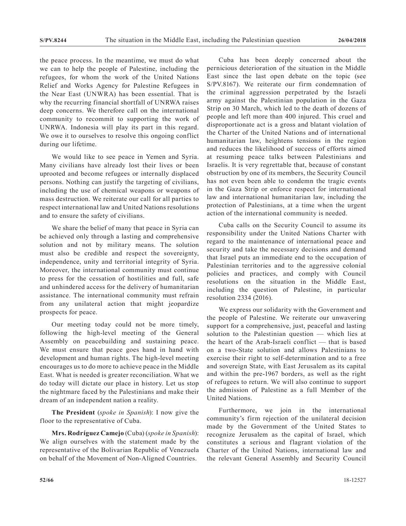the peace process. In the meantime, we must do what we can to help the people of Palestine, including the refugees, for whom the work of the United Nations Relief and Works Agency for Palestine Refugees in the Near East (UNWRA) has been essential. That is why the recurring financial shortfall of UNRWA raises deep concerns. We therefore call on the international community to recommit to supporting the work of UNRWA. Indonesia will play its part in this regard. We owe it to ourselves to resolve this ongoing conflict during our lifetime.

We would like to see peace in Yemen and Syria. Many civilians have already lost their lives or been uprooted and become refugees or internally displaced persons. Nothing can justify the targeting of civilians, including the use of chemical weapons or weapons of mass destruction. We reiterate our call for all parties to respect international law and United Nations resolutions and to ensure the safety of civilians.

We share the belief of many that peace in Syria can be achieved only through a lasting and comprehensive solution and not by military means. The solution must also be credible and respect the sovereignty, independence, unity and territorial integrity of Syria. Moreover, the international community must continue to press for the cessation of hostilities and full, safe and unhindered access for the delivery of humanitarian assistance. The international community must refrain from any unilateral action that might jeopardize prospects for peace.

Our meeting today could not be more timely, following the high-level meeting of the General Assembly on peacebuilding and sustaining peace. We must ensure that peace goes hand in hand with development and human rights. The high-level meeting encourages us to do more to achieve peace in the Middle East. What is needed is greater reconciliation. What we do today will dictate our place in history. Let us stop the nightmare faced by the Palestinians and make their dream of an independent nation a reality.

**The President** (*spoke in Spanish*): I now give the floor to the representative of Cuba.

**Mrs. Rodríguez Camejo** (Cuba) (*spoke in Spanish*): We align ourselves with the statement made by the representative of the Bolivarian Republic of Venezuela on behalf of the Movement of Non-Aligned Countries.

Cuba has been deeply concerned about the pernicious deterioration of the situation in the Middle East since the last open debate on the topic (see S/PV.8167). We reiterate our firm condemnation of the criminal aggression perpetrated by the Israeli army against the Palestinian population in the Gaza Strip on 30 March, which led to the death of dozens of people and left more than 400 injured. This cruel and disproportionate act is a gross and blatant violation of the Charter of the United Nations and of international humanitarian law, heightens tensions in the region and reduces the likelihood of success of efforts aimed at resuming peace talks between Palestinians and Israelis. It is very regrettable that, because of constant obstruction by one of its members, the Security Council has not even been able to condemn the tragic events in the Gaza Strip or enforce respect for international law and international humanitarian law, including the protection of Palestinians, at a time when the urgent action of the international community is needed.

Cuba calls on the Security Council to assume its responsibility under the United Nations Charter with regard to the maintenance of international peace and security and take the necessary decisions and demand that Israel puts an immediate end to the occupation of Palestinian territories and to the aggressive colonial policies and practices, and comply with Council resolutions on the situation in the Middle East, including the question of Palestine, in particular resolution 2334 (2016).

We express our solidarity with the Government and the people of Palestine. We reiterate our unwavering support for a comprehensive, just, peaceful and lasting solution to the Palestinian question — which lies at the heart of the Arab-Israeli conflict — that is based on a two-State solution and allows Palestinians to exercise their right to self-determination and to a free and sovereign State, with East Jerusalem as its capital and within the pre-1967 borders, as well as the right of refugees to return. We will also continue to support the admission of Palestine as a full Member of the United Nations.

Furthermore, we join in the international community's firm rejection of the unilateral decision made by the Government of the United States to recognize Jerusalem as the capital of Israel, which constitutes a serious and flagrant violation of the Charter of the United Nations, international law and the relevant General Assembly and Security Council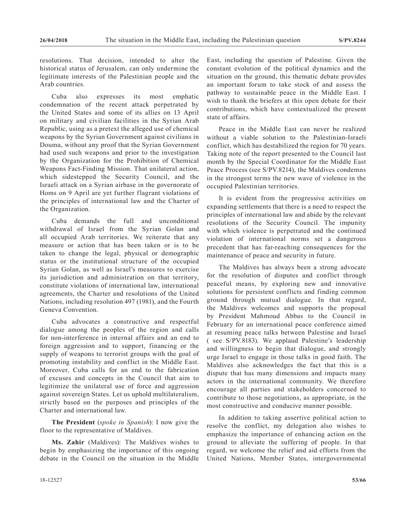resolutions. That decision, intended to alter the historical status of Jerusalem, can only undermine the legitimate interests of the Palestinian people and the Arab countries.

Cuba also expresses its most emphatic condemnation of the recent attack perpetrated by the United States and some of its allies on 13 April on military and civilian facilities in the Syrian Arab Republic, using as a pretext the alleged use of chemical weapons by the Syrian Government against civilians in Douma, without any proof that the Syrian Government had used such weapons and prior to the investigation by the Organization for the Prohibition of Chemical Weapons Fact-Finding Mission. That unilateral action, which sidestepped the Security Council, and the Israeli attack on a Syrian airbase in the governorate of Homs on 9 April are yet further flagrant violations of the principles of international law and the Charter of the Organization.

Cuba demands the full and unconditional withdrawal of Israel from the Syrian Golan and all occupied Arab territories. We reiterate that any measure or action that has been taken or is to be taken to change the legal, physical or demographic status or the institutional structure of the occupied Syrian Golan, as well as Israel's measures to exercise its jurisdiction and administration on that territory, constitute violations of international law, international agreements, the Charter and resolutions of the United Nations, including resolution 497 (1981), and the Fourth Geneva Convention.

Cuba advocates a constructive and respectful dialogue among the peoples of the region and calls for non-interference in internal affairs and an end to foreign aggression and to support, financing or the supply of weapons to terrorist groups with the goal of promoting instability and conflict in the Middle East. Moreover, Cuba calls for an end to the fabrication of excuses and concepts in the Council that aim to legitimize the unilateral use of force and aggression against sovereign States. Let us uphold multilateralism, strictly based on the purposes and principles of the Charter and international law.

**The President** (*spoke in Spanish*): I now give the floor to the representative of Maldives.

**Ms. Zahir** (Maldives): The Maldives wishes to begin by emphasizing the importance of this ongoing debate in the Council on the situation in the Middle East, including the question of Palestine. Given the constant evolution of the political dynamics and the situation on the ground, this thematic debate provides an important forum to take stock of and assess the pathway to sustainable peace in the Middle East. I wish to thank the briefers at this open debate for their contributions, which have contextualized the present state of affairs.

Peace in the Middle East can never be realized without a viable solution to the Palestinian-Israeli conflict, which has destabilized the region for 70 years. Taking note of the report presented to the Council last month by the Special Coordinator for the Middle East Peace Process (see S/PV.8214), the Maldives condemns in the strongest terms the new wave of violence in the occupied Palestinian territories.

It is evident from the progressive activities on expanding settlements that there is a need to respect the principles of international law and abide by the relevant resolutions of the Security Council. The impunity with which violence is perpetrated and the continued violation of international norms set a dangerous precedent that has far-reaching consequences for the maintenance of peace and security in future.

The Maldives has always been a strong advocate for the resolution of disputes and conflict through peaceful means, by exploring new and innovative solutions for persistent conflicts and finding common ground through mutual dialogue. In that regard, the Maldives welcomes and supports the proposal by President Mahmoud Abbas to the Council in February for an international peace conference aimed at resuming peace talks between Palestine and Israel ( see S/PV.8183). We applaud Palestine's leadership and willingness to begin that dialogue, and strongly urge Israel to engage in those talks in good faith. The Maldives also acknowledges the fact that this is a dispute that has many dimensions and impacts many actors in the international community. We therefore encourage all parties and stakeholders concerned to contribute to those negotiations, as appropriate, in the most constructive and conducive manner possible.

In addition to taking assertive political action to resolve the conflict, my delegation also wishes to emphasize the importance of enhancing action on the ground to alleviate the suffering of people. In that regard, we welcome the relief and aid efforts from the United Nations, Member States, intergovernmental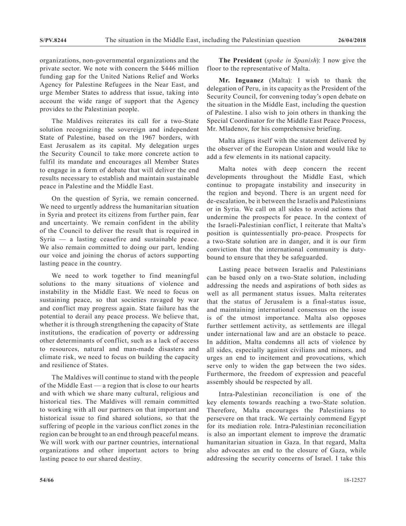organizations, non-governmental organizations and the private sector. We note with concern the \$446 million funding gap for the United Nations Relief and Works Agency for Palestine Refugees in the Near East, and urge Member States to address that issue, taking into account the wide range of support that the Agency provides to the Palestinian people.

The Maldives reiterates its call for a two-State solution recognizing the sovereign and independent State of Palestine, based on the 1967 borders, with East Jerusalem as its capital. My delegation urges the Security Council to take more concrete action to fulfil its mandate and encourages all Member States to engage in a form of debate that will deliver the end results necessary to establish and maintain sustainable peace in Palestine and the Middle East.

On the question of Syria, we remain concerned. We need to urgently address the humanitarian situation in Syria and protect its citizens from further pain, fear and uncertainty. We remain confident in the ability of the Council to deliver the result that is required in Syria — a lasting ceasefire and sustainable peace. We also remain committed to doing our part, lending our voice and joining the chorus of actors supporting lasting peace in the country.

We need to work together to find meaningful solutions to the many situations of violence and instability in the Middle East. We need to focus on sustaining peace, so that societies ravaged by war and conflict may progress again. State failure has the potential to derail any peace process. We believe that, whether it is through strengthening the capacity of State institutions, the eradication of poverty or addressing other determinants of conflict, such as a lack of access to resources, natural and man-made disasters and climate risk, we need to focus on building the capacity and resilience of States.

The Maldives will continue to stand with the people of the Middle East — a region that is close to our hearts and with which we share many cultural, religious and historical ties. The Maldives will remain committed to working with all our partners on that important and historical issue to find shared solutions, so that the suffering of people in the various conflict zones in the region can be brought to an end through peaceful means. We will work with our partner countries, international organizations and other important actors to bring lasting peace to our shared destiny.

**The President** (*spoke in Spanish*): I now give the floor to the representative of Malta.

**Mr. Inguanez** (Malta): I wish to thank the delegation of Peru, in its capacity as the President of the Security Council, for convening today's open debate on the situation in the Middle East, including the question of Palestine. I also wish to join others in thanking the Special Coordinator for the Middle East Peace Process, Mr. Mladenov, for his comprehensive briefing.

Malta aligns itself with the statement delivered by the observer of the European Union and would like to add a few elements in its national capacity.

Malta notes with deep concern the recent developments throughout the Middle East, which continue to propagate instability and insecurity in the region and beyond. There is an urgent need for de-escalation, be it between the Israelis and Palestinians or in Syria. We call on all sides to avoid actions that undermine the prospects for peace. In the context of the Israeli-Palestinian conflict, I reiterate that Malta's position is quintessentially pro-peace. Prospects for a two-State solution are in danger, and it is our firm conviction that the international community is dutybound to ensure that they be safeguarded.

Lasting peace between Israelis and Palestinians can be based only on a two-State solution, including addressing the needs and aspirations of both sides as well as all permanent status issues. Malta reiterates that the status of Jerusalem is a final-status issue, and maintaining international consensus on the issue is of the utmost importance. Malta also opposes further settlement activity, as settlements are illegal under international law and are an obstacle to peace. In addition, Malta condemns all acts of violence by all sides, especially against civilians and minors, and urges an end to incitement and provocations, which serve only to widen the gap between the two sides. Furthermore, the freedom of expression and peaceful assembly should be respected by all.

Intra-Palestinian reconciliation is one of the key elements towards reaching a two-State solution. Therefore, Malta encourages the Palestinians to persevere on that track. We certainly commend Egypt for its mediation role. Intra-Palestinian reconciliation is also an important element to improve the dramatic humanitarian situation in Gaza. In that regard, Malta also advocates an end to the closure of Gaza, while addressing the security concerns of Israel. I take this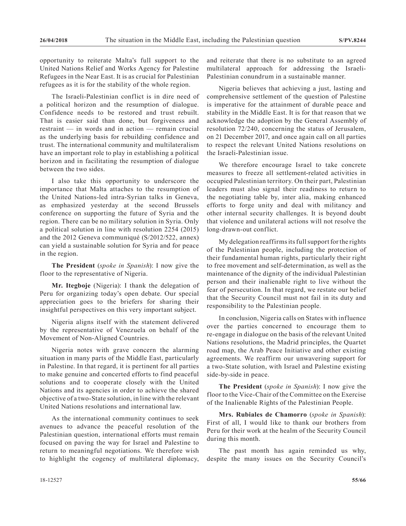opportunity to reiterate Malta's full support to the United Nations Relief and Works Agency for Palestine Refugees in the Near East. It is as crucial for Palestinian refugees as it is for the stability of the whole region.

The Israeli-Palestinian conflict is in dire need of a political horizon and the resumption of dialogue. Confidence needs to be restored and trust rebuilt. That is easier said than done, but forgiveness and restraint — in words and in action — remain crucial as the underlying basis for rebuilding confidence and trust. The international community and multilateralism have an important role to play in establishing a political horizon and in facilitating the resumption of dialogue between the two sides.

I also take this opportunity to underscore the importance that Malta attaches to the resumption of the United Nations-led intra-Syrian talks in Geneva, as emphasized yesterday at the second Brussels conference on supporting the future of Syria and the region. There can be no military solution in Syria. Only a political solution in line with resolution 2254 (2015) and the 2012 Geneva communiqué (S/2012/522, annex) can yield a sustainable solution for Syria and for peace in the region.

**The President** (*spoke in Spanish*): I now give the floor to the representative of Nigeria.

**Mr. Itegboje** (Nigeria): I thank the delegation of Peru for organizing today's open debate. Our special appreciation goes to the briefers for sharing their insightful perspectives on this very important subject.

Nigeria aligns itself with the statement delivered by the representative of Venezuela on behalf of the Movement of Non-Aligned Countries.

Nigeria notes with grave concern the alarming situation in many parts of the Middle East, particularly in Palestine. In that regard, it is pertinent for all parties to make genuine and concerted efforts to find peaceful solutions and to cooperate closely with the United Nations and its agencies in order to achieve the shared objective of a two-State solution, in line with the relevant United Nations resolutions and international law.

As the international community continues to seek avenues to advance the peaceful resolution of the Palestinian question, international efforts must remain focused on paving the way for Israel and Palestine to return to meaningful negotiations. We therefore wish to highlight the cogency of multilateral diplomacy,

and reiterate that there is no substitute to an agreed multilateral approach for addressing the Israeli-Palestinian conundrum in a sustainable manner.

Nigeria believes that achieving a just, lasting and comprehensive settlement of the question of Palestine is imperative for the attainment of durable peace and stability in the Middle East. It is for that reason that we acknowledge the adoption by the General Assembly of resolution 72/240, concerning the status of Jerusalem, on 21 December 2017, and once again call on all parties to respect the relevant United Nations resolutions on the Israeli-Palestinian issue.

We therefore encourage Israel to take concrete measures to freeze all settlement-related activities in occupied Palestinian territory. On their part, Palestinian leaders must also signal their readiness to return to the negotiating table by, inter alia, making enhanced efforts to forge unity and deal with militancy and other internal security challenges. It is beyond doubt that violence and unilateral actions will not resolve the long-drawn-out conflict.

My delegation reaffirms its full support for the rights of the Palestinian people, including the protection of their fundamental human rights, particularly their right to free movement and self-determination, as well as the maintenance of the dignity of the individual Palestinian person and their inalienable right to live without the fear of persecution. In that regard, we restate our belief that the Security Council must not fail in its duty and responsibility to the Palestinian people.

In conclusion, Nigeria calls on States with influence over the parties concerned to encourage them to re-engage in dialogue on the basis of the relevant United Nations resolutions, the Madrid principles, the Quartet road map, the Arab Peace Initiative and other existing agreements. We reaffirm our unwavering support for a two-State solution, with Israel and Palestine existing side-by-side in peace.

**The President** (*spoke in Spanish*): I now give the floor to the Vice-Chair of the Committee on the Exercise of the Inalienable Rights of the Palestinian People.

**Mrs. Rubiales de Chamorro** (*spoke in Spanish*): First of all, I would like to thank our brothers from Peru for their work at the healm of the Security Council during this month.

The past month has again reminded us why, despite the many issues on the Security Council's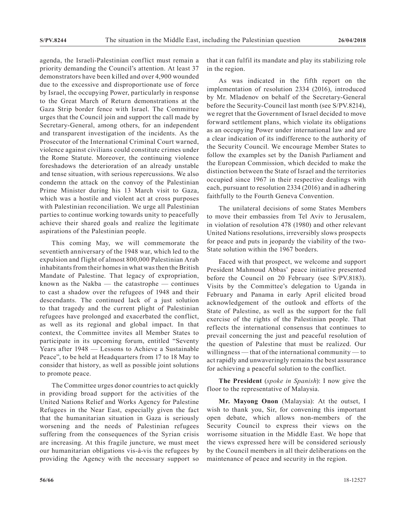agenda, the Israeli-Palestinian conflict must remain a priority demanding the Council's attention. At least 37 demonstrators have been killed and over 4,900 wounded due to the excessive and disproportionate use of force by Israel, the occupying Power, particularly in response to the Great March of Return demonstrations at the Gaza Strip border fence with Israel. The Committee urges that the Council join and support the call made by Secretary-General, among others, for an independent and transparent investigation of the incidents. As the Prosecutor of the International Criminal Court warned, violence against civilians could constitute crimes under the Rome Statute. Moreover, the continuing violence foreshadows the deterioration of an already unstable and tense situation, with serious repercussions. We also condemn the attack on the convoy of the Palestinian Prime Minister during his 13 March visit to Gaza, which was a hostile and violent act at cross purposes with Palestinian reconciliation. We urge all Palestinian parties to continue working towards unity to peacefully achieve their shared goals and realize the legitimate aspirations of the Palestinian people.

This coming May, we will commemorate the seventieth anniversary of the 1948 war, which led to the expulsion and flight of almost 800,000 Palestinian Arab inhabitants from their homes in what was then the British Mandate of Palestine. That legacy of expropriation, known as the Nakba — the catastrophe — continues to cast a shadow over the refugees of 1948 and their descendants. The continued lack of a just solution to that tragedy and the current plight of Palestinian refugees have prolonged and exacerbated the conflict, as well as its regional and global impact. In that context, the Committee invites all Member States to participate in its upcoming forum, entitled "Seventy Years after 1948 — Lessons to Achieve a Sustainable Peace", to be held at Headquarters from 17 to 18 May to consider that history, as well as possible joint solutions to promote peace.

The Committee urges donor countries to act quickly in providing broad support for the activities of the United Nations Relief and Works Agency for Palestine Refugees in the Near East, especially given the fact that the humanitarian situation in Gaza is seriously worsening and the needs of Palestinian refugees suffering from the consequences of the Syrian crisis are increasing. At this fragile juncture, we must meet our humanitarian obligations vis-à-vis the refugees by providing the Agency with the necessary support so

that it can fulfil its mandate and play its stabilizing role in the region.

As was indicated in the fifth report on the implementation of resolution 2334 (2016), introduced by Mr. Mladenov on behalf of the Secretary-General before the Security-Council last month (see S/PV.8214), we regret that the Government of Israel decided to move forward settlement plans, which violate its obligations as an occupying Power under international law and are a clear indication of its indifference to the authority of the Security Council. We encourage Member States to follow the examples set by the Danish Parliament and the European Commission, which decided to make the distinction between the State of Israel and the territories occupied since 1967 in their respective dealings with each, pursuant to resolution 2334 (2016) and in adhering faithfully to the Fourth Geneva Convention.

The unilateral decisions of some States Members to move their embassies from Tel Aviv to Jerusalem, in violation of resolution 478 (1980) and other relevant United Nations resolutions, irreversibly slows prospects for peace and puts in jeopardy the viability of the two-State solution within the 1967 borders.

Faced with that prospect, we welcome and support President Mahmoud Abbas' peace initiative presented before the Council on 20 February (see S/PV.8183). Visits by the Committee's delegation to Uganda in February and Panama in early April elicited broad acknowledgement of the outlook and efforts of the State of Palestine, as well as the support for the full exercise of the rights of the Palestinian people. That reflects the international consensus that continues to prevail concerning the just and peaceful resolution of the question of Palestine that must be realized. Our willingness — that of the international community — to act rapidly and unwaveringly remains the best assurance for achieving a peaceful solution to the conflict.

**The President** (*spoke in Spanish*): I now give the floor to the representative of Malaysia.

**Mr. Mayong Onon** (Malaysia): At the outset, I wish to thank you, Sir, for convening this important open debate, which allows non-members of the Security Council to express their views on the worrisome situation in the Middle East. We hope that the views expressed here will be considered seriously by the Council members in all their deliberations on the maintenance of peace and security in the region.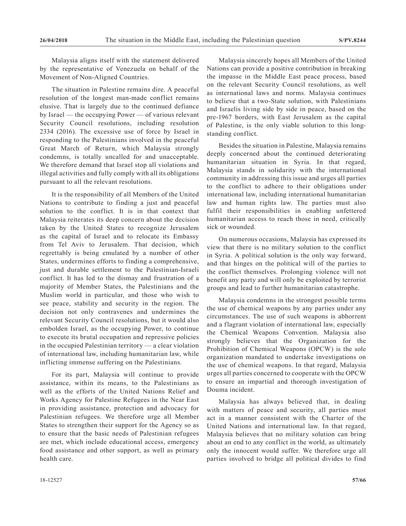Malaysia aligns itself with the statement delivered by the representative of Venezuela on behalf of the Movement of Non-Aligned Countries.

The situation in Palestine remains dire. A peaceful resolution of the longest man-made conflict remains elusive. That is largely due to the continued defiance by Israel — the occupying Power — of various relevant Security Council resolutions, including resolution 2334 (2016). The excessive use of force by Israel in responding to the Palestinians involved in the peaceful Great March of Return, which Malaysia strongly condemns, is totally uncalled for and unacceptable. We therefore demand that Israel stop all violations and illegal activities and fully comply with all its obligations pursuant to all the relevant resolutions.

It is the responsibility of all Members of the United Nations to contribute to finding a just and peaceful solution to the conflict. It is in that context that Malaysia reiterates its deep concern about the decision taken by the United States to recognize Jerusalem as the capital of Israel and to relocate its Embassy from Tel Aviv to Jerusalem. That decision, which regrettably is being emulated by a number of other States, undermines efforts to finding a comprehensive, just and durable settlement to the Palestinian-Israeli conflict. It has led to the dismay and frustration of a majority of Member States, the Palestinians and the Muslim world in particular, and those who wish to see peace, stability and security in the region. The decision not only contravenes and undermines the relevant Security Council resolutions, but it would also embolden Israel, as the occupying Power, to continue to execute its brutal occupation and repressive policies in the occupied Palestinian territory — a clear violation of international law, including humanitarian law, while inflicting immense suffering on the Palestinians.

For its part, Malaysia will continue to provide assistance, within its means, to the Palestinians as well as the efforts of the United Nations Relief and Works Agency for Palestine Refugees in the Near East in providing assistance, protection and advocacy for Palestinian refugees. We therefore urge all Member States to strengthen their support for the Agency so as to ensure that the basic needs of Palestinian refugees are met, which include educational access, emergency food assistance and other support, as well as primary health care.

Malaysia sincerely hopes all Members of the United Nations can provide a positive contribution in breaking the impasse in the Middle East peace process, based on the relevant Security Council resolutions, as well as international laws and norms. Malaysia continues to believe that a two-State solution, with Palestinians and Israelis living side by side in peace, based on the pre-1967 borders, with East Jerusalem as the capital of Palestine, is the only viable solution to this longstanding conflict.

Besides the situation in Palestine, Malaysia remains deeply concerned about the continued deteriorating humanitarian situation in Syria. In that regard, Malaysia stands in solidarity with the international community in addressing this issue and urges all parties to the conflict to adhere to their obligations under international law, including international humanitarian law and human rights law. The parties must also fulfil their responsibilities in enabling unfettered humanitarian access to reach those in need, critically sick or wounded.

On numerous occasions, Malaysia has expressed its view that there is no military solution to the conflict in Syria. A political solution is the only way forward, and that hinges on the political will of the parties to the conflict themselves. Prolonging violence will not benefit any party and will only be exploited by terrorist groups and lead to further humanitarian catastrophe.

Malaysia condemns in the strongest possible terms the use of chemical weapons by any parties under any circumstances. The use of such weapons is abhorrent and a flagrant violation of international law, especially the Chemical Weapons Convention. Malaysia also strongly believes that the Organization for the Prohibition of Chemical Weapons (OPCW) is the sole organization mandated to undertake investigations on the use of chemical weapons. In that regard, Malaysia urges all parties concerned to cooperate with the OPCW to ensure an impartial and thorough investigation of Douma incident.

Malaysia has always believed that, in dealing with matters of peace and security, all parties must act in a manner consistent with the Charter of the United Nations and international law. In that regard, Malaysia believes that no military solution can bring about an end to any conflict in the world, as ultimately only the innocent would suffer. We therefore urge all parties involved to bridge all political divides to find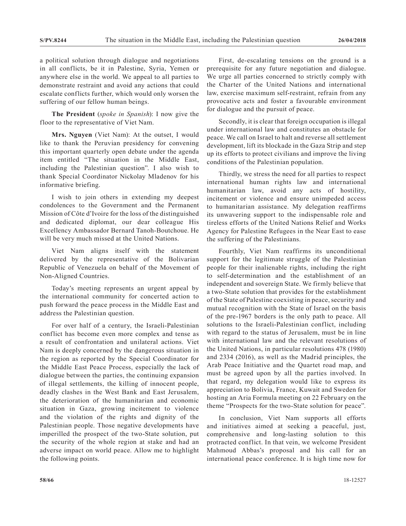a political solution through dialogue and negotiations in all conflicts, be it in Palestine, Syria, Yemen or anywhere else in the world. We appeal to all parties to demonstrate restraint and avoid any actions that could escalate conflicts further, which would only worsen the suffering of our fellow human beings.

**The President** (*spoke in Spanish*): I now give the floor to the representative of Viet Nam.

**Mrs. Nguyen** (Viet Nam): At the outset, I would like to thank the Peruvian presidency for convening this important quarterly open debate under the agenda item entitled "The situation in the Middle East, including the Palestinian question". I also wish to thank Special Coordinator Nickolay Mladenov for his informative briefing.

I wish to join others in extending my deepest condolences to the Government and the Permanent Mission of Côte d'Ivoire for the loss of the distinguished and dedicated diplomat, our dear colleague His Excellency Ambassador Bernard Tanoh-Boutchoue. He will be very much missed at the United Nations.

Viet Nam aligns itself with the statement delivered by the representative of the Bolivarian Republic of Venezuela on behalf of the Movement of Non-Aligned Countries.

Today's meeting represents an urgent appeal by the international community for concerted action to push forward the peace process in the Middle East and address the Palestinian question.

For over half of a century, the Israeli-Palestinian conflict has become even more complex and tense as a result of confrontation and unilateral actions. Viet Nam is deeply concerned by the dangerous situation in the region as reported by the Special Coordinator for the Middle East Peace Process, especially the lack of dialogue between the parties, the continuing expansion of illegal settlements, the killing of innocent people, deadly clashes in the West Bank and East Jerusalem, the deterioration of the humanitarian and economic situation in Gaza, growing incitement to violence and the violation of the rights and dignity of the Palestinian people. Those negative developments have imperilled the prospect of the two-State solution, put the security of the whole region at stake and had an adverse impact on world peace. Allow me to highlight the following points.

First, de-escalating tensions on the ground is a prerequisite for any future negotiation and dialogue. We urge all parties concerned to strictly comply with the Charter of the United Nations and international law, exercise maximum self-restraint, refrain from any provocative acts and foster a favourable environment for dialogue and the pursuit of peace.

Secondly, it is clear that foreign occupation is illegal under international law and constitutes an obstacle for peace. We call on Israel to halt and reverse all settlement development, lift its blockade in the Gaza Strip and step up its efforts to protect civilians and improve the living conditions of the Palestinian population.

Thirdly, we stress the need for all parties to respect international human rights law and international humanitarian law, avoid any acts of hostility, incitement or violence and ensure unimpeded access to humanitarian assistance. My delegation reaffirms its unwavering support to the indispensable role and tireless efforts of the United Nations Relief and Works Agency for Palestine Refugees in the Near East to ease the suffering of the Palestinians.

Fourthly, Viet Nam reaffirms its unconditional support for the legitimate struggle of the Palestinian people for their inalienable rights, including the right to self-determination and the establishment of an independent and sovereign State. We firmly believe that a two-State solution that provides for the establishment of the State of Palestine coexisting in peace, security and mutual recognition with the State of Israel on the basis of the pre-1967 borders is the only path to peace. All solutions to the Israeli-Palestinian conflict, including with regard to the status of Jerusalem, must be in line with international law and the relevant resolutions of the United Nations, in particular resolutions 478 (1980) and 2334 (2016), as well as the Madrid principles, the Arab Peace Initiative and the Quartet road map, and must be agreed upon by all the parties involved. In that regard, my delegation would like to express its appreciation to Bolivia, France, Kuwait and Sweden for hosting an Aria Formula meeting on 22 February on the theme "Prospects for the two-State solution for peace".

In conclusion, Viet Nam supports all efforts and initiatives aimed at seeking a peaceful, just, comprehensive and long-lasting solution to this protracted conflict. In that vein, we welcome President Mahmoud Abbas's proposal and his call for an international peace conference. It is high time now for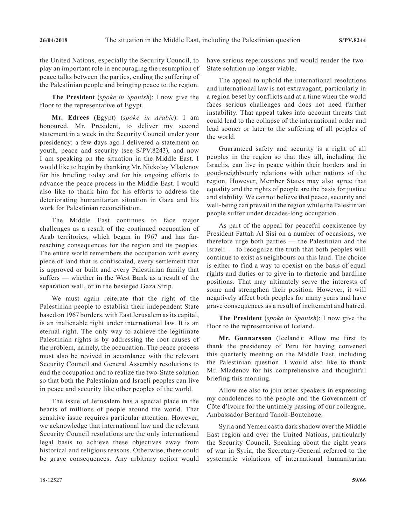the United Nations, especially the Security Council, to play an important role in encouraging the resumption of peace talks between the parties, ending the suffering of the Palestinian people and bringing peace to the region.

**The President** (*spoke in Spanish*): I now give the floor to the representative of Egypt.

**Mr. Edrees** (Egypt) (*spoke in Arabic*): I am honoured, Mr. President, to deliver my second statement in a week in the Security Council under your presidency: a few days ago I delivered a statement on youth, peace and security (see S/PV.8243), and now I am speaking on the situation in the Middle East. I would like to begin by thanking Mr. Nickolay Mladenov for his briefing today and for his ongoing efforts to advance the peace process in the Middle East. I would also like to thank him for his efforts to address the deteriorating humanitarian situation in Gaza and his work for Palestinian reconciliation.

The Middle East continues to face major challenges as a result of the continued occupation of Arab territories, which began in 1967 and has farreaching consequences for the region and its peoples. The entire world remembers the occupation with every piece of land that is confiscated, every settlement that is approved or built and every Palestinian family that suffers — whether in the West Bank as a result of the separation wall, or in the besieged Gaza Strip.

We must again reiterate that the right of the Palestinian people to establish their independent State based on 1967 borders, with East Jerusalem as its capital, is an inalienable right under international law. It is an eternal right. The only way to achieve the legitimate Palestinian rights is by addressing the root causes of the problem, namely, the occupation. The peace process must also be revived in accordance with the relevant Security Council and General Assembly resolutions to end the occupation and to realize the two-State solution so that both the Palestinian and Israeli peoples can live in peace and security like other peoples of the world.

The issue of Jerusalem has a special place in the hearts of millions of people around the world. That sensitive issue requires particular attention. However, we acknowledge that international law and the relevant Security Council resolutions are the only international legal basis to achieve these objectives away from historical and religious reasons. Otherwise, there could be grave consequences. Any arbitrary action would

have serious repercussions and would render the two-State solution no longer viable.

The appeal to uphold the international resolutions and international law is not extravagant, particularly in a region beset by conflicts and at a time when the world faces serious challenges and does not need further instability. That appeal takes into account threats that could lead to the collapse of the international order and lead sooner or later to the suffering of all peoples of the world.

Guaranteed safety and security is a right of all peoples in the region so that they all, including the Israelis, can live in peace within their borders and in good-neighbourly relations with other nations of the region. However, Member States may also agree that equality and the rights of people are the basis for justice and stability. We cannot believe that peace, security and well-being can prevail in the region while the Palestinian people suffer under decades-long occupation.

As part of the appeal for peaceful coexistence by President Fattah Al Sisi on a number of occasions, we therefore urge both parties — the Palestinian and the Israeli — to recognize the truth that both peoples will continue to exist as neighbours on this land. The choice is either to find a way to coexist on the basis of equal rights and duties or to give in to rhetoric and hardline positions. That may ultimately serve the interests of some and strengthen their position. However, it will negatively affect both peoples for many years and have grave consequences as a result of incitement and hatred.

**The President** (*spoke in Spanish*): I now give the floor to the representative of Iceland.

**Mr. Gunnarsson** (Iceland): Allow me first to thank the presidency of Peru for having convened this quarterly meeting on the Middle East, including the Palestinian question. I would also like to thank Mr. Mladenov for his comprehensive and thoughtful briefing this morning.

Allow me also to join other speakers in expressing my condolences to the people and the Government of Côte d'Ivoire for the untimely passing of our colleague, Ambassador Bernard Tanoh-Boutchoue.

Syria and Yemen cast a dark shadow over the Middle East region and over the United Nations, particularly the Security Council. Speaking about the eight years of war in Syria, the Secretary-General referred to the systematic violations of international humanitarian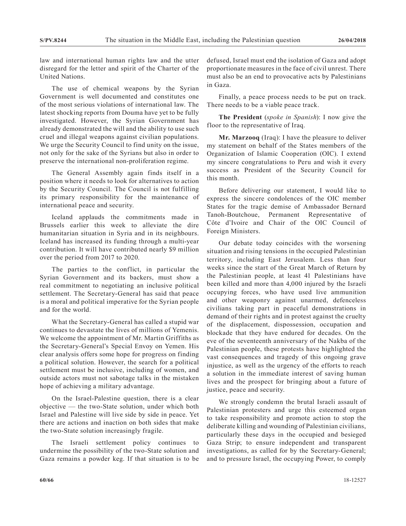law and international human rights law and the utter disregard for the letter and spirit of the Charter of the United Nations.

The use of chemical weapons by the Syrian Government is well documented and constitutes one of the most serious violations of international law. The latest shocking reports from Douma have yet to be fully investigated. However, the Syrian Government has already demonstrated the will and the ability to use such cruel and illegal weapons against civilian populations. We urge the Security Council to find unity on the issue, not only for the sake of the Syrians but also in order to preserve the international non-proliferation regime.

The General Assembly again finds itself in a position where it needs to look for alternatives to action by the Security Council. The Council is not fulfilling its primary responsibility for the maintenance of international peace and security.

Iceland applauds the commitments made in Brussels earlier this week to alleviate the dire humanitarian situation in Syria and in its neighbours. Iceland has increased its funding through a multi-year contribution. It will have contributed nearly \$9 million over the period from 2017 to 2020.

The parties to the conflict, in particular the Syrian Government and its backers, must show a real commitment to negotiating an inclusive political settlement. The Secretary-General has said that peace is a moral and political imperative for the Syrian people and for the world.

What the Secretary-General has called a stupid war continues to devastate the lives of millions of Yemenis. We welcome the appointment of Mr. Martin Griffiths as the Secretary-General's Special Envoy on Yemen. His clear analysis offers some hope for progress on finding a political solution. However, the search for a political settlement must be inclusive, including of women, and outside actors must not sabotage talks in the mistaken hope of achieving a military advantage.

On the Israel-Palestine question, there is a clear objective — the two-State solution, under which both Israel and Palestine will live side by side in peace. Yet there are actions and inaction on both sides that make the two-State solution increasingly fragile.

The Israeli settlement policy continues to undermine the possibility of the two-State solution and Gaza remains a powder keg. If that situation is to be defused, Israel must end the isolation of Gaza and adopt proportionate measures in the face of civil unrest. There must also be an end to provocative acts by Palestinians in Gaza.

Finally, a peace process needs to be put on track. There needs to be a viable peace track.

**The President** (*spoke in Spanish*): I now give the floor to the representative of Iraq.

**Mr. Marzooq** (Iraq): I have the pleasure to deliver my statement on behalf of the States members of the Organization of Islamic Cooperation (OIC). I extend my sincere congratulations to Peru and wish it every success as President of the Security Council for this month.

Before delivering our statement, I would like to express the sincere condolences of the OIC member States for the tragic demise of Ambassador Bernard Tanoh-Boutchoue, Permanent Representative of Côte d'Ivoire and Chair of the OIC Council of Foreign Ministers.

Our debate today coincides with the worsening situation and rising tensions in the occupied Palestinian territory, including East Jerusalem. Less than four weeks since the start of the Great March of Return by the Palestinian people, at least 41 Palestinians have been killed and more than 4,000 injured by the Israeli occupying forces, who have used live ammunition and other weaponry against unarmed, defenceless civilians taking part in peaceful demonstrations in demand of their rights and in protest against the cruelty of the displacement, dispossession, occupation and blockade that they have endured for decades. On the eve of the seventeenth anniversary of the Nakba of the Palestinian people, these protests have highlighted the vast consequences and tragedy of this ongoing grave injustice, as well as the urgency of the efforts to reach a solution in the immediate interest of saving human lives and the prospect for bringing about a future of justice, peace and security.

We strongly condemn the brutal Israeli assault of Palestinian protesters and urge this esteemed organ to take responsibility and promote action to stop the deliberate killing and wounding of Palestinian civilians, particularly these days in the occupied and besieged Gaza Strip; to ensure independent and transparent investigations, as called for by the Secretary-General; and to pressure Israel, the occupying Power, to comply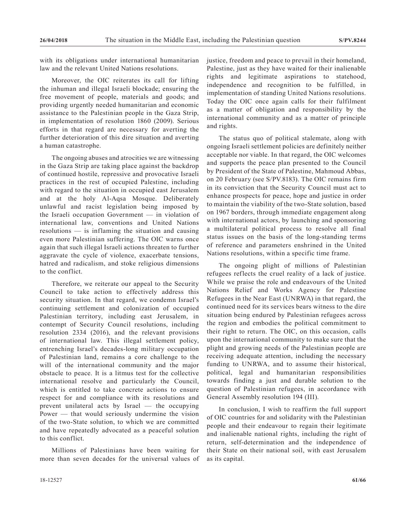with its obligations under international humanitarian law and the relevant United Nations resolutions.

Moreover, the OIC reiterates its call for lifting the inhuman and illegal Israeli blockade; ensuring the free movement of people, materials and goods; and providing urgently needed humanitarian and economic assistance to the Palestinian people in the Gaza Strip, in implementation of resolution 1860 (2009). Serious efforts in that regard are necessary for averting the further deterioration of this dire situation and averting a human catastrophe.

The ongoing abuses and atrocities we are witnessing in the Gaza Strip are taking place against the backdrop of continued hostile, repressive and provocative Israeli practices in the rest of occupied Palestine, including with regard to the situation in occupied east Jerusalem and at the holy Al-Aqsa Mosque. Deliberately unlawful and racist legislation being imposed by the Israeli occupation Government — in violation of international law, conventions and United Nations resolutions — is inflaming the situation and causing even more Palestinian suffering. The OIC warns once again that such illegal Israeli actions threaten to further aggravate the cycle of violence, exacerbate tensions, hatred and radicalism, and stoke religious dimensions to the conflict.

Therefore, we reiterate our appeal to the Security Council to take action to effectively address this security situation. In that regard, we condemn Israel's continuing settlement and colonization of occupied Palestinian territory, including east Jerusalem, in contempt of Security Council resolutions, including resolution 2334 (2016), and the relevant provisions of international law. This illegal settlement policy, entrenching Israel's decades-long military occupation of Palestinian land, remains a core challenge to the will of the international community and the major obstacle to peace. It is a litmus test for the collective international resolve and particularly the Council, which is entitled to take concrete actions to ensure respect for and compliance with its resolutions and prevent unilateral acts by Israel — the occupying Power — that would seriously undermine the vision of the two-State solution, to which we are committed and have repeatedly advocated as a peaceful solution to this conflict.

Millions of Palestinians have been waiting for more than seven decades for the universal values of justice, freedom and peace to prevail in their homeland, Palestine, just as they have waited for their inalienable rights and legitimate aspirations to statehood, independence and recognition to be fulfilled, in implementation of standing United Nations resolutions. Today the OIC once again calls for their fulfilment as a matter of obligation and responsibility by the international community and as a matter of principle and rights.

The status quo of political stalemate, along with ongoing Israeli settlement policies are definitely neither acceptable nor viable. In that regard, the OIC welcomes and supports the peace plan presented to the Council by President of the State of Palestine, Mahmoud Abbas, on 20 February (see S/PV.8183). The OIC remains firm in its conviction that the Security Council must act to enhance prospects for peace, hope and justice in order to maintain the viability of the two-State solution, based on 1967 borders, through immediate engagement along with international actors, by launching and sponsoring a multilateral political process to resolve all final status issues on the basis of the long-standing terms of reference and parameters enshrined in the United Nations resolutions, within a specific time frame.

The ongoing plight of millions of Palestinian refugees reflects the cruel reality of a lack of justice. While we praise the role and endeavours of the United Nations Relief and Works Agency for Palestine Refugees in the Near East (UNRWA) in that regard, the continued need for its services bears witness to the dire situation being endured by Palestinian refugees across the region and embodies the political commitment to their right to return. The OIC, on this occasion, calls upon the international community to make sure that the plight and growing needs of the Palestinian people are receiving adequate attention, including the necessary funding to UNRWA, and to assume their historical, political, legal and humanitarian responsibilities towards finding a just and durable solution to the question of Palestinian refugees, in accordance with General Assembly resolution 194 (III).

In conclusion, I wish to reaffirm the full support of OIC countries for and solidarity with the Palestinian people and their endeavour to regain their legitimate and inalienable national rights, including the right of return, self-determination and the independence of their State on their national soil, with east Jerusalem as its capital.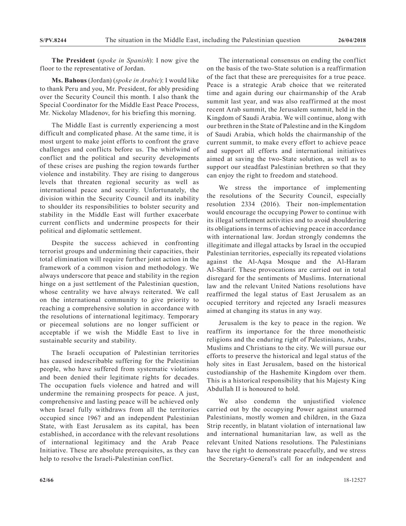**The President** (*spoke in Spanish*): I now give the floor to the representative of Jordan.

**Ms. Bahous** (Jordan) (*spoke in Arabic*): I would like to thank Peru and you, Mr. President, for ably presiding over the Security Council this month. I also thank the Special Coordinator for the Middle East Peace Process, Mr. Nickolay Mladenov, for his briefing this morning.

The Middle East is currently experiencing a most difficult and complicated phase. At the same time, it is most urgent to make joint efforts to confront the grave challenges and conflicts before us. The whirlwind of conflict and the political and security developments of these crises are pushing the region towards further violence and instability. They are rising to dangerous levels that threaten regional security as well as international peace and security. Unfortunately, the division within the Security Council and its inability to shoulder its responsibilities to bolster security and stability in the Middle East will further exacerbate current conflicts and undermine prospects for their political and diplomatic settlement.

Despite the success achieved in confronting terrorist groups and undermining their capacities, their total elimination will require further joint action in the framework of a common vision and methodology. We always underscore that peace and stability in the region hinge on a just settlement of the Palestinian question, whose centrality we have always reiterated. We call on the international community to give priority to reaching a comprehensive solution in accordance with the resolutions of international legitimacy. Temporary or piecemeal solutions are no longer sufficient or acceptable if we wish the Middle East to live in sustainable security and stability.

The Israeli occupation of Palestinian territories has caused indescribable suffering for the Palestinian people, who have suffered from systematic violations and been denied their legitimate rights for decades. The occupation fuels violence and hatred and will undermine the remaining prospects for peace. A just, comprehensive and lasting peace will be achieved only when Israel fully withdraws from all the territories occupied since 1967 and an independent Palestinian State, with East Jerusalem as its capital, has been established, in accordance with the relevant resolutions of international legitimacy and the Arab Peace Initiative. These are absolute prerequisites, as they can help to resolve the Israeli-Palestinian conflict.

The international consensus on ending the conflict on the basis of the two-State solution is a reaffirmation of the fact that these are prerequisites for a true peace. Peace is a strategic Arab choice that we reiterated time and again during our chairmanship of the Arab summit last year, and was also reaffirmed at the most recent Arab summit, the Jerusalem summit, held in the Kingdom of Saudi Arabia. We will continue, along with our brethren in the State of Palestine and in the Kingdom of Saudi Arabia, which holds the chairmanship of the current summit, to make every effort to achieve peace and support all efforts and international initiatives aimed at saving the two-State solution, as well as to support our steadfast Palestinian brethren so that they can enjoy the right to freedom and statehood.

We stress the importance of implementing the resolutions of the Security Council, especially resolution 2334 (2016). Their non-implementation would encourage the occupying Power to continue with its illegal settlement activities and to avoid shouldering its obligations in terms of achieving peace in accordance with international law. Jordan strongly condemns the illegitimate and illegal attacks by Israel in the occupied Palestinian territories, especially its repeated violations against the Al-Aqsa Mosque and the Al-Haram Al-Sharif. These provocations are carried out in total disregard for the sentiments of Muslims. International law and the relevant United Nations resolutions have reaffirmed the legal status of East Jerusalem as an occupied territory and rejected any Israeli measures aimed at changing its status in any way.

Jerusalem is the key to peace in the region. We reaffirm its importance for the three monotheistic religions and the enduring right of Palestinians, Arabs, Muslims and Christians to the city. We will pursue our efforts to preserve the historical and legal status of the holy sites in East Jerusalem, based on the historical custodianship of the Hashemite Kingdom over them. This is a historical responsibility that his Majesty King Abdullah II is honoured to hold.

We also condemn the unjustified violence carried out by the occupying Power against unarmed Palestinians, mostly women and children, in the Gaza Strip recently, in blatant violation of international law and international humanitarian law, as well as the relevant United Nations resolutions. The Palestinians have the right to demonstrate peacefully, and we stress the Secretary-General's call for an independent and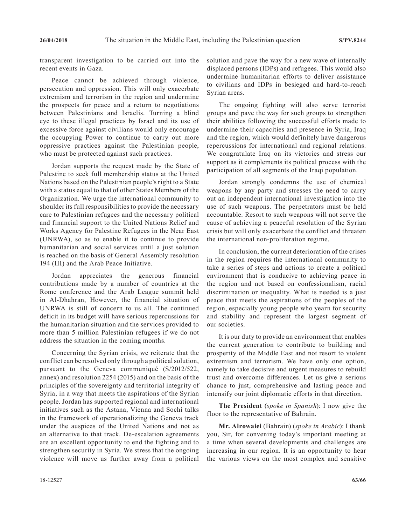transparent investigation to be carried out into the recent events in Gaza.

Peace cannot be achieved through violence, persecution and oppression. This will only exacerbate extremism and terrorism in the region and undermine the prospects for peace and a return to negotiations between Palestinians and Israelis. Turning a blind eye to these illegal practices by Israel and its use of excessive force against civilians would only encourage the occupying Power to continue to carry out more oppressive practices against the Palestinian people, who must be protected against such practices.

Jordan supports the request made by the State of Palestine to seek full membership status at the United Nations based on the Palestinian people's right to a State with a status equal to that of other States Members of the Organization. We urge the international community to shoulder its full responsibilities to provide the necessary care to Palestinian refugees and the necessary political and financial support to the United Nations Relief and Works Agency for Palestine Refugees in the Near East (UNRWA), so as to enable it to continue to provide humanitarian and social services until a just solution is reached on the basis of General Assembly resolution 194 (III) and the Arab Peace Initiative.

Jordan appreciates the generous financial contributions made by a number of countries at the Rome conference and the Arab League summit held in Al-Dhahran, However, the financial situation of UNRWA is still of concern to us all. The continued deficit in its budget will have serious repercussions for the humanitarian situation and the services provided to more than 5 million Palestinian refugees if we do not address the situation in the coming months.

Concerning the Syrian crisis, we reiterate that the conflict can be resolved only through a political solution, pursuant to the Geneva communiqué (S/2012/522, annex) and resolution 2254 (2015) and on the basis of the principles of the sovereignty and territorial integrity of Syria, in a way that meets the aspirations of the Syrian people. Jordan has supported regional and international initiatives such as the Astana, Vienna and Sochi talks in the framework of operationalizing the Geneva track under the auspices of the United Nations and not as an alternative to that track. De-escalation agreements are an excellent opportunity to end the fighting and to strengthen security in Syria. We stress that the ongoing violence will move us further away from a political

solution and pave the way for a new wave of internally displaced persons (IDPs) and refugees. This would also undermine humanitarian efforts to deliver assistance to civilians and IDPs in besieged and hard-to-reach Syrian areas.

The ongoing fighting will also serve terrorist groups and pave the way for such groups to strengthen their abilities following the successful efforts made to undermine their capacities and presence in Syria, Iraq and the region, which would definitely have dangerous repercussions for international and regional relations. We congratulate Iraq on its victories and stress our support as it complements its political process with the participation of all segments of the Iraqi population.

Jordan strongly condemns the use of chemical weapons by any party and stresses the need to carry out an independent international investigation into the use of such weapons. The perpetrators must be held accountable. Resort to such weapons will not serve the cause of achieving a peaceful resolution of the Syrian crisis but will only exacerbate the conflict and threaten the international non-proliferation regime.

In conclusion, the current deterioration of the crises in the region requires the international community to take a series of steps and actions to create a political environment that is conducive to achieving peace in the region and not based on confessionalism, racial discrimination or inequality. What is needed is a just peace that meets the aspirations of the peoples of the region, especially young people who yearn for security and stability and represent the largest segment of our societies.

It is our duty to provide an environment that enables the current generation to contribute to building and prosperity of the Middle East and not resort to violent extremism and terrorism. We have only one option, namely to take decisive and urgent measures to rebuild trust and overcome differences. Let us give a serious chance to just, comprehensive and lasting peace and intensify our joint diplomatic efforts in that direction.

**The President** (*spoke in Spanish*): I now give the floor to the representative of Bahrain.

**Mr. Alrowaiei** (Bahrain) (*spoke in Arabic*): I thank you, Sir, for convening today's important meeting at a time when several developments and challenges are increasing in our region. It is an opportunity to hear the various views on the most complex and sensitive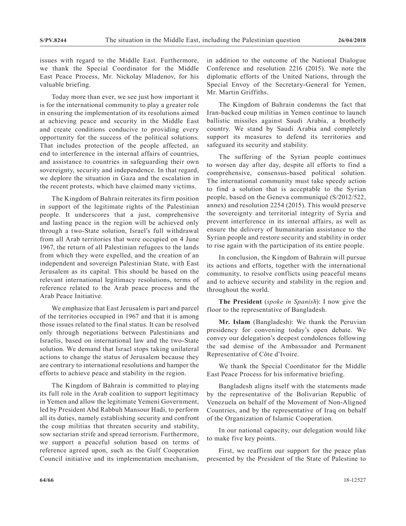issues with regard to the Middle East. Furthermore, we thank the Special Coordinator for the Middle East Peace Process, Mr. Nickolay Mladenov, for his valuable briefing.

Today more than ever, we see just how important it is for the international community to play a greater role in ensuring the implementation of its resolutions aimed at achieving peace and security in the Middle East and create conditions conducive to providing every opportunity for the success of the political solutions. That includes protection of the people affected, an end to interference in the internal affairs of countries, and assistance to countries in safeguarding their own sovereignty, security and independence. In that regard, we deplore the situation in Gaza and the escalation in the recent protests, which have claimed many victims.

The Kingdom of Bahrain reiterates its firm position in support of the legitimate rights of the Palestinian people. It underscores that a just, comprehensive and lasting peace in the region will be achieved only through a two-State solution, Israel's full withdrawal from all Arab territories that were occupied on 4 June 1967, the return of all Palestinian refugees to the lands from which they were expelled, and the creation of an independent and sovereign Palestinian State, with East Jerusalem as its capital. This should be based on the relevant international legitimacy resolutions, terms of reference related to the Arab peace process and the Arab Peace Initiative.

We emphasize that East Jerusalem is part and parcel of the territories occupied in 1967 and that it is among those issues related to the final status. It can be resolved only through negotiations between Palestinians and Israelis, based on international law and the two-State solution. We demand that Israel stops taking unilateral actions to change the status of Jerusalem because they are contrary to international resolutions and hamper the efforts to achieve peace and stability in the region.

The Kingdom of Bahrain is committed to playing its full role in the Arab coalition to support legitimacy in Yemen and allow the legitimate Yemeni Government, led by President Abd Rabbuh Mansour Hadi, to perform all its duties, namely establishing security and confront the coup militias that threaten security and stability, sow sectarian strife and spread terrorism. Furthermore, we support a peaceful solution based on terms of reference agreed upon, such as the Gulf Cooperation Council initiative and its implementation mechanism, in addition to the outcome of the National Dialogue Conference and resolution 2216 (2015). We note the diplomatic efforts of the United Nations, through the Special Envoy of the Secretary-General for Yemen, Mr. Martin Griffiths.

The Kingdom of Bahrain condemns the fact that Iran-backed coup militias in Yemen continue to launch ballistic missiles against Saudi Arabia, a brotherly country. We stand by Saudi Arabia and completely support its measures to defend its territories and safeguard its security and stability.

The suffering of the Syrian people continues to worsen day after day, despite all efforts to find a comprehensive, consensus-based political solution. The international community must take speedy action to find a solution that is acceptable to the Syrian people, based on the Geneva communiqué (S/2012/522, annex) and resolution 2254 (2015). This would preserve the sovereignty and territorial integrity of Syria and prevent interference in its internal affairs, as well as ensure the delivery of humanitarian assistance to the Syrian people and restore security and stability in order to rise again with the participation of its entire people.

In conclusion, the Kingdom of Bahrain will pursue its actions and efforts, together with the international community, to resolve conflicts using peaceful means and to achieve security and stability in the region and throughout the world.

**The President** (*spoke in Spanish*): I now give the floor to the representative of Bangladesh.

**Mr. Islam** (Bangladesh): We thank the Peruvian presidency for convening today's open debate. We convey our delegation's deepest condolences following the sad demise of the Ambassador and Permanent Representative of Côte d'Ivoire.

We thank the Special Coordinator for the Middle East Peace Process for his informative briefing.

Bangladesh aligns itself with the statements made by the representative of the Bolivarian Republic of Venezuela on behalf of the Movement of Non-Aligned Countries, and by the representative of Iraq on behalf of the Organization of Islamic Cooperation.

In our national capacity, our delegation would like to make five key points.

First, we reaffirm our support for the peace plan presented by the President of the State of Palestine to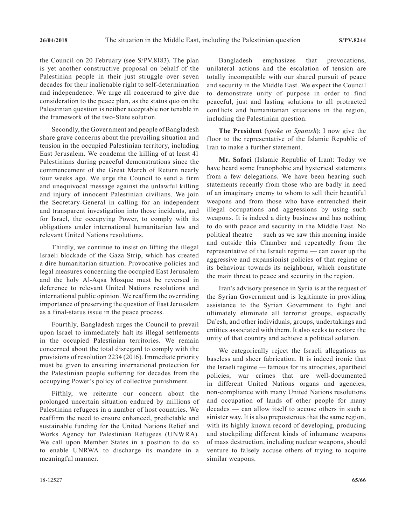the Council on 20 February (see S/PV.8183). The plan is yet another constructive proposal on behalf of the Palestinian people in their just struggle over seven decades for their inalienable right to self-determination and independence. We urge all concerned to give due consideration to the peace plan, as the status quo on the Palestinian question is neither acceptable nor tenable in the framework of the two-State solution.

Secondly, the Government and people of Bangladesh share grave concerns about the prevailing situation and tension in the occupied Palestinian territory, including East Jerusalem. We condemn the killing of at least 41 Palestinians during peaceful demonstrations since the commencement of the Great March of Return nearly four weeks ago. We urge the Council to send a firm and unequivocal message against the unlawful killing and injury of innocent Palestinian civilians. We join the Secretary-General in calling for an independent and transparent investigation into those incidents, and for Israel, the occupying Power, to comply with its obligations under international humanitarian law and relevant United Nations resolutions.

Thirdly, we continue to insist on lifting the illegal Israeli blockade of the Gaza Strip, which has created a dire humanitarian situation. Provocative policies and legal measures concerning the occupied East Jerusalem and the holy Al-Aqsa Mosque must be reversed in deference to relevant United Nations resolutions and international public opinion. We reaffirm the overriding importance of preserving the question of East Jerusalem as a final-status issue in the peace process.

Fourthly, Bangladesh urges the Council to prevail upon Israel to immediately halt its illegal settlements in the occupied Palestinian territories. We remain concerned about the total disregard to comply with the provisions of resolution 2234 (2016). Immediate priority must be given to ensuring international protection for the Palestinian people suffering for decades from the occupying Power's policy of collective punishment.

Fifthly, we reiterate our concern about the prolonged uncertain situation endured by millions of Palestinian refugees in a number of host countries. We reaffirm the need to ensure enhanced, predictable and sustainable funding for the United Nations Relief and Works Agency for Palestinian Refugees (UNWRA). We call upon Member States in a position to do so to enable UNRWA to discharge its mandate in a meaningful manner.

Bangladesh emphasizes that provocations, unilateral actions and the escalation of tension are totally incompatible with our shared pursuit of peace and security in the Middle East. We expect the Council to demonstrate unity of purpose in order to find peaceful, just and lasting solutions to all protracted conflicts and humanitarian situations in the region, including the Palestinian question.

**The President** (*spoke in Spanish*): I now give the floor to the representative of the Islamic Republic of Iran to make a further statement.

**Mr. Safaei** (Islamic Republic of Iran): Today we have heard some Iranophobic and hysterical statements from a few delegations. We have been hearing such statements recently from those who are badly in need of an imaginary enemy to whom to sell their beautiful weapons and from those who have entrenched their illegal occupations and aggressions by using such weapons. It is indeed a dirty business and has nothing to do with peace and security in the Middle East. No political theatre — such as we saw this morning inside and outside this Chamber and repeatedly from the representative of the Israeli regime — can cover up the aggressive and expansionist policies of that regime or its behaviour towards its neighbour, which constitute the main threat to peace and security in the region.

Iran's advisory presence in Syria is at the request of the Syrian Government and is legitimate in providing assistance to the Syrian Government to fight and ultimately eliminate all terrorist groups, especially Da'esh, and other individuals, groups, undertakings and entities associated with them. It also seeks to restore the unity of that country and achieve a political solution.

We categorically reject the Israeli allegations as baseless and sheer fabrication. It is indeed ironic that the Israeli regime — famous for its atrocities, apartheid policies, war crimes that are well-documented in different United Nations organs and agencies, non-compliance with many United Nations resolutions and occupation of lands of other people for many decades — can allow itself to accuse others in such a sinister way. It is also preposterous that the same region, with its highly known record of developing, producing and stockpiling different kinds of inhumane weapons of mass destruction, including nuclear weapons, should venture to falsely accuse others of trying to acquire similar weapons.